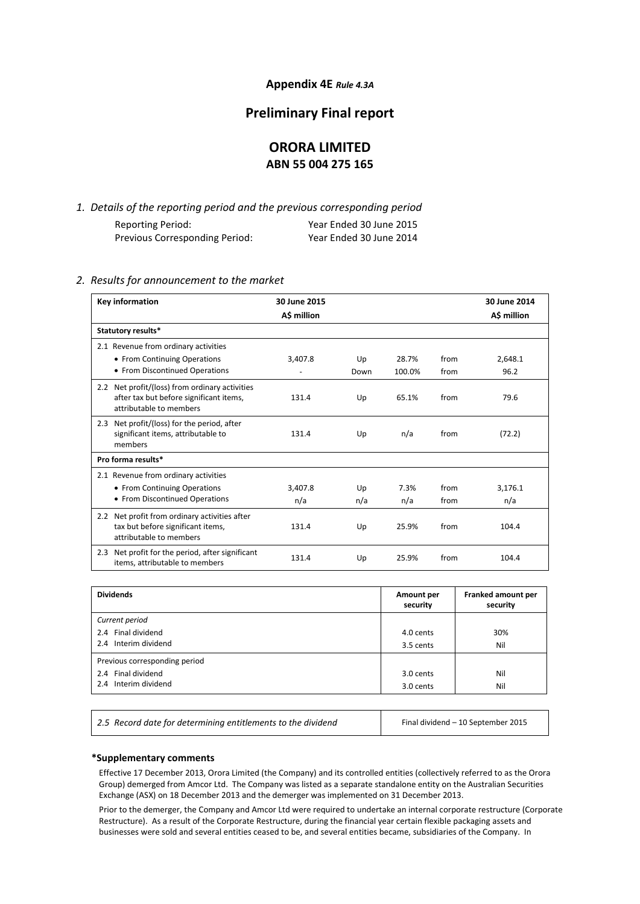#### **Appendix 4E** *Rule 4.3A*

### **Preliminary Final report**

# **ORORA LIMITED ABN 55 004 275 165**

*1. Details of the reporting period and the previous corresponding period* Reporting Period: Year Ended 30 June 2015 Previous Corresponding Period: Year Ended 30 June 2014

### *2. Results for announcement to the market*

| <b>Key information</b>                                                                                               | 30 June 2015<br>A\$ million |           |             |              | 30 June 2014<br>A\$ million |
|----------------------------------------------------------------------------------------------------------------------|-----------------------------|-----------|-------------|--------------|-----------------------------|
| Statutory results*                                                                                                   |                             |           |             |              |                             |
| 2.1 Revenue from ordinary activities<br>• From Continuing Operations                                                 | 3,407.8                     | Up        | 28.7%       | from         | 2,648.1                     |
| • From Discontinued Operations                                                                                       |                             | Down      | 100.0%      | from         | 96.2                        |
| 2.2 Net profit/(loss) from ordinary activities<br>after tax but before significant items,<br>attributable to members | 131.4                       | Up        | 65.1%       | from         | 79.6                        |
| Net profit/(loss) for the period, after<br>2.3<br>significant items, attributable to<br>members                      | 131.4                       | Up        | n/a         | from         | (72.2)                      |
| Pro forma results*                                                                                                   |                             |           |             |              |                             |
| 2.1 Revenue from ordinary activities<br>• From Continuing Operations<br>• From Discontinued Operations               | 3.407.8<br>n/a              | Up<br>n/a | 7.3%<br>n/a | from<br>from | 3,176.1<br>n/a              |
| Net profit from ordinary activities after<br>2.2<br>tax but before significant items,<br>attributable to members     | 131.4                       | Up        | 25.9%       | from         | 104.4                       |
| Net profit for the period, after significant<br>2.3<br>items, attributable to members                                | 131.4                       | Up        | 25.9%       | from         | 104.4                       |

| <b>Dividends</b>                                                            | Amount per<br>security | Franked amount per<br>security |
|-----------------------------------------------------------------------------|------------------------|--------------------------------|
| Current period<br>2.4 Final dividend<br>2.4 Interim dividend                | 4.0 cents<br>3.5 cents | 30%<br>Nil                     |
| Previous corresponding period<br>2.4 Final dividend<br>2.4 Interim dividend | 3.0 cents<br>3.0 cents | Nil<br>Nil                     |

2.5 Record date for determining entitlements to the dividend Final dividend – 10 September 2015

#### **\*Supplementary comments**

Effective 17 December 2013, Orora Limited (the Company) and its controlled entities (collectively referred to as the Orora Group) demerged from Amcor Ltd. The Company was listed as a separate standalone entity on the Australian Securities Exchange (ASX) on 18 December 2013 and the demerger was implemented on 31 December 2013.

Prior to the demerger, the Company and Amcor Ltd were required to undertake an internal corporate restructure (Corporate Restructure). As a result of the Corporate Restructure, during the financial year certain flexible packaging assets and businesses were sold and several entities ceased to be, and several entities became, subsidiaries of the Company. In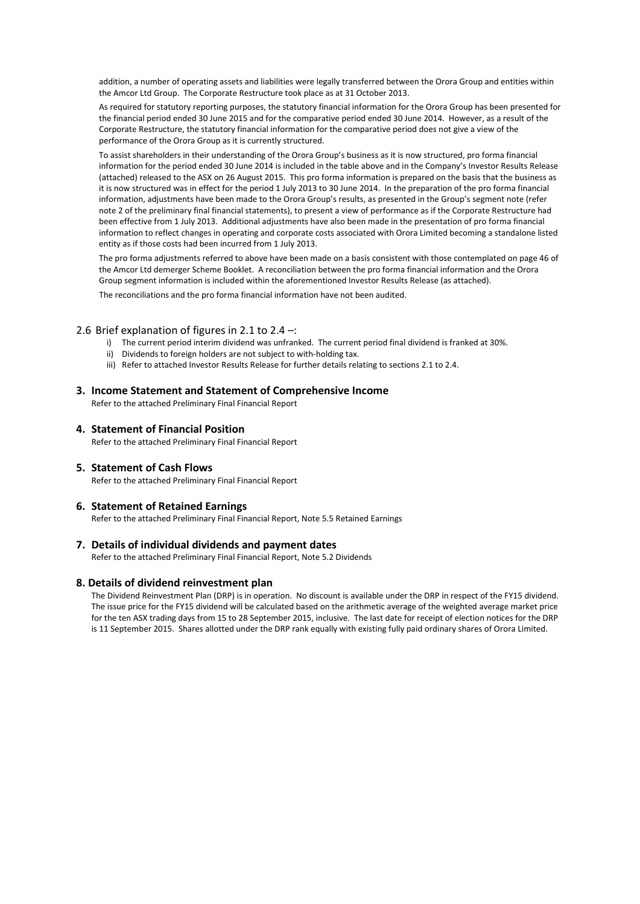addition, a number of operating assets and liabilities were legally transferred between the Orora Group and entities within the Amcor Ltd Group. The Corporate Restructure took place as at 31 October 2013.

As required for statutory reporting purposes, the statutory financial information for the Orora Group has been presented for the financial period ended 30 June 2015 and for the comparative period ended 30 June 2014. However, as a result of the Corporate Restructure, the statutory financial information for the comparative period does not give a view of the performance of the Orora Group as it is currently structured.

To assist shareholders in their understanding of the Orora Group's business as it is now structured, pro forma financial information for the period ended 30 June 2014 is included in the table above and in the Company's Investor Results Release (attached) released to the ASX on 26 August 2015. This pro forma information is prepared on the basis that the business as it is now structured was in effect for the period 1 July 2013 to 30 June 2014. In the preparation of the pro forma financial information, adjustments have been made to the Orora Group's results, as presented in the Group's segment note (refer note 2 of the preliminary final financial statements), to present a view of performance as if the Corporate Restructure had been effective from 1 July 2013. Additional adjustments have also been made in the presentation of pro forma financial information to reflect changes in operating and corporate costs associated with Orora Limited becoming a standalone listed entity as if those costs had been incurred from 1 July 2013.

The pro forma adjustments referred to above have been made on a basis consistent with those contemplated on page 46 of the Amcor Ltd demerger Scheme Booklet. A reconciliation between the pro forma financial information and the Orora Group segment information is included within the aforementioned Investor Results Release (as attached). The reconciliations and the pro forma financial information have not been audited.

#### 2.6 Brief explanation of figures in 2.1 to 2.4 –:

- i) The current period interim dividend was unfranked. The current period final dividend is franked at 30%.
- ii) Dividends to foreign holders are not subject to with-holding tax.
- iii) Refer to attached Investor Results Release for further details relating to sections 2.1 to 2.4.

#### **3. Income Statement and Statement of Comprehensive Income**

Refer to the attached Preliminary Final Financial Report

**4. Statement of Financial Position**

Refer to the attached Preliminary Final Financial Report

**5. Statement of Cash Flows** 

Refer to the attached Preliminary Final Financial Report

#### **6. Statement of Retained Earnings**

Refer to the attached Preliminary Final Financial Report, Note 5.5 Retained Earnings

#### **7. Details of individual dividends and payment dates**

Refer to the attached Preliminary Final Financial Report, Note 5.2 Dividends

#### **8. Details of dividend reinvestment plan**

The Dividend Reinvestment Plan (DRP) is in operation. No discount is available under the DRP in respect of the FY15 dividend. The issue price for the FY15 dividend will be calculated based on the arithmetic average of the weighted average market price for the ten ASX trading days from 15 to 28 September 2015, inclusive. The last date for receipt of election notices for the DRP is 11 September 2015. Shares allotted under the DRP rank equally with existing fully paid ordinary shares of Orora Limited.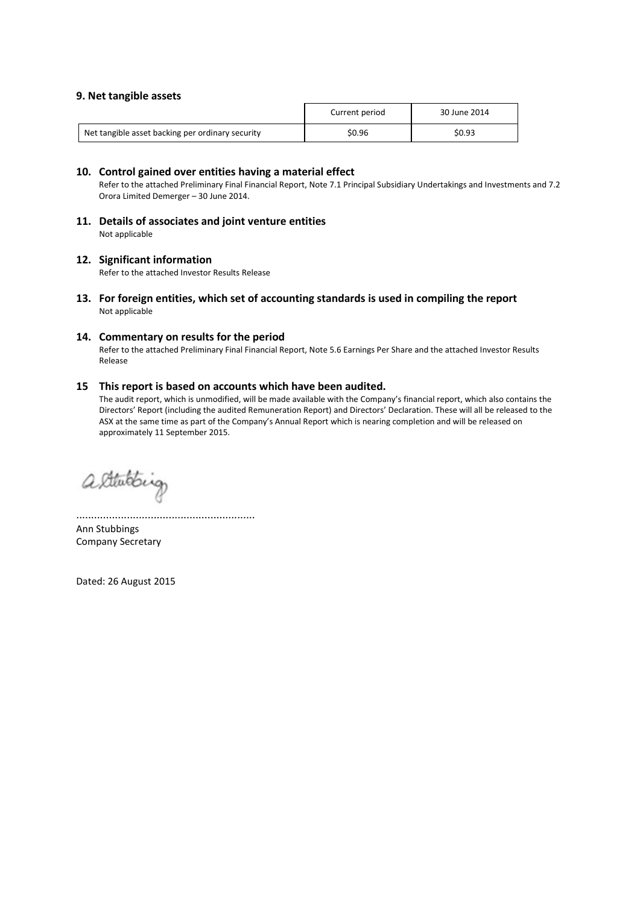#### **9. Net tangible assets**

|                                                  | Current period | 30 June 2014 |
|--------------------------------------------------|----------------|--------------|
| Net tangible asset backing per ordinary security | \$0.96         | \$0.93       |

#### **10. Control gained over entities having a material effect**

Refer to the attached Preliminary Final Financial Report, Note 7.1 Principal Subsidiary Undertakings and Investments and 7.2 Orora Limited Demerger – 30 June 2014.

**11. Details of associates and joint venture entities**  Not applicable

#### **12. Significant information**

Refer to the attached Investor Results Release

**13. For foreign entities, which set of accounting standards is used in compiling the report** Not applicable

#### **14. Commentary on results for the period**

Refer to the attached Preliminary Final Financial Report, Note 5.6 Earnings Per Share and the attached Investor Results Release

#### **15 This report is based on accounts which have been audited.**

The audit report, which is unmodified, will be made available with the Company's financial report, which also contains the Directors' Report (including the audited Remuneration Report) and Directors' Declaration. These will all be released to the ASX at the same time as part of the Company's Annual Report which is nearing completion and will be released on approximately 11 September 2015.

alterating

............................................................ Ann Stubbings Company Secretary

Dated: 26 August 2015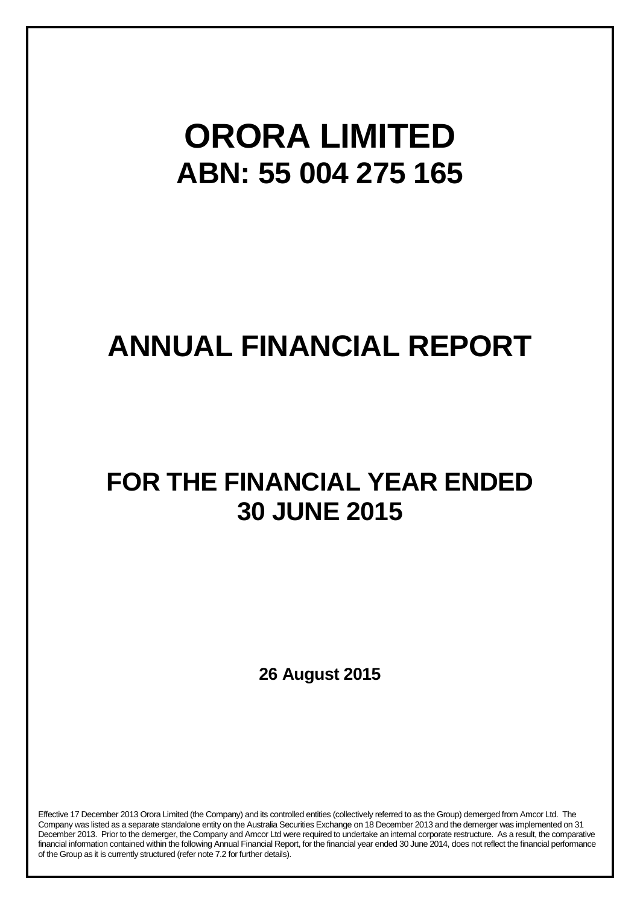# **ORORA LIMITED ABN: 55 004 275 165**

# **ANNUAL FINANCIAL REPORT**

# **FOR THE FINANCIAL YEAR ENDED 30 JUNE 2015**

**26 August 2015**

Effective 17 December 2013 Orora Limited (the Company) and its controlled entities (collectively referred to as the Group) demerged from Amcor Ltd. The Company was listed as a separate standalone entity on the Australia Securities Exchange on 18 December 2013 and the demerger was implemented on 31 December 2013. Prior to the demerger, the Company and Amcor Ltd were required to undertake an internal corporate restructure. As a result, the comparative financial information contained within the following Annual Financial Report, for the financial year ended 30 June 2014, does not reflect the financial performance of the Group as it is currently structured (refer note 7.2 for further details).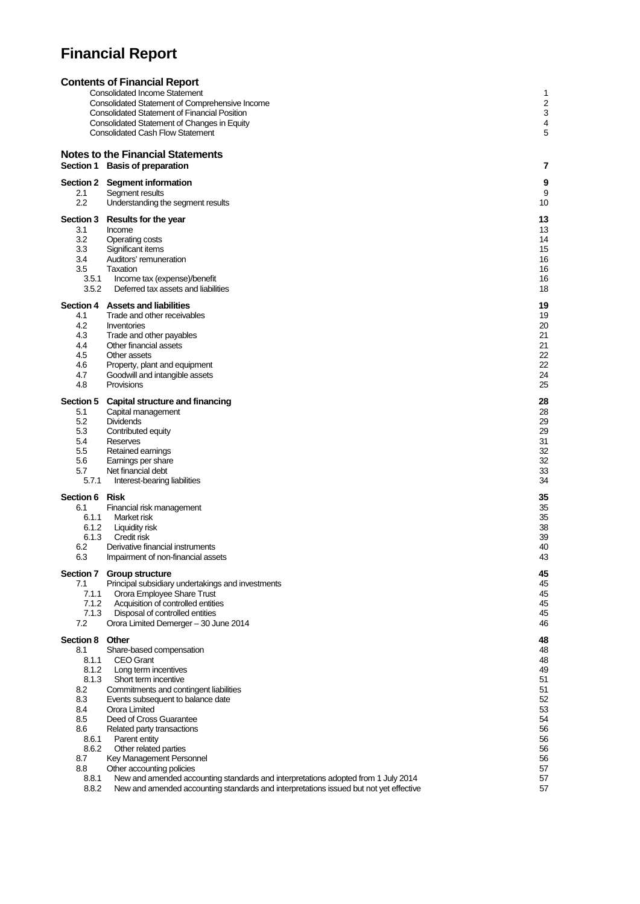# **Financial Report**

|                       | <b>Contents of Financial Report</b>                                                                                                                                        |          |
|-----------------------|----------------------------------------------------------------------------------------------------------------------------------------------------------------------------|----------|
|                       | <b>Consolidated Income Statement</b>                                                                                                                                       | 1        |
|                       | Consolidated Statement of Comprehensive Income                                                                                                                             | 2        |
|                       | <b>Consolidated Statement of Financial Position</b><br>Consolidated Statement of Changes in Equity                                                                         | 3<br>4   |
|                       | <b>Consolidated Cash Flow Statement</b>                                                                                                                                    | 5        |
|                       |                                                                                                                                                                            |          |
|                       | <b>Notes to the Financial Statements</b>                                                                                                                                   |          |
|                       | Section 1 Basis of preparation                                                                                                                                             | 7        |
|                       | Section 2 Segment information                                                                                                                                              | 9        |
| 2.1                   | Segment results                                                                                                                                                            | 9        |
| 2.2                   | Understanding the segment results                                                                                                                                          | 10       |
|                       | Section 3 Results for the year                                                                                                                                             | 13       |
| 3.1                   | Income                                                                                                                                                                     | 13       |
| 3.2<br>3.3            | Operating costs<br>Significant items                                                                                                                                       | 14<br>15 |
| 3.4                   | Auditors' remuneration                                                                                                                                                     | 16       |
| 3.5                   | Taxation                                                                                                                                                                   | 16       |
| 3.5.1                 | Income tax (expense)/benefit                                                                                                                                               | 16       |
| 3.5.2                 | Deferred tax assets and liabilities                                                                                                                                        | 18       |
|                       | Section 4 Assets and liabilities                                                                                                                                           | 19       |
| 4.1                   | Trade and other receivables                                                                                                                                                | 19       |
| 4.2<br>4.3            | Inventories<br>Trade and other payables                                                                                                                                    | 20<br>21 |
| 4.4                   | Other financial assets                                                                                                                                                     | 21       |
| 4.5                   | Other assets                                                                                                                                                               | 22       |
| 4.6                   | Property, plant and equipment                                                                                                                                              | 22       |
| 4.7                   | Goodwill and intangible assets                                                                                                                                             | 24       |
| 4.8                   | Provisions                                                                                                                                                                 | 25       |
| <b>Section 5</b>      | Capital structure and financing                                                                                                                                            | 28       |
| 5.1<br>5.2            | Capital management                                                                                                                                                         | 28       |
| 5.3                   | <b>Dividends</b><br>Contributed equity                                                                                                                                     | 29<br>29 |
| 5.4                   | Reserves                                                                                                                                                                   | 31       |
| $5.5\,$               | Retained earnings                                                                                                                                                          | 32       |
| 5.6                   | Earnings per share                                                                                                                                                         | 32       |
| 5.7<br>5.7.1          | Net financial debt<br>Interest-bearing liabilities                                                                                                                         | 33<br>34 |
|                       |                                                                                                                                                                            |          |
| Section 6 Risk<br>6.1 | Financial risk management                                                                                                                                                  | 35<br>35 |
| 6.1.1                 | Market risk                                                                                                                                                                | 35       |
| 6.1.2                 | Liquidity risk                                                                                                                                                             | 38       |
| 6.1.3                 | Credit risk                                                                                                                                                                | 39       |
| 6.2                   | Derivative financial instruments                                                                                                                                           | 40       |
| 6.3                   | Impairment of non-financial assets                                                                                                                                         | 43       |
|                       | Section 7 Group structure                                                                                                                                                  | 45       |
| 7.1<br>7.1.1          | Principal subsidiary undertakings and investments<br>Orora Employee Share Trust                                                                                            | 45<br>45 |
| 7.1.2                 | Acquisition of controlled entities                                                                                                                                         | 45       |
| 7.1.3                 | Disposal of controlled entities                                                                                                                                            | 45       |
| 7.2                   | Orora Limited Demerger - 30 June 2014                                                                                                                                      | 46       |
| Section 8             | Other                                                                                                                                                                      | 48       |
| 8.1                   | Share-based compensation                                                                                                                                                   | 48       |
| 8.1.1<br>8.1.2        | <b>CEO Grant</b><br>Long term incentives                                                                                                                                   | 48<br>49 |
| 8.1.3                 | Short term incentive                                                                                                                                                       | 51       |
| 8.2                   | Commitments and contingent liabilities                                                                                                                                     | 51       |
| 8.3                   | Events subsequent to balance date                                                                                                                                          | 52       |
| 8.4                   | Orora Limited                                                                                                                                                              | 53       |
| 8.5<br>8.6            | Deed of Cross Guarantee                                                                                                                                                    | 54<br>56 |
| 8.6.1                 | Related party transactions<br>Parent entity                                                                                                                                | 56       |
| 8.6.2                 | Other related parties                                                                                                                                                      | 56       |
| 8.7                   | Key Management Personnel                                                                                                                                                   | 56       |
| 8.8                   | Other accounting policies                                                                                                                                                  | 57       |
| 8.8.1<br>8.8.2        | New and amended accounting standards and interpretations adopted from 1 July 2014<br>New and amended accounting standards and interpretations issued but not yet effective | 57<br>57 |
|                       |                                                                                                                                                                            |          |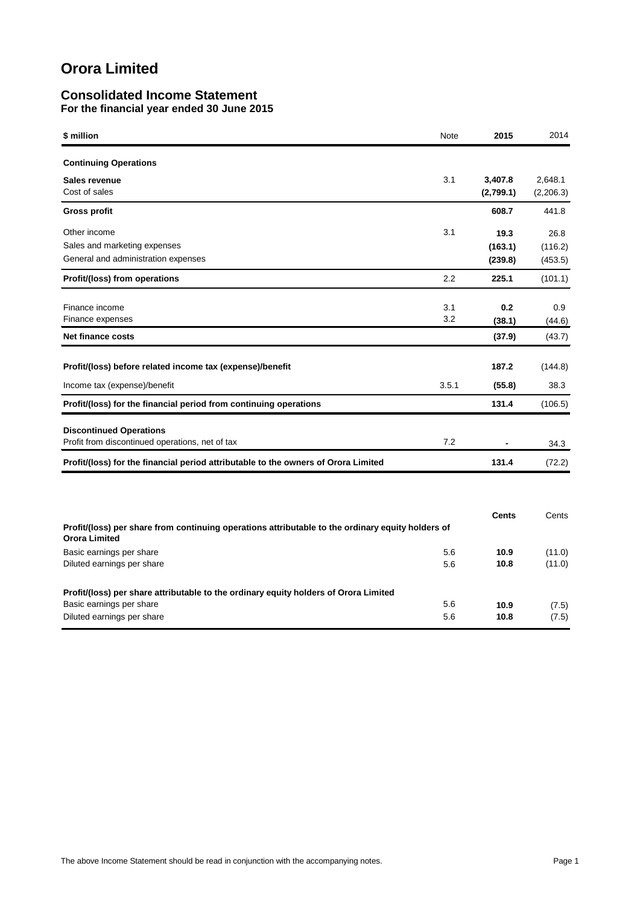### **Consolidated Income Statement For the financial year ended 30 June 2015**

| \$ million                                                                                                                | Note       | 2015                       | 2014                       |
|---------------------------------------------------------------------------------------------------------------------------|------------|----------------------------|----------------------------|
| <b>Continuing Operations</b>                                                                                              |            |                            |                            |
| Sales revenue<br>Cost of sales                                                                                            | 3.1        | 3,407.8<br>(2,799.1)       | 2,648.1<br>(2,206.3)       |
| <b>Gross profit</b>                                                                                                       |            | 608.7                      | 441.8                      |
| Other income<br>Sales and marketing expenses<br>General and administration expenses                                       | 3.1        | 19.3<br>(163.1)<br>(239.8) | 26.8<br>(116.2)<br>(453.5) |
| Profit/(loss) from operations                                                                                             | 2.2        | 225.1                      | (101.1)                    |
| Finance income<br>Finance expenses                                                                                        | 3.1<br>3.2 | 0.2<br>(38.1)              | 0.9<br>(44.6)              |
| <b>Net finance costs</b>                                                                                                  |            | (37.9)                     | (43.7)                     |
| Profit/(loss) before related income tax (expense)/benefit                                                                 |            | 187.2                      | (144.8)                    |
| Income tax (expense)/benefit                                                                                              | 3.5.1      | (55.8)                     | 38.3                       |
| Profit/(loss) for the financial period from continuing operations                                                         |            | 131.4                      | (106.5)                    |
| <b>Discontinued Operations</b><br>Profit from discontinued operations, net of tax                                         | 7.2        |                            | 34.3                       |
| Profit/(loss) for the financial period attributable to the owners of Orora Limited                                        |            | 131.4                      | (72.2)                     |
|                                                                                                                           |            |                            |                            |
| Profit/(loss) per share from continuing operations attributable to the ordinary equity holders of<br><b>Orora Limited</b> |            | Cents                      | Cents                      |
| Basic earnings per share<br>Diluted earnings per share                                                                    | 5.6<br>5.6 | 10.9<br>10.8               | (11.0)<br>(11.0)           |
| Profit/(loss) per share attributable to the ordinary equity holders of Orora Limited<br>Basic earnings per share          | 5.6        | 10.9                       | (7.5)                      |
| Diluted earnings per share                                                                                                | 5.6        | 10.8                       | (7.5)                      |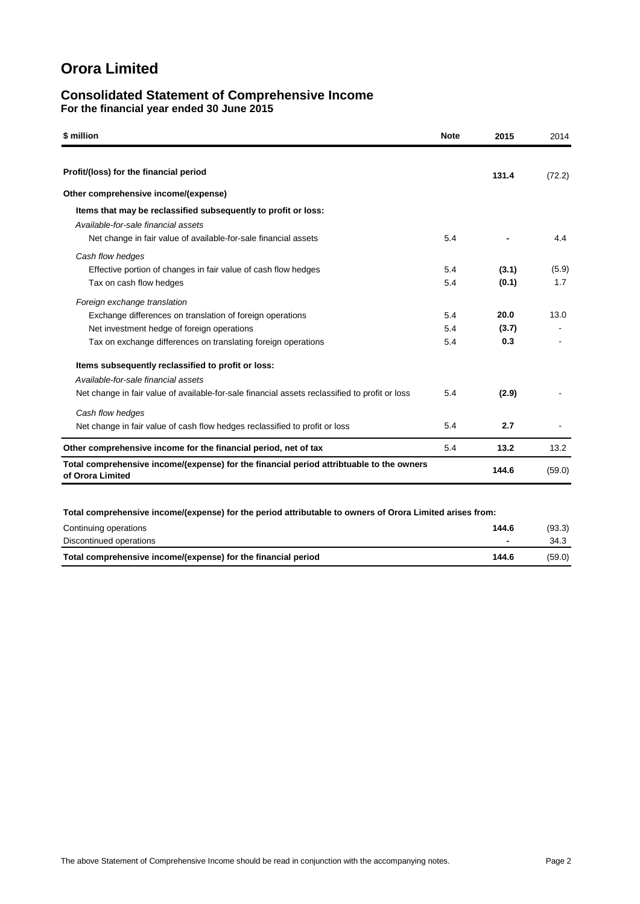### **Consolidated Statement of Comprehensive Income For the financial year ended 30 June 2015**

| \$ million                                                                                                   | <b>Note</b> | 2015  | 2014   |
|--------------------------------------------------------------------------------------------------------------|-------------|-------|--------|
| Profit/(loss) for the financial period                                                                       |             | 131.4 |        |
| Other comprehensive income/(expense)                                                                         |             |       | (72.2) |
| Items that may be reclassified subsequently to profit or loss:                                               |             |       |        |
| Available-for-sale financial assets                                                                          |             |       |        |
| Net change in fair value of available-for-sale financial assets                                              | 5.4         |       | 4.4    |
| Cash flow hedges                                                                                             |             |       |        |
| Effective portion of changes in fair value of cash flow hedges                                               | 5.4         | (3.1) | (5.9)  |
| Tax on cash flow hedges                                                                                      | 5.4         | (0.1) | 1.7    |
| Foreign exchange translation                                                                                 |             |       |        |
| Exchange differences on translation of foreign operations                                                    | 5.4         | 20.0  | 13.0   |
| Net investment hedge of foreign operations                                                                   | 5.4         | (3.7) |        |
| Tax on exchange differences on translating foreign operations                                                | 5.4         | 0.3   |        |
| Items subsequently reclassified to profit or loss:                                                           |             |       |        |
| Available-for-sale financial assets                                                                          |             |       |        |
| Net change in fair value of available-for-sale financial assets reclassified to profit or loss               | 5.4         | (2.9) |        |
| Cash flow hedges                                                                                             |             |       |        |
| Net change in fair value of cash flow hedges reclassified to profit or loss                                  | 5.4         | 2.7   |        |
| Other comprehensive income for the financial period, net of tax                                              | 5.4         | 13.2  | 13.2   |
| Total comprehensive income/(expense) for the financial period attribtuable to the owners<br>of Orora Limited |             | 144.6 | (59.0) |
|                                                                                                              |             |       |        |
| Total comprehensive income/(expense) for the period attributable to owners of Orora Limited arises from:     |             |       |        |
| Continuing operations                                                                                        |             | AAC   | (0.2)  |

| Continuing operations                                         | 144.6 | (93.3) |
|---------------------------------------------------------------|-------|--------|
| Discontinued operations                                       |       | 34.3   |
| Total comprehensive income/(expense) for the financial period | 144.6 | (59.0) |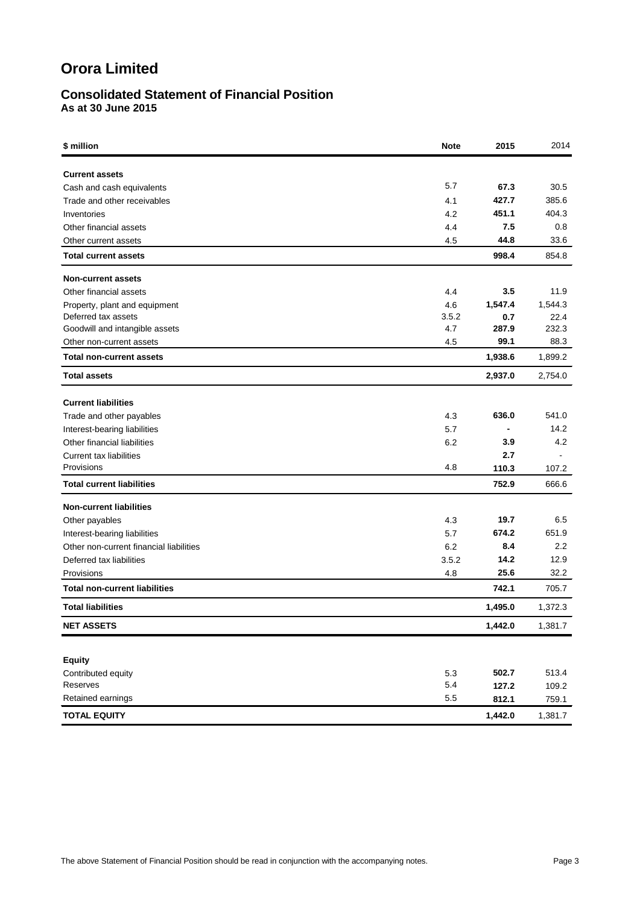# **Consolidated Statement of Financial Position**

**As at 30 June 2015**

| \$ million                              | <b>Note</b> | 2015           | 2014             |
|-----------------------------------------|-------------|----------------|------------------|
| <b>Current assets</b>                   |             |                |                  |
| Cash and cash equivalents               | 5.7         | 67.3           | 30.5             |
| Trade and other receivables             | 4.1         | 427.7          | 385.6            |
| Inventories                             | 4.2         | 451.1          | 404.3            |
| Other financial assets                  | 4.4         | 7.5            | 0.8              |
| Other current assets                    | 4.5         | 44.8           | 33.6             |
| <b>Total current assets</b>             |             | 998.4          | 854.8            |
| <b>Non-current assets</b>               |             |                |                  |
| Other financial assets                  | 4.4         | 3.5            | 11.9             |
| Property, plant and equipment           | 4.6         | 1,547.4        | 1,544.3          |
| Deferred tax assets                     | 3.5.2       | 0.7            | 22.4             |
| Goodwill and intangible assets          | 4.7         | 287.9          | 232.3            |
| Other non-current assets                | 4.5         | 99.1           | 88.3             |
| <b>Total non-current assets</b>         |             | 1,938.6        | 1,899.2          |
| <b>Total assets</b>                     |             | 2,937.0        | 2,754.0          |
| <b>Current liabilities</b>              |             |                |                  |
| Trade and other payables                | 4.3         | 636.0          | 541.0            |
| Interest-bearing liabilities            | 5.7         | $\blacksquare$ | 14.2             |
| Other financial liabilities             | 6.2         | 3.9            | 4.2              |
| Current tax liabilities                 |             | 2.7            |                  |
| Provisions                              | 4.8         | 110.3          | 107.2            |
| <b>Total current liabilities</b>        |             | 752.9          | 666.6            |
| <b>Non-current liabilities</b>          |             |                |                  |
| Other payables                          | 4.3         | 19.7           | 6.5              |
| Interest-bearing liabilities            | 5.7         | 674.2          | 651.9            |
| Other non-current financial liabilities | 6.2         | 8.4            | $2.2\phantom{0}$ |
| Deferred tax liabilities                | 3.5.2       | 14.2           | 12.9             |
| Provisions                              | 4.8         | 25.6           | 32.2             |
| <b>Total non-current liabilities</b>    |             | 742.1          | 705.7            |
| <b>Total liabilities</b>                |             | 1,495.0        | 1,372.3          |
| <b>NET ASSETS</b>                       |             | 1,442.0        | 1,381.7          |
|                                         |             |                |                  |
| <b>Equity</b>                           |             |                |                  |
| Contributed equity                      | 5.3         | 502.7          | 513.4            |
| Reserves                                | 5.4         | 127.2          | 109.2            |
| Retained earnings                       | 5.5         | 812.1          | 759.1            |
| <b>TOTAL EQUITY</b>                     |             | 1,442.0        | 1,381.7          |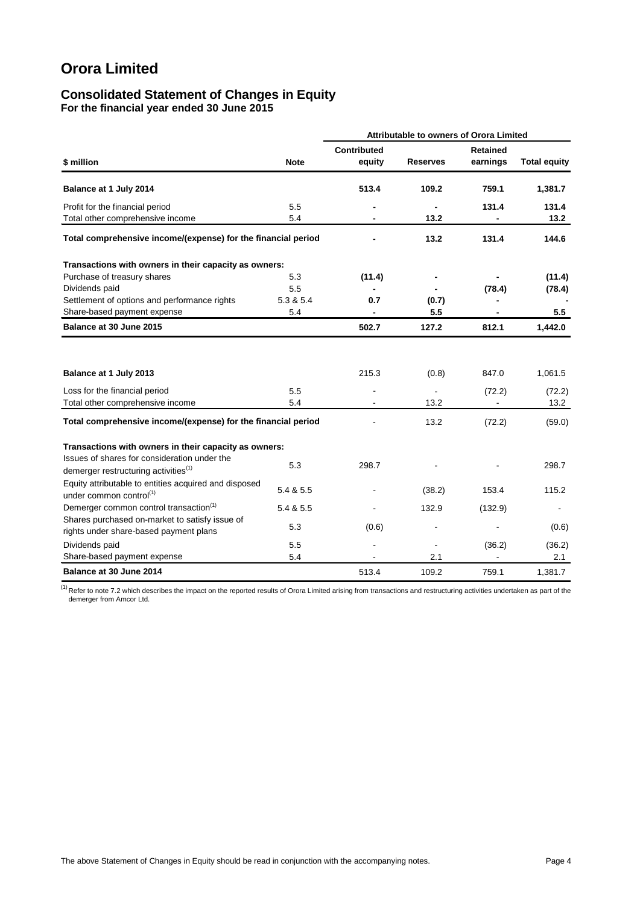### **Consolidated Statement of Changes in Equity For the financial year ended 30 June 2015**

|                                                                                                  |             |                              |                 | Attributable to owners of Orora Limited |                     |  |  |
|--------------------------------------------------------------------------------------------------|-------------|------------------------------|-----------------|-----------------------------------------|---------------------|--|--|
| \$ million                                                                                       | <b>Note</b> | <b>Contributed</b><br>equity | <b>Reserves</b> | <b>Retained</b><br>earnings             | <b>Total equity</b> |  |  |
| Balance at 1 July 2014                                                                           |             | 513.4                        | 109.2           | 759.1                                   | 1,381.7             |  |  |
| Profit for the financial period<br>Total other comprehensive income                              | 5.5<br>5.4  |                              | 13.2            | 131.4                                   | 131.4<br>13.2       |  |  |
| Total comprehensive income/(expense) for the financial period                                    |             |                              | 13.2            | 131.4                                   | 144.6               |  |  |
| Transactions with owners in their capacity as owners:                                            |             |                              |                 |                                         |                     |  |  |
| Purchase of treasury shares                                                                      | 5.3         | (11.4)                       |                 |                                         | (11.4)              |  |  |
| Dividends paid                                                                                   | 5.5         |                              |                 | (78.4)                                  | (78.4)              |  |  |
| Settlement of options and performance rights                                                     | 5.3 & 5.4   | 0.7                          | (0.7)           |                                         |                     |  |  |
| Share-based payment expense                                                                      | 5.4         | $\blacksquare$               | 5.5             |                                         | 5.5                 |  |  |
| Balance at 30 June 2015                                                                          |             | 502.7                        | 127.2           | 812.1                                   | 1.442.0             |  |  |
| Balance at 1 July 2013                                                                           |             | 215.3                        | (0.8)           | 847.0                                   | 1,061.5             |  |  |
| Loss for the financial period                                                                    | 5.5         |                              |                 | (72.2)                                  | (72.2)              |  |  |
| Total other comprehensive income                                                                 | 5.4         |                              | 13.2            |                                         | 13.2                |  |  |
| Total comprehensive income/(expense) for the financial period                                    |             |                              | 13.2            | (72.2)                                  | (59.0)              |  |  |
| Transactions with owners in their capacity as owners:                                            |             |                              |                 |                                         |                     |  |  |
| Issues of shares for consideration under the<br>demerger restructuring activities <sup>(1)</sup> | 5.3         | 298.7                        |                 |                                         | 298.7               |  |  |
| Equity attributable to entities acquired and disposed<br>under common control <sup>(1)</sup>     | 5.4 & 5.5   |                              | (38.2)          | 153.4                                   | 115.2               |  |  |
| Demerger common control transaction <sup>(1)</sup>                                               | 5.4 & 5.5   |                              | 132.9           | (132.9)                                 |                     |  |  |
| Shares purchased on-market to satisfy issue of<br>rights under share-based payment plans         | 5.3         | (0.6)                        |                 |                                         | (0.6)               |  |  |
| Dividends paid                                                                                   | 5.5         |                              |                 | (36.2)                                  | (36.2)              |  |  |
| Share-based payment expense                                                                      | 5.4         |                              | 2.1             |                                         | 2.1                 |  |  |
| Balance at 30 June 2014                                                                          |             | 513.4                        | 109.2           | 759.1                                   | 1,381.7             |  |  |

 $^{(1)}$  Refer to note 7.2 which describes the impact on the reported results of Orora Limited arising from transactions and restructuring activities undertaken as part of the demerger from Amcor Ltd.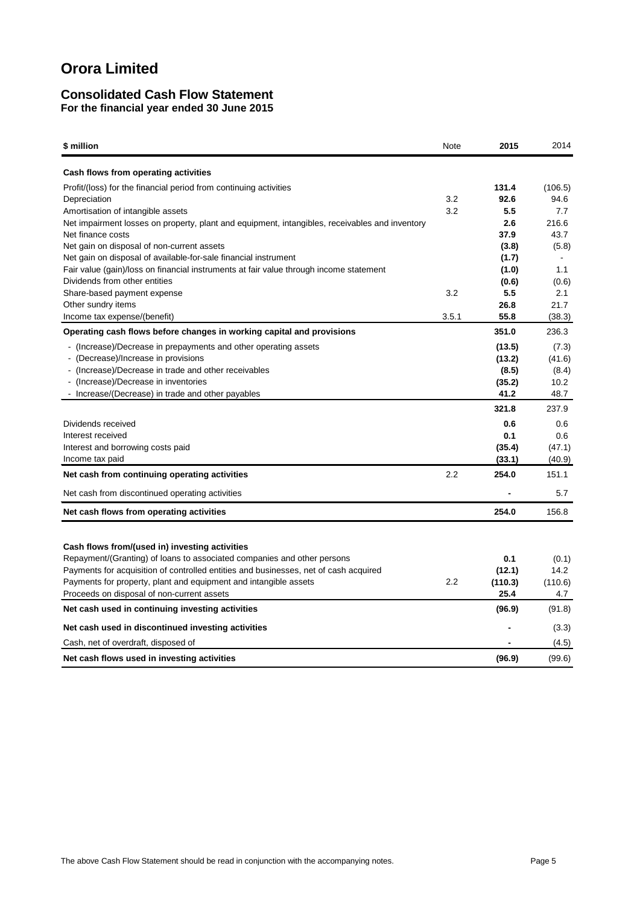# **Consolidated Cash Flow Statement For the financial year ended 30 June 2015**

| \$ million                                                                                                                                                                                                                                                                                                                          | Note       | 2015                                        | 2014                                     |
|-------------------------------------------------------------------------------------------------------------------------------------------------------------------------------------------------------------------------------------------------------------------------------------------------------------------------------------|------------|---------------------------------------------|------------------------------------------|
| Cash flows from operating activities                                                                                                                                                                                                                                                                                                |            |                                             |                                          |
| Profit/(loss) for the financial period from continuing activities<br>Depreciation<br>Amortisation of intangible assets<br>Net impairment losses on property, plant and equipment, intangibles, receivables and inventory                                                                                                            | 3.2<br>3.2 | 131.4<br>92.6<br>5.5<br>2.6                 | (106.5)<br>94.6<br>7.7<br>216.6          |
| Net finance costs<br>Net gain on disposal of non-current assets<br>Net gain on disposal of available-for-sale financial instrument                                                                                                                                                                                                  |            | 37.9<br>(3.8)<br>(1.7)                      | 43.7<br>(5.8)                            |
| Fair value (gain)/loss on financial instruments at fair value through income statement<br>Dividends from other entities<br>Share-based payment expense                                                                                                                                                                              | 3.2        | (1.0)<br>(0.6)<br>5.5                       | 1.1<br>(0.6)<br>2.1<br>21.7              |
| Other sundry items<br>Income tax expense/(benefit)                                                                                                                                                                                                                                                                                  | 3.5.1      | 26.8<br>55.8                                | (38.3)                                   |
| Operating cash flows before changes in working capital and provisions                                                                                                                                                                                                                                                               |            | 351.0                                       | 236.3                                    |
| - (Increase)/Decrease in prepayments and other operating assets<br>- (Decrease)/Increase in provisions<br>- (Increase)/Decrease in trade and other receivables<br>- (Increase)/Decrease in inventories<br>- Increase/(Decrease) in trade and other payables                                                                         |            | (13.5)<br>(13.2)<br>(8.5)<br>(35.2)<br>41.2 | (7.3)<br>(41.6)<br>(8.4)<br>10.2<br>48.7 |
|                                                                                                                                                                                                                                                                                                                                     |            | 321.8                                       | 237.9                                    |
| Dividends received<br>Interest received<br>Interest and borrowing costs paid<br>Income tax paid                                                                                                                                                                                                                                     |            | 0.6<br>0.1<br>(35.4)<br>(33.1)              | 0.6<br>0.6<br>(47.1)<br>(40.9)           |
| Net cash from continuing operating activities                                                                                                                                                                                                                                                                                       | 2.2        | 254.0                                       | 151.1                                    |
| Net cash from discontinued operating activities                                                                                                                                                                                                                                                                                     |            |                                             | 5.7                                      |
| Net cash flows from operating activities                                                                                                                                                                                                                                                                                            |            | 254.0                                       | 156.8                                    |
| Cash flows from/(used in) investing activities<br>Repayment/(Granting) of loans to associated companies and other persons<br>Payments for acquisition of controlled entities and businesses, net of cash acquired<br>Payments for property, plant and equipment and intangible assets<br>Proceeds on disposal of non-current assets | 2.2        | 0.1<br>(12.1)<br>(110.3)<br>25.4            | (0.1)<br>14.2<br>(110.6)<br>4.7          |
| Net cash used in continuing investing activities                                                                                                                                                                                                                                                                                    |            | (96.9)                                      | (91.8)                                   |
| Net cash used in discontinued investing activities                                                                                                                                                                                                                                                                                  |            |                                             | (3.3)                                    |
| Cash, net of overdraft, disposed of                                                                                                                                                                                                                                                                                                 |            |                                             | (4.5)                                    |
| Net cash flows used in investing activities                                                                                                                                                                                                                                                                                         |            | (96.9)                                      | (99.6)                                   |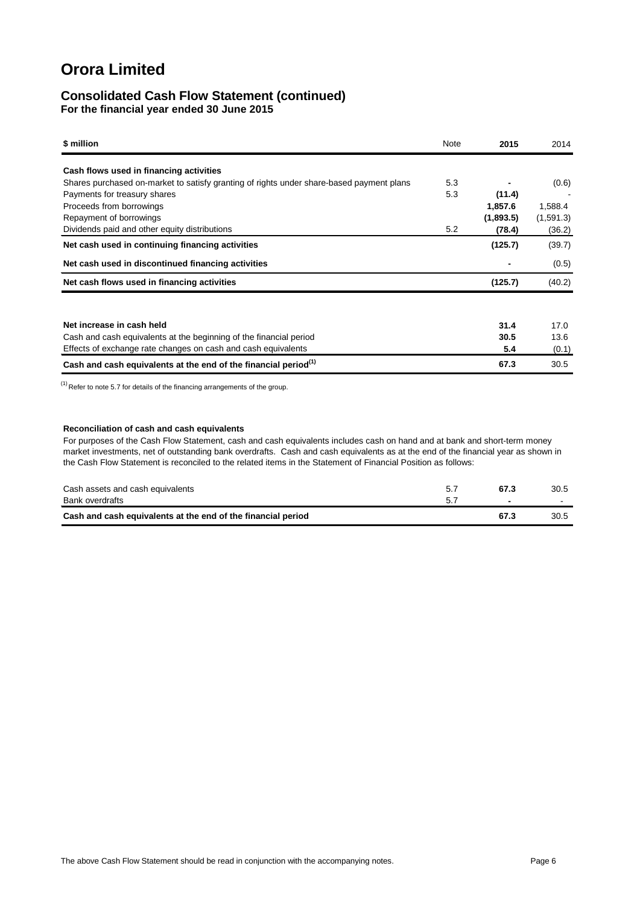### **Consolidated Cash Flow Statement (continued) For the financial year ended 30 June 2015**

| \$ million                                                                               | Note | 2015      | 2014      |
|------------------------------------------------------------------------------------------|------|-----------|-----------|
| Cash flows used in financing activities                                                  |      |           |           |
| Shares purchased on-market to satisfy granting of rights under share-based payment plans | 5.3  |           | (0.6)     |
| Payments for treasury shares                                                             | 5.3  | (11.4)    |           |
| Proceeds from borrowings                                                                 |      | 1,857.6   | 1,588.4   |
| Repayment of borrowings                                                                  |      | (1,893.5) | (1,591.3) |
| Dividends paid and other equity distributions                                            | 5.2  | (78.4)    | (36.2)    |
| Net cash used in continuing financing activities                                         |      | (125.7)   | (39.7)    |
| Net cash used in discontinued financing activities                                       |      |           | (0.5)     |
| Net cash flows used in financing activities                                              |      | (125.7)   | (40.2)    |
|                                                                                          |      |           |           |
| Net increase in cash held                                                                |      | 31.4      | 17.0      |
| Cash and cash equivalents at the beginning of the financial period                       |      | 30.5      | 13.6      |
| Effects of exchange rate changes on cash and cash equivalents                            |      | 5.4       | (0.1)     |
| Cash and cash equivalents at the end of the financial period <sup>(1)</sup>              |      | 67.3      | 30.5      |

 $<sup>(1)</sup>$  Refer to note 5.7 for details of the financing arrangements of the group.</sup>

#### **Reconciliation of cash and cash equivalents**

For purposes of the Cash Flow Statement, cash and cash equivalents includes cash on hand and at bank and short-term money market investments, net of outstanding bank overdrafts. Cash and cash equivalents as at the end of the financial year as shown in the Cash Flow Statement is reconciled to the related items in the Statement of Financial Position as follows:

| Cash assets and cash equivalents                             | 67.3 | 30.5   |
|--------------------------------------------------------------|------|--------|
| Bank overdrafts                                              | -    | $\sim$ |
| Cash and cash equivalents at the end of the financial period | 67.3 | 30.5   |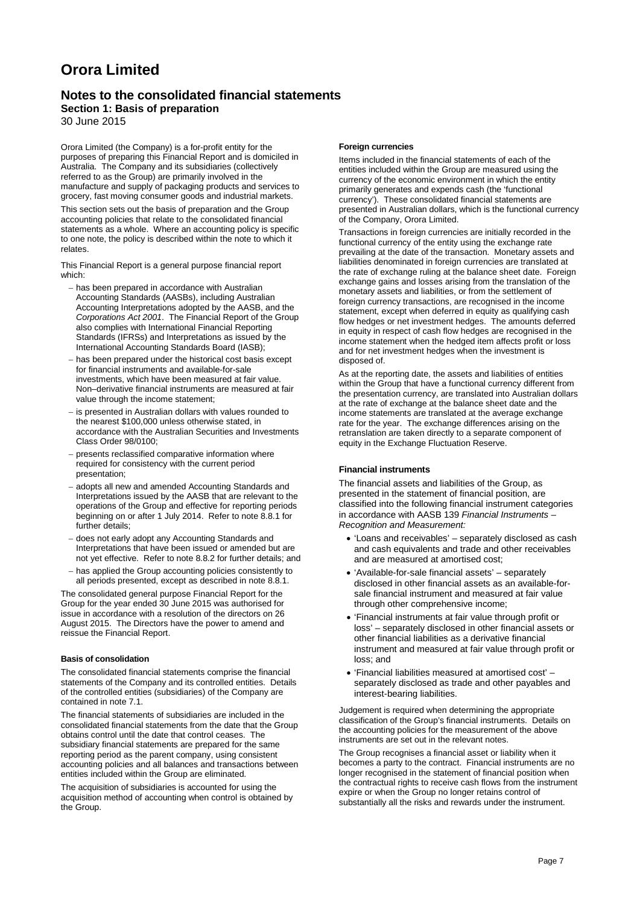## **Notes to the consolidated financial statements**

# **Section 1: Basis of preparation**

30 June 2015

Orora Limited (the Company) is a for-profit entity for the purposes of preparing this Financial Report and is domiciled in Australia. The Company and its subsidiaries (collectively referred to as the Group) are primarily involved in the manufacture and supply of packaging products and services to grocery, fast moving consumer goods and industrial markets.

This section sets out the basis of preparation and the Group accounting policies that relate to the consolidated financial statements as a whole. Where an accounting policy is specific to one note, the policy is described within the note to which it relates.

This Financial Report is a general purpose financial report which:

- − has been prepared in accordance with Australian Accounting Standards (AASBs), including Australian Accounting Interpretations adopted by the AASB, and the *Corporations Act 2001*. The Financial Report of the Group also complies with International Financial Reporting Standards (IFRSs) and Interpretations as issued by the International Accounting Standards Board (IASB);
- − has been prepared under the historical cost basis except for financial instruments and available-for-sale investments, which have been measured at fair value. Non–derivative financial instruments are measured at fair value through the income statement;
- − is presented in Australian dollars with values rounded to the nearest \$100,000 unless otherwise stated, in accordance with the Australian Securities and Investments Class Order 98/0100;
- − presents reclassified comparative information where required for consistency with the current period presentation;
- − adopts all new and amended Accounting Standards and Interpretations issued by the AASB that are relevant to the operations of the Group and effective for reporting periods beginning on or after 1 July 2014. Refer to note 8.8.1 for further details;
- − does not early adopt any Accounting Standards and Interpretations that have been issued or amended but are not yet effective. Refer to note 8.8.2 for further details; and
- − has applied the Group accounting policies consistently to all periods presented, except as described in note 8.8.1.

The consolidated general purpose Financial Report for the Group for the year ended 30 June 2015 was authorised for issue in accordance with a resolution of the directors on 26 August 2015. The Directors have the power to amend and reissue the Financial Report.

#### **Basis of consolidation**

The consolidated financial statements comprise the financial statements of the Company and its controlled entities. Details of the controlled entities (subsidiaries) of the Company are contained in note 7.1.

The financial statements of subsidiaries are included in the consolidated financial statements from the date that the Group obtains control until the date that control ceases. The subsidiary financial statements are prepared for the same reporting period as the parent company, using consistent accounting policies and all balances and transactions between entities included within the Group are eliminated.

The acquisition of subsidiaries is accounted for using the acquisition method of accounting when control is obtained by the Group.

#### **Foreign currencies**

Items included in the financial statements of each of the entities included within the Group are measured using the currency of the economic environment in which the entity primarily generates and expends cash (the 'functional currency'). These consolidated financial statements are presented in Australian dollars, which is the functional currency of the Company, Orora Limited.

Transactions in foreign currencies are initially recorded in the functional currency of the entity using the exchange rate prevailing at the date of the transaction. Monetary assets and liabilities denominated in foreign currencies are translated at the rate of exchange ruling at the balance sheet date. Foreign exchange gains and losses arising from the translation of the monetary assets and liabilities, or from the settlement of foreign currency transactions, are recognised in the income statement, except when deferred in equity as qualifying cash flow hedges or net investment hedges. The amounts deferred in equity in respect of cash flow hedges are recognised in the income statement when the hedged item affects profit or loss and for net investment hedges when the investment is disposed of.

As at the reporting date, the assets and liabilities of entities within the Group that have a functional currency different from the presentation currency, are translated into Australian dollars at the rate of exchange at the balance sheet date and the income statements are translated at the average exchange rate for the year. The exchange differences arising on the retranslation are taken directly to a separate component of equity in the Exchange Fluctuation Reserve.

#### **Financial instruments**

The financial assets and liabilities of the Group, as presented in the statement of financial position, are classified into the following financial instrument categories in accordance with AASB 139 *Financial Instruments – Recognition and Measurement:*

- 'Loans and receivables' separately disclosed as cash and cash equivalents and trade and other receivables and are measured at amortised cost;
- 'Available-for-sale financial assets' separately disclosed in other financial assets as an available-forsale financial instrument and measured at fair value through other comprehensive income;
- 'Financial instruments at fair value through profit or loss' – separately disclosed in other financial assets or other financial liabilities as a derivative financial instrument and measured at fair value through profit or loss; and
- 'Financial liabilities measured at amortised cost' separately disclosed as trade and other payables and interest-bearing liabilities.

Judgement is required when determining the appropriate classification of the Group's financial instruments. Details on the accounting policies for the measurement of the above instruments are set out in the relevant notes.

The Group recognises a financial asset or liability when it becomes a party to the contract. Financial instruments are no longer recognised in the statement of financial position when the contractual rights to receive cash flows from the instrument expire or when the Group no longer retains control of substantially all the risks and rewards under the instrument.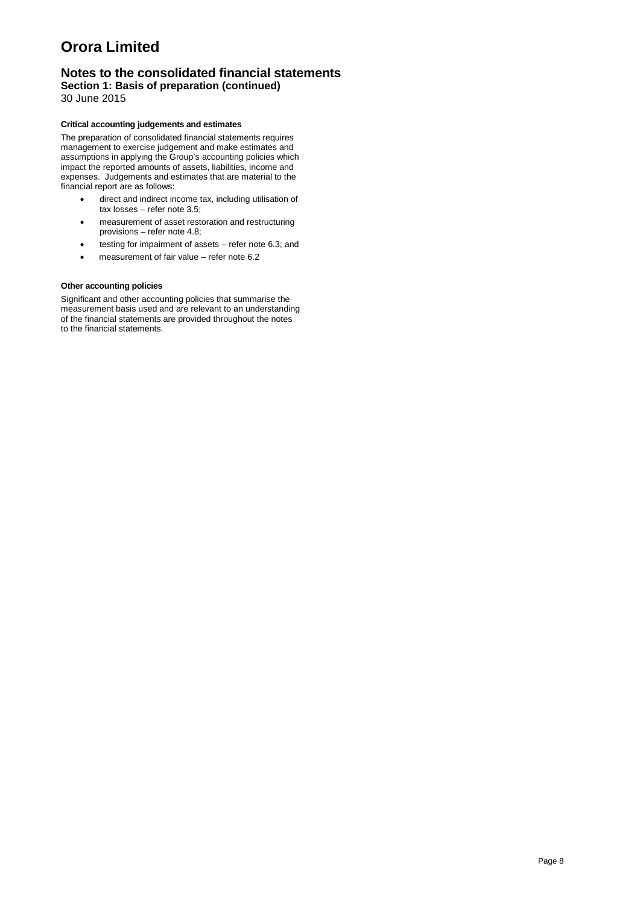# **Notes to the consolidated financial statements**

**Section 1: Basis of preparation (continued)** 30 June 2015

#### **Critical accounting judgements and estimates**

The preparation of consolidated financial statements requires management to exercise judgement and make estimates and assumptions in applying the Group's accounting policies which impact the reported amounts of assets, liabilities, income and expenses. Judgements and estimates that are material to the financial report are as follows:

- direct and indirect income tax, including utilisation of tax losses – refer note 3.5;
- measurement of asset restoration and restructuring provisions – refer note 4.8;
- testing for impairment of assets refer note 6.3; and
- measurement of fair value refer note 6.2

#### **Other accounting policies**

Significant and other accounting policies that summarise the measurement basis used and are relevant to an understanding of the financial statements are provided throughout the notes to the financial statements.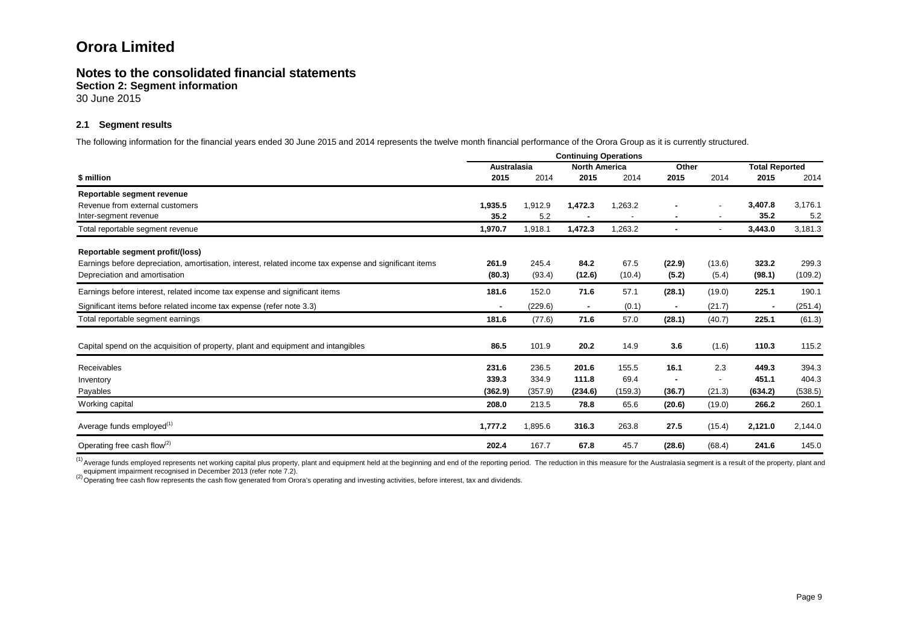# **Notes to the consolidated financial statements**

**Section 2: Segment information**

30 June 2015

### **2.1 Segment results**

The following information for the financial years ended 30 June 2015 and 2014 represents the twelve month financial performance of the Orora Group as it is currently structured.

|                                                                                                        |                    | <b>Continuing Operations</b> |                      |         |                |                          |                       |         |
|--------------------------------------------------------------------------------------------------------|--------------------|------------------------------|----------------------|---------|----------------|--------------------------|-----------------------|---------|
|                                                                                                        | <b>Australasia</b> |                              | <b>North America</b> |         | Other          |                          | <b>Total Reported</b> |         |
| \$ million                                                                                             | 2015               | 2014                         | 2015                 | 2014    | 2015           | 2014                     | 2015                  | 2014    |
| Reportable segment revenue                                                                             |                    |                              |                      |         |                |                          |                       |         |
| Revenue from external customers                                                                        | 1,935.5            | 1,912.9                      | 1,472.3              | 1,263.2 |                | $\overline{\phantom{a}}$ | 3,407.8               | 3,176.1 |
| Inter-segment revenue                                                                                  | 35.2               | 5.2                          |                      |         |                | $\overline{\phantom{a}}$ | 35.2                  | 5.2     |
| Total reportable segment revenue                                                                       | 1,970.7            | 1,918.1                      | 1,472.3              | 1,263.2 |                |                          | 3,443.0               | 3,181.3 |
| Reportable segment profit/(loss)                                                                       |                    |                              |                      |         |                |                          |                       |         |
| Earnings before depreciation, amortisation, interest, related income tax expense and significant items | 261.9              | 245.4                        | 84.2                 | 67.5    | (22.9)         | (13.6)                   | 323.2                 | 299.3   |
| Depreciation and amortisation                                                                          | (80.3)             | (93.4)                       | (12.6)               | (10.4)  | (5.2)          | (5.4)                    | (98.1)                | (109.2) |
| Earnings before interest, related income tax expense and significant items                             | 181.6              | 152.0                        | 71.6                 | 57.1    | (28.1)         | (19.0)                   | 225.1                 | 190.1   |
| Significant items before related income tax expense (refer note 3.3)                                   | $\blacksquare$     | (229.6)                      | $\sim$               | (0.1)   | $\blacksquare$ | (21.7)                   |                       | (251.4) |
| Total reportable segment earnings                                                                      | 181.6              | (77.6)                       | 71.6                 | 57.0    | (28.1)         | (40.7)                   | 225.1                 | (61.3)  |
| Capital spend on the acquisition of property, plant and equipment and intangibles                      | 86.5               | 101.9                        | 20.2                 | 14.9    | 3.6            | (1.6)                    | 110.3                 | 115.2   |
| Receivables                                                                                            | 231.6              | 236.5                        | 201.6                | 155.5   | 16.1           | 2.3                      | 449.3                 | 394.3   |
| Inventory                                                                                              | 339.3              | 334.9                        | 111.8                | 69.4    |                | $\overline{\phantom{a}}$ | 451.1                 | 404.3   |
| Payables                                                                                               | (362.9)            | (357.9)                      | (234.6)              | (159.3) | (36.7)         | (21.3)                   | (634.2)               | (538.5) |
| Working capital                                                                                        | 208.0              | 213.5                        | 78.8                 | 65.6    | (20.6)         | (19.0)                   | 266.2                 | 260.1   |
| Average funds employed <sup>(1)</sup>                                                                  | 1,777.2            | 1,895.6                      | 316.3                | 263.8   | 27.5           | (15.4)                   | 2,121.0               | 2,144.0 |
| Operating free cash flow <sup>(2)</sup>                                                                | 202.4              | 167.7                        | 67.8                 | 45.7    | (28.6)         | (68.4)                   | 241.6                 | 145.0   |

<sup>(1)</sup> Average funds employed represents net working capital plus property, plant and equipment held at the beginning and end of the reporting period. The reduction in this measure for the Australasia segment is a result of equipment impairment recognised in December 2013 (refer note 7.2).<br>
<sup>(2)</sup>Operating free cash flow represents the cash flow generated from Orora's operating and investing activities, before interest, tax and dividends.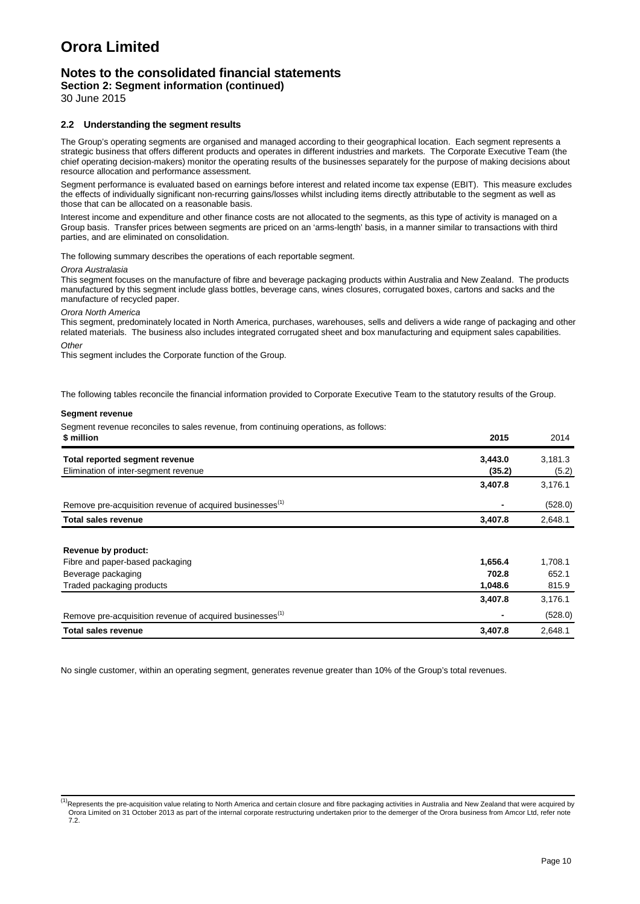# **Notes to the consolidated financial statements**

**Section 2: Segment information (continued)**

30 June 2015

#### **2.2 Understanding the segment results**

The Group's operating segments are organised and managed according to their geographical location. Each segment represents a strategic business that offers different products and operates in different industries and markets. The Corporate Executive Team (the chief operating decision-makers) monitor the operating results of the businesses separately for the purpose of making decisions about resource allocation and performance assessment.

Segment performance is evaluated based on earnings before interest and related income tax expense (EBIT). This measure excludes the effects of individually significant non-recurring gains/losses whilst including items directly attributable to the segment as well as those that can be allocated on a reasonable basis.

Interest income and expenditure and other finance costs are not allocated to the segments, as this type of activity is managed on a Group basis. Transfer prices between segments are priced on an 'arms-length' basis, in a manner similar to transactions with third parties, and are eliminated on consolidation.

The following summary describes the operations of each reportable segment.

#### *Orora Australasia*

This segment focuses on the manufacture of fibre and beverage packaging products within Australia and New Zealand. The products manufactured by this segment include glass bottles, beverage cans, wines closures, corrugated boxes, cartons and sacks and the manufacture of recycled paper.

*Orora North America*

This segment, predominately located in North America, purchases, warehouses, sells and delivers a wide range of packaging and other related materials. The business also includes integrated corrugated sheet and box manufacturing and equipment sales capabilities. *Other*

This segment includes the Corporate function of the Group.

The following tables reconcile the financial information provided to Corporate Executive Team to the statutory results of the Group.

#### **Segment revenue**

Segment revenue reconciles to sales revenue, from continuing operations, as follows:

| \$ million                                                           | 2015    | 2014    |
|----------------------------------------------------------------------|---------|---------|
| Total reported segment revenue                                       | 3,443.0 | 3,181.3 |
| Elimination of inter-segment revenue                                 | (35.2)  | (5.2)   |
|                                                                      | 3,407.8 | 3,176.1 |
| Remove pre-acquisition revenue of acquired businesses <sup>(1)</sup> |         | (528.0) |
| <b>Total sales revenue</b>                                           | 3,407.8 | 2,648.1 |
|                                                                      |         |         |
| Revenue by product:                                                  |         |         |
| Fibre and paper-based packaging                                      | 1,656.4 | 1,708.1 |
| Beverage packaging                                                   | 702.8   | 652.1   |
| Traded packaging products                                            | 1,048.6 | 815.9   |
|                                                                      | 3,407.8 | 3,176.1 |
| Remove pre-acquisition revenue of acquired businesses <sup>(1)</sup> |         | (528.0) |
| <b>Total sales revenue</b>                                           | 3,407.8 | 2,648.1 |

No single customer, within an operating segment, generates revenue greater than 10% of the Group's total revenues.

<sup>&</sup>lt;sup>(1)</sup>Represents the pre-acquisition value relating to North America and certain closure and fibre packaging activities in Australia and New Zealand that were acquired by Orora Limited on 31 October 2013 as part of the internal corporate restructuring undertaken prior to the demerger of the Orora business from Amcor Ltd, refer note  $\frac{9}{7}$ .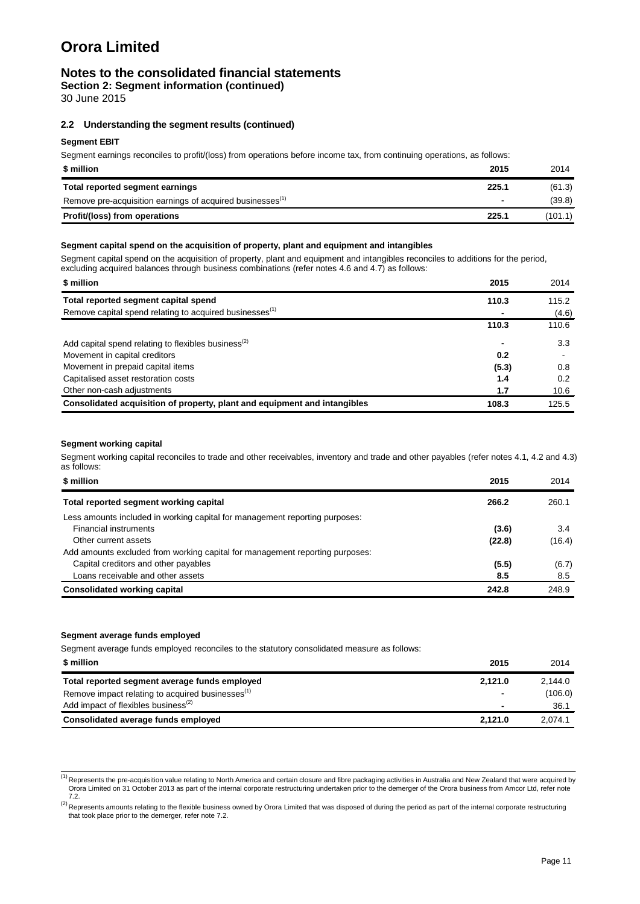### **Notes to the consolidated financial statements**

**Section 2: Segment information (continued)**

30 June 2015

#### **2.2 Understanding the segment results (continued)**

#### **Segment EBIT**

Segment earnings reconciles to profit/(loss) from operations before income tax, from continuing operations, as follows:

| \$ million                                                            | 2015  | 2014    |
|-----------------------------------------------------------------------|-------|---------|
| Total reported segment earnings                                       | 225.1 | (61.3)  |
| Remove pre-acquisition earnings of acquired businesses <sup>(1)</sup> | ۰     | (39.8)  |
| Profit/(loss) from operations                                         | 225.1 | (101.1) |

#### **Segment capital spend on the acquisition of property, plant and equipment and intangibles**

Segment capital spend on the acquisition of property, plant and equipment and intangibles reconciles to additions for the period, excluding acquired balances through business combinations (refer notes 4.6 and 4.7) as follows:

| \$ million<br>2015                                                                 | 2014  |
|------------------------------------------------------------------------------------|-------|
| Total reported segment capital spend<br>110.3                                      | 115.2 |
| Remove capital spend relating to acquired businesses <sup>(1)</sup>                | (4.6) |
| 110.3                                                                              | 110.6 |
| Add capital spend relating to flexibles business <sup>(2)</sup>                    | 3.3   |
| Movement in capital creditors<br>0.2                                               |       |
| Movement in prepaid capital items<br>(5.3)                                         | 0.8   |
| Capitalised asset restoration costs<br>1.4                                         | 0.2   |
| Other non-cash adjustments<br>1.7                                                  | 10.6  |
| Consolidated acquisition of property, plant and equipment and intangibles<br>108.3 | 125.5 |

#### **Segment working capital**

Segment working capital reconciles to trade and other receivables, inventory and trade and other payables (refer notes 4.1, 4.2 and 4.3) as follows:

| \$ million                                                                   | 2015   | 2014   |
|------------------------------------------------------------------------------|--------|--------|
| Total reported segment working capital                                       | 266.2  | 260.1  |
| Less amounts included in working capital for management reporting purposes:  |        |        |
| <b>Financial instruments</b>                                                 | (3.6)  | 3.4    |
| Other current assets                                                         | (22.8) | (16.4) |
| Add amounts excluded from working capital for management reporting purposes: |        |        |
| Capital creditors and other payables                                         | (5.5)  | (6.7)  |
| Loans receivable and other assets                                            | 8.5    | 8.5    |
| <b>Consolidated working capital</b>                                          | 242.8  | 248.9  |

#### **Segment average funds employed**

Segment average funds employed reconciles to the statutory consolidated measure as follows:

| \$ million                                                   | 2015    | 2014    |
|--------------------------------------------------------------|---------|---------|
| Total reported segment average funds employed                | 2.121.0 | 2.144.0 |
| Remove impact relating to acquired businesses <sup>(1)</sup> | ۰       | (106.0) |
| Add impact of flexibles business <sup>(2)</sup>              | ۰       | 36.7    |
| Consolidated average funds employed                          | 2.121.0 | 2.074.1 |

<sup>&</sup>lt;sup>(1)</sup> Represents the pre-acquisition value relating to North America and certain closure and fibre packaging activities in Australia and New Zealand that were acquired by Orora Limited on 31 October 2013 as part of the internal corporate restructuring undertaken prior to the demerger of the Orora business from Amcor Ltd, refer note 7.2.

(2) Represents amounts relating to the flexible business owned by Orora Limited that was disposed of during the period as part of the internal corporate restructuring that took place prior to the demerger, refer note 7.2.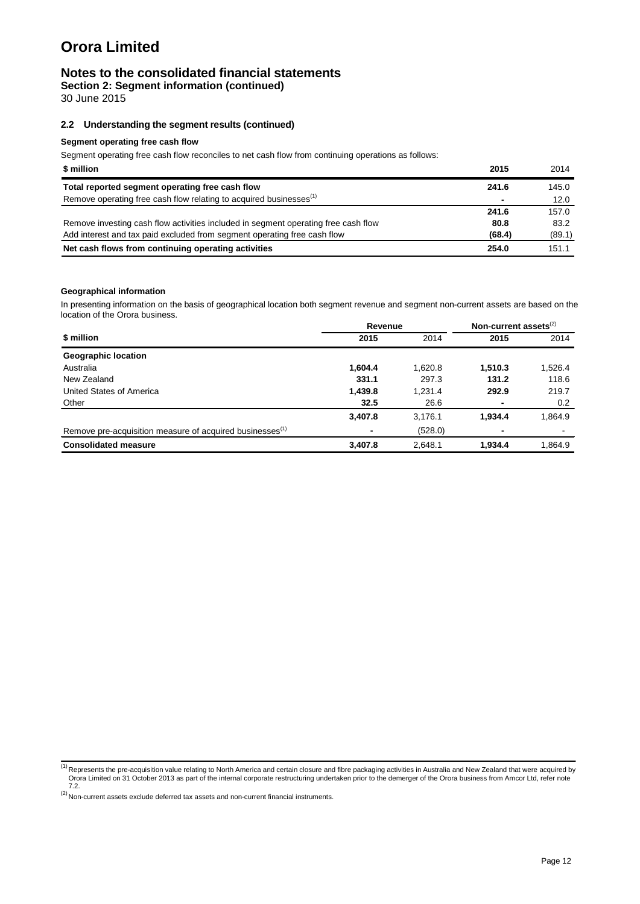### **Notes to the consolidated financial statements**

**Section 2: Segment information (continued)**

30 June 2015

#### **2.2 Understanding the segment results (continued)**

#### **Segment operating free cash flow**

Segment operating free cash flow reconciles to net cash flow from continuing operations as follows:

| \$ million                                                                         | 2015   | 2014   |
|------------------------------------------------------------------------------------|--------|--------|
| Total reported segment operating free cash flow                                    | 241.6  | 145.0  |
| Remove operating free cash flow relating to acquired businesses <sup>(1)</sup>     | -      | 12.0   |
|                                                                                    | 241.6  | 157.0  |
| Remove investing cash flow activities included in segment operating free cash flow | 80.8   | 83.2   |
| Add interest and tax paid excluded from segment operating free cash flow           | (68.4) | (89.1) |
| Net cash flows from continuing operating activities                                | 254.0  | 151.1  |

#### **Geographical information**

In presenting information on the basis of geographical location both segment revenue and segment non-current assets are based on the location of the Orora business.

|                                                                      | Revenue | Non-current assets $(2)$ |         |         |
|----------------------------------------------------------------------|---------|--------------------------|---------|---------|
| \$ million                                                           | 2015    | 2014                     | 2015    | 2014    |
| <b>Geographic location</b>                                           |         |                          |         |         |
| Australia                                                            | 1,604.4 | 1,620.8                  | 1,510.3 | 1,526.4 |
| New Zealand                                                          | 331.1   | 297.3                    | 131.2   | 118.6   |
| United States of America                                             | 1,439.8 | 1,231.4                  | 292.9   | 219.7   |
| Other                                                                | 32.5    | 26.6                     |         | 0.2     |
|                                                                      | 3,407.8 | 3,176.1                  | 1.934.4 | 1,864.9 |
| Remove pre-acquisition measure of acquired businesses <sup>(1)</sup> |         | (528.0)                  |         |         |
| <b>Consolidated measure</b>                                          | 3,407.8 | 2,648.1                  | 1,934.4 | 1,864.9 |

<sup>(1)</sup> Represents the pre-acquisition value relating to North America and certain closure and fibre packaging activities in Australia and New Zealand that were acquired by Orora Limited on 31 October 2013 as part of the internal corporate restructuring undertaken prior to the demerger of the Orora business from Amcor Ltd, refer note 7.2.

 $<sup>(2)</sup>$  Non-current assets exclude deferred tax assets and non-current financial instruments.</sup>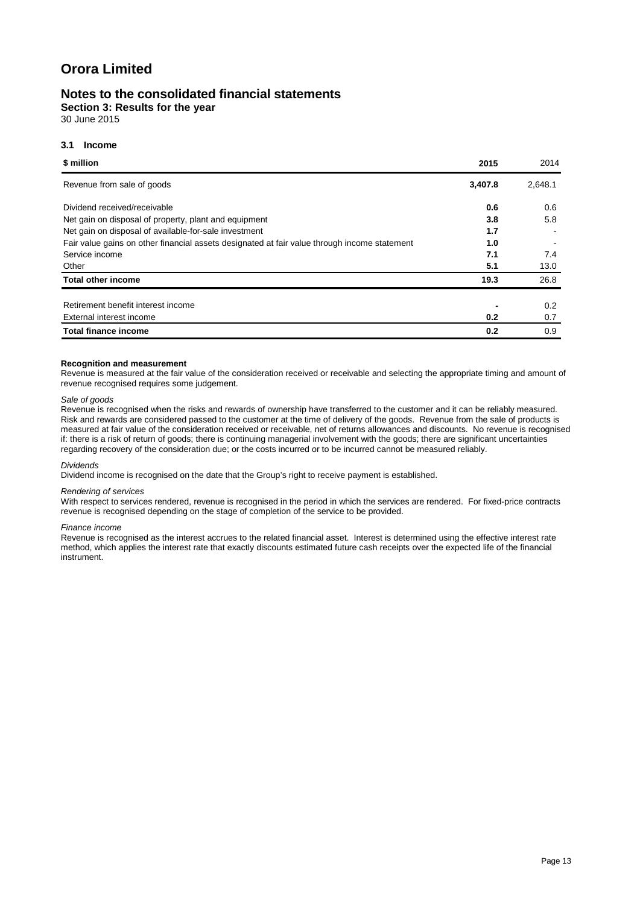### **Notes to the consolidated financial statements**

**Section 3: Results for the year**

30 June 2015

#### **3.1 Income**

| \$ million                                                                                   | 2015    | 2014    |
|----------------------------------------------------------------------------------------------|---------|---------|
| Revenue from sale of goods                                                                   | 3,407.8 | 2,648.1 |
| Dividend received/receivable                                                                 | 0.6     | 0.6     |
| Net gain on disposal of property, plant and equipment                                        | 3.8     | 5.8     |
| Net gain on disposal of available-for-sale investment                                        | 1.7     |         |
| Fair value gains on other financial assets designated at fair value through income statement | 1.0     |         |
| Service income                                                                               | 7.1     | 7.4     |
| Other                                                                                        | 5.1     | 13.0    |
| <b>Total other income</b>                                                                    | 19.3    | 26.8    |
|                                                                                              |         |         |
| Retirement benefit interest income                                                           |         | 0.2     |
| External interest income                                                                     | 0.2     | 0.7     |
| <b>Total finance income</b>                                                                  | 0.2     | 0.9     |

#### **Recognition and measurement**

Revenue is measured at the fair value of the consideration received or receivable and selecting the appropriate timing and amount of revenue recognised requires some judgement.

#### *Sale of goods*

Revenue is recognised when the risks and rewards of ownership have transferred to the customer and it can be reliably measured. Risk and rewards are considered passed to the customer at the time of delivery of the goods. Revenue from the sale of products is measured at fair value of the consideration received or receivable, net of returns allowances and discounts. No revenue is recognised if: there is a risk of return of goods; there is continuing managerial involvement with the goods; there are significant uncertainties regarding recovery of the consideration due; or the costs incurred or to be incurred cannot be measured reliably.

#### *Dividends*

Dividend income is recognised on the date that the Group's right to receive payment is established.

#### *Rendering of services*

With respect to services rendered, revenue is recognised in the period in which the services are rendered. For fixed-price contracts revenue is recognised depending on the stage of completion of the service to be provided.

#### *Finance income*

Revenue is recognised as the interest accrues to the related financial asset. Interest is determined using the effective interest rate method, which applies the interest rate that exactly discounts estimated future cash receipts over the expected life of the financial instrument.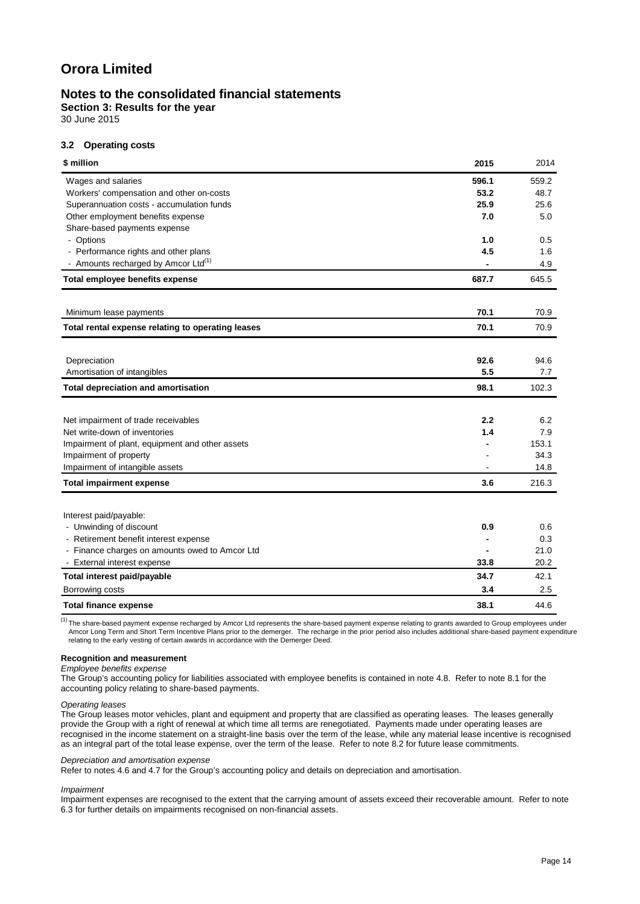### **Notes to the consolidated financial statements**

**Section 3: Results for the year**

30 June 2015

#### **3.2 Operating costs**

| \$ million                                        | 2015  | 2014  |
|---------------------------------------------------|-------|-------|
| Wages and salaries                                | 596.1 | 559.2 |
| Workers' compensation and other on-costs          | 53.2  | 48.7  |
| Superannuation costs - accumulation funds         | 25.9  | 25.6  |
| Other employment benefits expense                 | 7.0   | 5.0   |
| Share-based payments expense                      |       |       |
| - Options                                         | 1.0   | 0.5   |
| - Performance rights and other plans              | 4.5   | 1.6   |
| - Amounts recharged by Amcor Ltd <sup>(1)</sup>   |       | 4.9   |
| Total employee benefits expense                   | 687.7 | 645.5 |
| Minimum lease payments                            | 70.1  | 70.9  |
|                                                   |       |       |
| Total rental expense relating to operating leases | 70.1  | 70.9  |
| Depreciation                                      | 92.6  | 94.6  |
| Amortisation of intangibles                       | 5.5   | 7.7   |
| <b>Total depreciation and amortisation</b>        | 98.1  | 102.3 |
|                                                   |       |       |
| Net impairment of trade receivables               | 2.2   | 6.2   |
| Net write-down of inventories                     | 1.4   | 7.9   |
| Impairment of plant, equipment and other assets   |       | 153.1 |
| Impairment of property                            |       | 34.3  |
| Impairment of intangible assets                   |       | 14.8  |
| <b>Total impairment expense</b>                   | 3.6   | 216.3 |
| Interest paid/payable:                            |       |       |
| - Unwinding of discount                           | 0.9   | 0.6   |
| - Retirement benefit interest expense             |       | 0.3   |
| - Finance charges on amounts owed to Amcor Ltd    |       | 21.0  |
| - External interest expense                       | 33.8  | 20.2  |
| Total interest paid/payable                       | 34.7  | 42.1  |
| Borrowing costs                                   | 3.4   | 2.5   |
| <b>Total finance expense</b>                      | 38.1  | 44.6  |

 $\frac{(1)}{(1)}$ The share-based payment expense recharged by Amcor Ltd represents the share-based payment expense relating to grants awarded to Group employees under Amcor Long Term and Short Term Incentive Plans prior to the demerger. The recharge in the prior period also includes additional share-based payment expenditure<br>relating to the early vesting of certain awards in accordance

#### **Recognition and measurement**

#### *Employee benefits expense*

The Group's accounting policy for liabilities associated with employee benefits is contained in note 4.8. Refer to note 8.1 for the accounting policy relating to share-based payments.

#### *Operating leases*

The Group leases motor vehicles, plant and equipment and property that are classified as operating leases. The leases generally provide the Group with a right of renewal at which time all terms are renegotiated. Payments made under operating leases are recognised in the income statement on a straight-line basis over the term of the lease, while any material lease incentive is recognised as an integral part of the total lease expense, over the term of the lease. Refer to note 8.2 for future lease commitments.

#### *Depreciation and amortisation expense*

Refer to notes 4.6 and 4.7 for the Group's accounting policy and details on depreciation and amortisation.

#### *Impairment*

Impairment expenses are recognised to the extent that the carrying amount of assets exceed their recoverable amount. Refer to note 6.3 for further details on impairments recognised on non-financial assets.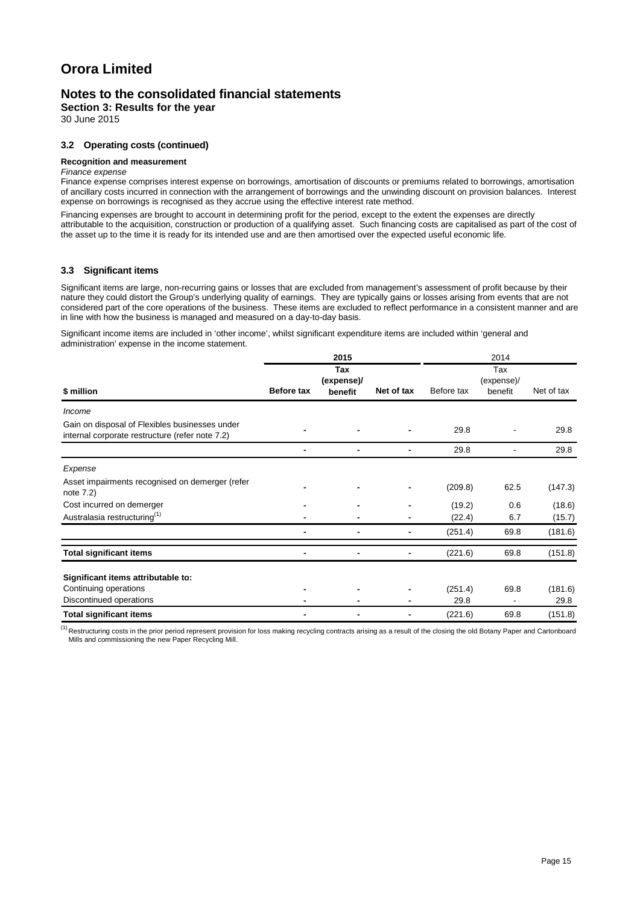### **Notes to the consolidated financial statements**

**Section 3: Results for the year**

30 June 2015

#### **3.2 Operating costs (continued)**

#### **Recognition and measurement**

#### *Finance expense*

Finance expense comprises interest expense on borrowings, amortisation of discounts or premiums related to borrowings, amortisation of ancillary costs incurred in connection with the arrangement of borrowings and the unwinding discount on provision balances. Interest expense on borrowings is recognised as they accrue using the effective interest rate method.

Financing expenses are brought to account in determining profit for the period, except to the extent the expenses are directly attributable to the acquisition, construction or production of a qualifying asset. Such financing costs are capitalised as part of the cost of the asset up to the time it is ready for its intended use and are then amortised over the expected useful economic life.

#### **3.3 Significant items**

Significant items are large, non-recurring gains or losses that are excluded from management's assessment of profit because by their nature they could distort the Group's underlying quality of earnings. They are typically gains or losses arising from events that are not considered part of the core operations of the business. These items are excluded to reflect performance in a consistent manner and are in line with how the business is managed and measured on a day-to-day basis.

Significant income items are included in 'other income', whilst significant expenditure items are included within 'general and administration' expense in the income statement.

|                                                                                                   |            | 2015                         |                |            | 2014                         |            |
|---------------------------------------------------------------------------------------------------|------------|------------------------------|----------------|------------|------------------------------|------------|
| \$ million                                                                                        | Before tax | Tax<br>(expense)/<br>benefit | Net of tax     | Before tax | Tax<br>(expense)/<br>benefit | Net of tax |
| Income                                                                                            |            |                              |                |            |                              |            |
| Gain on disposal of Flexibles businesses under<br>internal corporate restructure (refer note 7.2) |            |                              |                | 29.8       |                              | 29.8       |
|                                                                                                   |            | $\blacksquare$               | $\blacksquare$ | 29.8       |                              | 29.8       |
| Expense                                                                                           |            |                              |                |            |                              |            |
| Asset impairments recognised on demerger (refer<br>note 7.2)                                      |            |                              |                | (209.8)    | 62.5                         | (147.3)    |
| Cost incurred on demerger                                                                         |            |                              | $\blacksquare$ | (19.2)     | 0.6                          | (18.6)     |
| Australasia restructuring <sup>(1)</sup>                                                          |            |                              |                | (22.4)     | 6.7                          | (15.7)     |
|                                                                                                   |            |                              |                | (251.4)    | 69.8                         | (181.6)    |
| <b>Total significant items</b>                                                                    |            |                              |                | (221.6)    | 69.8                         | (151.8)    |
| Significant items attributable to:                                                                |            |                              |                |            |                              |            |
| Continuing operations                                                                             |            |                              |                | (251.4)    | 69.8                         | (181.6)    |
| Discontinued operations                                                                           |            |                              |                | 29.8       |                              | 29.8       |
| <b>Total significant items</b>                                                                    |            |                              | $\blacksquare$ | (221.6)    | 69.8                         | (151.8)    |

<sup>(1)</sup> Restructuring costs in the prior period represent provision for loss making recycling contracts arising as a result of the closing the old Botany Paper and Cartonboard Mills and commissioning the new Paper Recycling Mill.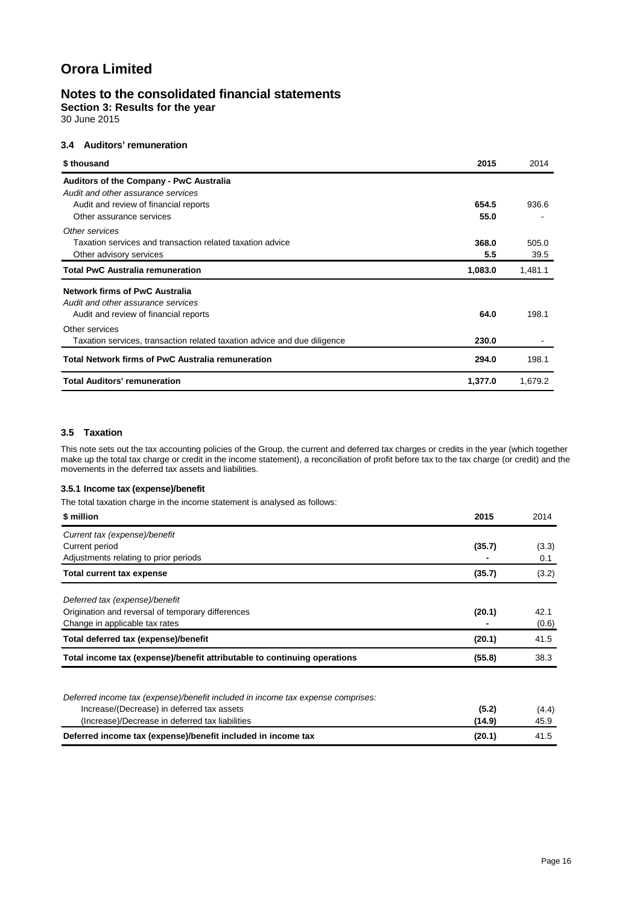### **Notes to the consolidated financial statements**

**Section 3: Results for the year**

30 June 2015

### **3.4 Auditors' remuneration**

| \$ thousand                                                                                                   | 2015          | 2014          |
|---------------------------------------------------------------------------------------------------------------|---------------|---------------|
| <b>Auditors of the Company - PwC Australia</b><br>Audit and other assurance services                          |               |               |
| Audit and review of financial reports<br>Other assurance services                                             | 654.5<br>55.0 | 936.6         |
| Other services<br>Taxation services and transaction related taxation advice<br>Other advisory services        | 368.0<br>5.5  | 505.0<br>39.5 |
| <b>Total PwC Australia remuneration</b>                                                                       | 1,083.0       | 1,481.1       |
| Network firms of PwC Australia<br>Audit and other assurance services<br>Audit and review of financial reports | 64.0          | 198.1         |
| Other services<br>Taxation services, transaction related taxation advice and due diligence                    | 230.0         |               |
| Total Network firms of PwC Australia remuneration                                                             | 294.0         | 198.1         |
| <b>Total Auditors' remuneration</b>                                                                           | 1,377.0       | 1,679.2       |

### **3.5 Taxation**

This note sets out the tax accounting policies of the Group, the current and deferred tax charges or credits in the year (which together make up the total tax charge or credit in the income statement), a reconciliation of profit before tax to the tax charge (or credit) and the movements in the deferred tax assets and liabilities.

### **3.5.1 Income tax (expense)/benefit**

The total taxation charge in the income statement is analysed as follows:

| \$ million                                                               | 2015   | 2014  |
|--------------------------------------------------------------------------|--------|-------|
| Current tax (expense)/benefit                                            |        |       |
| Current period                                                           | (35.7) | (3.3) |
| Adjustments relating to prior periods                                    |        | 0.1   |
| <b>Total current tax expense</b>                                         | (35.7) | (3.2) |
| Deferred tax (expense)/benefit                                           |        |       |
| Origination and reversal of temporary differences                        | (20.1) | 42.1  |
| Change in applicable tax rates                                           |        | (0.6) |
| Total deferred tax (expense)/benefit                                     | (20.1) | 41.5  |
| Total income tax (expense)/benefit attributable to continuing operations | (55.8) | 38.3  |
|                                                                          |        |       |

| Deferred income tax (expense)/benefit included in income tax expense comprises: |       |
|---------------------------------------------------------------------------------|-------|
| Increase/(Decrease) in deferred tax assets<br>(5.2)                             | (4.4) |
| (Increase)/Decrease in deferred tax liabilities<br>(14.9)                       | 45.9  |
| Deferred income tax (expense)/benefit included in income tax<br>(20.1)          | 41.5  |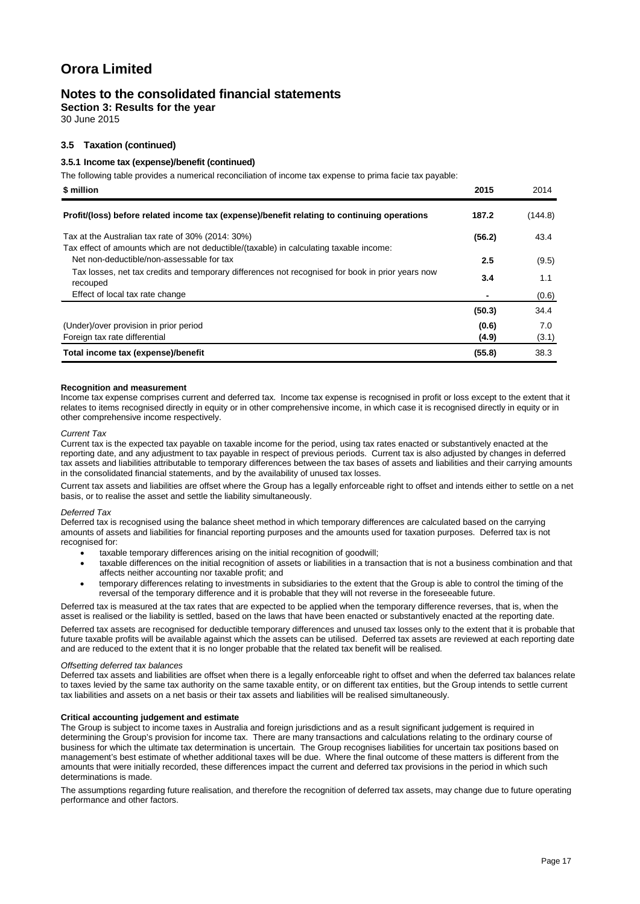### **Notes to the consolidated financial statements**

**Section 3: Results for the year**

30 June 2015

#### **3.5 Taxation (continued)**

#### **3.5.1 Income tax (expense)/benefit (continued)**

The following table provides a numerical reconciliation of income tax expense to prima facie tax payable:

| \$ million                                                                                                                                   | 2015   | 2014    |
|----------------------------------------------------------------------------------------------------------------------------------------------|--------|---------|
| Profit/(loss) before related income tax (expense)/benefit relating to continuing operations                                                  | 187.2  | (144.8) |
| Tax at the Australian tax rate of 30% (2014: 30%)<br>Tax effect of amounts which are not deductible/(taxable) in calculating taxable income: | (56.2) | 43.4    |
| Net non-deductible/non-assessable for tax                                                                                                    | 2.5    | (9.5)   |
| Tax losses, net tax credits and temporary differences not recognised for book in prior years now<br>recouped                                 | 3.4    | 1.1     |
| Effect of local tax rate change                                                                                                              |        | (0.6)   |
|                                                                                                                                              | (50.3) | 34.4    |
| (Under)/over provision in prior period                                                                                                       | (0.6)  | 7.0     |
| Foreign tax rate differential                                                                                                                | (4.9)  | (3.1)   |
| Total income tax (expense)/benefit                                                                                                           | (55.8) | 38.3    |

#### **Recognition and measurement**

Income tax expense comprises current and deferred tax. Income tax expense is recognised in profit or loss except to the extent that it relates to items recognised directly in equity or in other comprehensive income, in which case it is recognised directly in equity or in other comprehensive income respectively.

#### *Current Tax*

Current tax is the expected tax payable on taxable income for the period, using tax rates enacted or substantively enacted at the reporting date, and any adjustment to tax payable in respect of previous periods. Current tax is also adjusted by changes in deferred tax assets and liabilities attributable to temporary differences between the tax bases of assets and liabilities and their carrying amounts in the consolidated financial statements, and by the availability of unused tax losses.

Current tax assets and liabilities are offset where the Group has a legally enforceable right to offset and intends either to settle on a net basis, or to realise the asset and settle the liability simultaneously.

#### *Deferred Tax*

Deferred tax is recognised using the balance sheet method in which temporary differences are calculated based on the carrying amounts of assets and liabilities for financial reporting purposes and the amounts used for taxation purposes. Deferred tax is not recognised for:

- taxable temporary differences arising on the initial recognition of goodwill:
- taxable differences on the initial recognition of assets or liabilities in a transaction that is not a business combination and that affects neither accounting nor taxable profit; and
- temporary differences relating to investments in subsidiaries to the extent that the Group is able to control the timing of the reversal of the temporary difference and it is probable that they will not reverse in the foreseeable future.

Deferred tax is measured at the tax rates that are expected to be applied when the temporary difference reverses, that is, when the asset is realised or the liability is settled, based on the laws that have been enacted or substantively enacted at the reporting date.

Deferred tax assets are recognised for deductible temporary differences and unused tax losses only to the extent that it is probable that future taxable profits will be available against which the assets can be utilised. Deferred tax assets are reviewed at each reporting date and are reduced to the extent that it is no longer probable that the related tax benefit will be realised.

#### *Offsetting deferred tax balances*

Deferred tax assets and liabilities are offset when there is a legally enforceable right to offset and when the deferred tax balances relate to taxes levied by the same tax authority on the same taxable entity, or on different tax entities, but the Group intends to settle current tax liabilities and assets on a net basis or their tax assets and liabilities will be realised simultaneously.

#### **Critical accounting judgement and estimate**

The Group is subject to income taxes in Australia and foreign jurisdictions and as a result significant judgement is required in determining the Group's provision for income tax. There are many transactions and calculations relating to the ordinary course of business for which the ultimate tax determination is uncertain. The Group recognises liabilities for uncertain tax positions based on management's best estimate of whether additional taxes will be due. Where the final outcome of these matters is different from the amounts that were initially recorded, these differences impact the current and deferred tax provisions in the period in which such determinations is made.

The assumptions regarding future realisation, and therefore the recognition of deferred tax assets, may change due to future operating performance and other factors.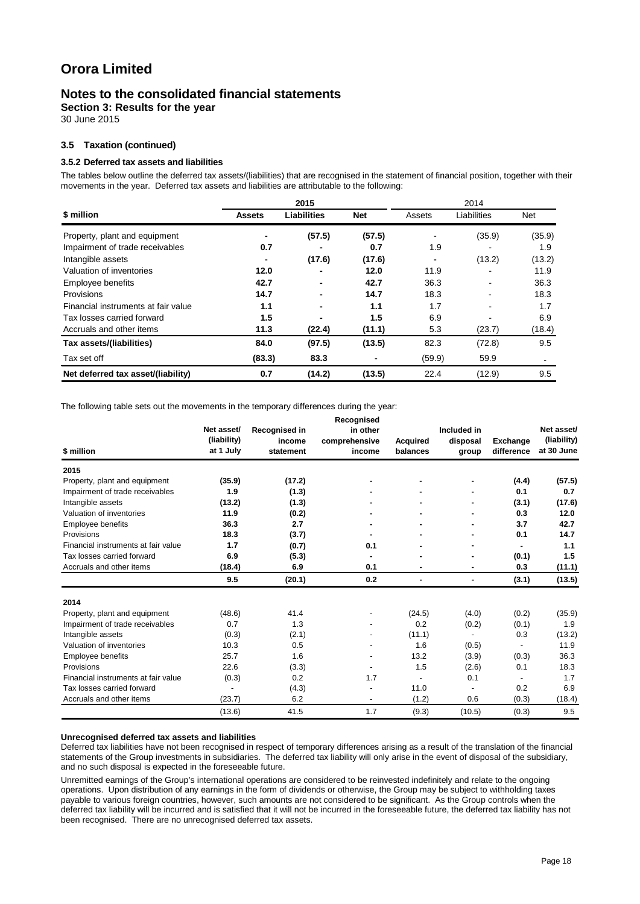### **Notes to the consolidated financial statements**

**Section 3: Results for the year**

30 June 2015

#### **3.5 Taxation (continued)**

#### **3.5.2 Deferred tax assets and liabilities**

The tables below outline the deferred tax assets/(liabilities) that are recognised in the statement of financial position, together with their movements in the year. Deferred tax assets and liabilities are attributable to the following:

|                                     | 2015          |                    |                | 2014           |             |        |
|-------------------------------------|---------------|--------------------|----------------|----------------|-------------|--------|
| \$ million                          | <b>Assets</b> | <b>Liabilities</b> | <b>Net</b>     | Assets         | Liabilities | Net    |
| Property, plant and equipment       |               | (57.5)             | (57.5)         |                | (35.9)      | (35.9) |
| Impairment of trade receivables     | 0.7           |                    | 0.7            | 1.9            |             | 1.9    |
| Intangible assets                   |               | (17.6)             | (17.6)         | $\blacksquare$ | (13.2)      | (13.2) |
| Valuation of inventories            | 12.0          |                    | 12.0           | 11.9           |             | 11.9   |
| Employee benefits                   | 42.7          | $\blacksquare$     | 42.7           | 36.3           |             | 36.3   |
| Provisions                          | 14.7          | $\blacksquare$     | 14.7           | 18.3           |             | 18.3   |
| Financial instruments at fair value | 1.1           |                    | 1.1            | 1.7            |             | 1.7    |
| Tax losses carried forward          | 1.5           |                    | 1.5            | 6.9            |             | 6.9    |
| Accruals and other items            | 11.3          | (22.4)             | (11.1)         | 5.3            | (23.7)      | (18.4) |
| Tax assets/(liabilities)            | 84.0          | (97.5)             | (13.5)         | 82.3           | (72.8)      | 9.5    |
| Tax set off                         | (83.3)        | 83.3               | $\blacksquare$ | (59.9)         | 59.9        |        |
| Net deferred tax asset/(liability)  | 0.7           | (14.2)             | (13.5)         | 22.4           | (12.9)      | 9.5    |

The following table sets out the movements in the temporary differences during the year:

| \$ million                          | Net asset/<br>(liability)<br>at 1 July | Recognised in<br>income<br>statement | Recognised<br>in other<br>comprehensive<br>income | <b>Acquired</b><br>balances | Included in<br>disposal<br>group | <b>Exchange</b><br>difference | Net asset/<br>(liability)<br>at 30 June |
|-------------------------------------|----------------------------------------|--------------------------------------|---------------------------------------------------|-----------------------------|----------------------------------|-------------------------------|-----------------------------------------|
| 2015                                |                                        |                                      |                                                   |                             |                                  |                               |                                         |
| Property, plant and equipment       | (35.9)                                 | (17.2)                               |                                                   |                             |                                  | (4.4)                         | (57.5)                                  |
| Impairment of trade receivables     | 1.9                                    | (1.3)                                |                                                   |                             | ۰                                | 0.1                           | 0.7                                     |
| Intangible assets                   | (13.2)                                 | (1.3)                                |                                                   |                             | ٠                                | (3.1)                         | (17.6)                                  |
| Valuation of inventories            | 11.9                                   | (0.2)                                |                                                   |                             |                                  | 0.3                           | 12.0                                    |
| <b>Employee benefits</b>            | 36.3                                   | 2.7                                  |                                                   |                             |                                  | 3.7                           | 42.7                                    |
| Provisions                          | 18.3                                   | (3.7)                                |                                                   |                             | ۰                                | 0.1                           | 14.7                                    |
| Financial instruments at fair value | 1.7                                    | (0.7)                                | 0.1                                               |                             |                                  | ۰                             | 1.1                                     |
| Tax losses carried forward          | 6.9                                    | (5.3)                                |                                                   |                             |                                  | (0.1)                         | 1.5                                     |
| Accruals and other items            | (18.4)                                 | 6.9                                  | 0.1                                               | ٠                           | ٠                                | 0.3                           | (11.1)                                  |
|                                     | 9.5                                    | (20.1)                               | 0.2                                               | ٠                           | $\blacksquare$                   | (3.1)                         | (13.5)                                  |
| 2014                                |                                        |                                      |                                                   |                             |                                  |                               |                                         |
| Property, plant and equipment       | (48.6)                                 | 41.4                                 |                                                   | (24.5)                      | (4.0)                            | (0.2)                         | (35.9)                                  |
| Impairment of trade receivables     | 0.7                                    | 1.3                                  |                                                   | 0.2                         | (0.2)                            | (0.1)                         | 1.9                                     |
| Intangible assets                   | (0.3)                                  | (2.1)                                |                                                   | (11.1)                      |                                  | 0.3                           | (13.2)                                  |
| Valuation of inventories            | 10.3                                   | 0.5                                  |                                                   | 1.6                         | (0.5)                            |                               | 11.9                                    |
| <b>Employee benefits</b>            | 25.7                                   | 1.6                                  |                                                   | 13.2                        | (3.9)                            | (0.3)                         | 36.3                                    |
| Provisions                          | 22.6                                   | (3.3)                                | $\overline{\phantom{a}}$                          | 1.5                         | (2.6)                            | 0.1                           | 18.3                                    |
| Financial instruments at fair value | (0.3)                                  | 0.2                                  | 1.7                                               |                             | 0.1                              |                               | 1.7                                     |
| Tax losses carried forward          | $\overline{\phantom{a}}$               | (4.3)                                |                                                   | 11.0                        |                                  | 0.2                           | 6.9                                     |
| Accruals and other items            | (23.7)                                 | 6.2                                  | $\overline{\phantom{a}}$                          | (1.2)                       | 0.6                              | (0.3)                         | (18.4)                                  |
|                                     | (13.6)                                 | 41.5                                 | 1.7                                               | (9.3)                       | (10.5)                           | (0.3)                         | 9.5                                     |

#### **Unrecognised deferred tax assets and liabilities**

Deferred tax liabilities have not been recognised in respect of temporary differences arising as a result of the translation of the financial statements of the Group investments in subsidiaries. The deferred tax liability will only arise in the event of disposal of the subsidiary, and no such disposal is expected in the foreseeable future.

Unremitted earnings of the Group's international operations are considered to be reinvested indefinitely and relate to the ongoing operations. Upon distribution of any earnings in the form of dividends or otherwise, the Group may be subject to withholding taxes payable to various foreign countries, however, such amounts are not considered to be significant. As the Group controls when the deferred tax liability will be incurred and is satisfied that it will not be incurred in the foreseeable future, the deferred tax liability has not been recognised. There are no unrecognised deferred tax assets.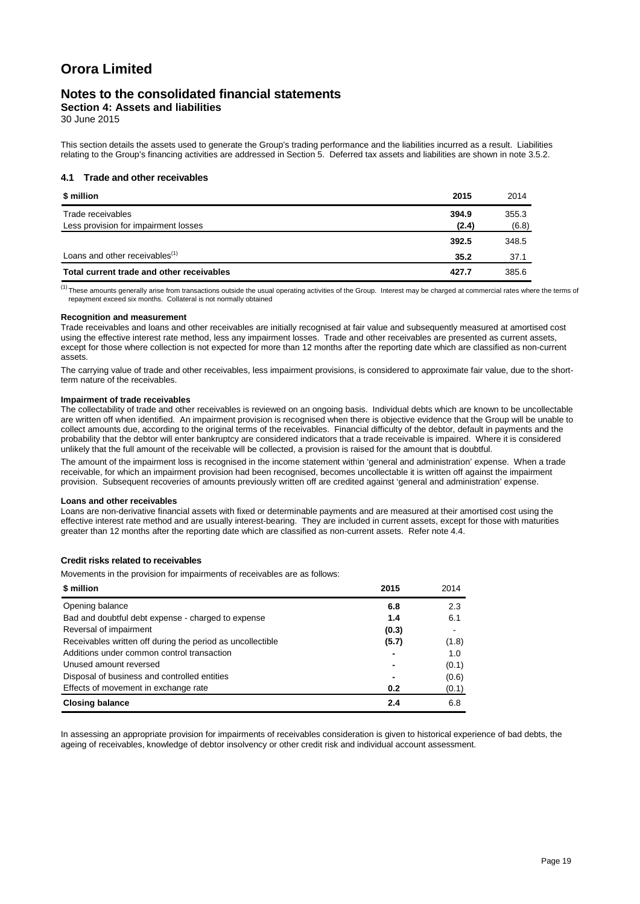### **Notes to the consolidated financial statements**

**Section 4: Assets and liabilities**

30 June 2015

This section details the assets used to generate the Group's trading performance and the liabilities incurred as a result. Liabilities relating to the Group's financing activities are addressed in Section 5. Deferred tax assets and liabilities are shown in note 3.5.2.

#### **4.1 Trade and other receivables**

| \$ million                                 | 2015  | 2014  |
|--------------------------------------------|-------|-------|
| Trade receivables                          | 394.9 | 355.3 |
| Less provision for impairment losses       | (2.4) | (6.8) |
|                                            | 392.5 | 348.5 |
| Loans and other receivables <sup>(1)</sup> | 35.2  | 37.1  |
| Total current trade and other receivables  | 427.7 | 385.6 |

<sup>(1)</sup>These amounts generally arise from transactions outside the usual operating activities of the Group. Interest may be charged at commercial rates where the terms of repayment exceed six months. Collateral is not normally obtained

#### **Recognition and measurement**

Trade receivables and loans and other receivables are initially recognised at fair value and subsequently measured at amortised cost using the effective interest rate method, less any impairment losses. Trade and other receivables are presented as current assets, except for those where collection is not expected for more than 12 months after the reporting date which are classified as non-current assets.

The carrying value of trade and other receivables, less impairment provisions, is considered to approximate fair value, due to the shortterm nature of the receivables.

#### **Impairment of trade receivables**

The collectability of trade and other receivables is reviewed on an ongoing basis. Individual debts which are known to be uncollectable are written off when identified. An impairment provision is recognised when there is objective evidence that the Group will be unable to collect amounts due, according to the original terms of the receivables. Financial difficulty of the debtor, default in payments and the probability that the debtor will enter bankruptcy are considered indicators that a trade receivable is impaired. Where it is considered unlikely that the full amount of the receivable will be collected, a provision is raised for the amount that is doubtful.

The amount of the impairment loss is recognised in the income statement within 'general and administration' expense. When a trade receivable, for which an impairment provision had been recognised, becomes uncollectable it is written off against the impairment provision. Subsequent recoveries of amounts previously written off are credited against 'general and administration' expense.

#### **Loans and other receivables**

Loans are non-derivative financial assets with fixed or determinable payments and are measured at their amortised cost using the effective interest rate method and are usually interest-bearing. They are included in current assets, except for those with maturities greater than 12 months after the reporting date which are classified as non-current assets. Refer note 4.4.

#### **Credit risks related to receivables**

Movements in the provision for impairments of receivables are as follows:

| \$ million                                                 | 2015  | 2014  |
|------------------------------------------------------------|-------|-------|
| Opening balance                                            | 6.8   | 2.3   |
| Bad and doubtful debt expense - charged to expense         | 1.4   | 6.1   |
| Reversal of impairment                                     | (0.3) | $\,$  |
| Receivables written off during the period as uncollectible | (5.7) | (1.8) |
| Additions under common control transaction                 |       | 1.0   |
| Unused amount reversed                                     | -     | (0.1) |
| Disposal of business and controlled entities               | -     | (0.6) |
| Effects of movement in exchange rate                       | 0.2   | (0.1) |
| <b>Closing balance</b>                                     | 2.4   | 6.8   |

In assessing an appropriate provision for impairments of receivables consideration is given to historical experience of bad debts, the ageing of receivables, knowledge of debtor insolvency or other credit risk and individual account assessment.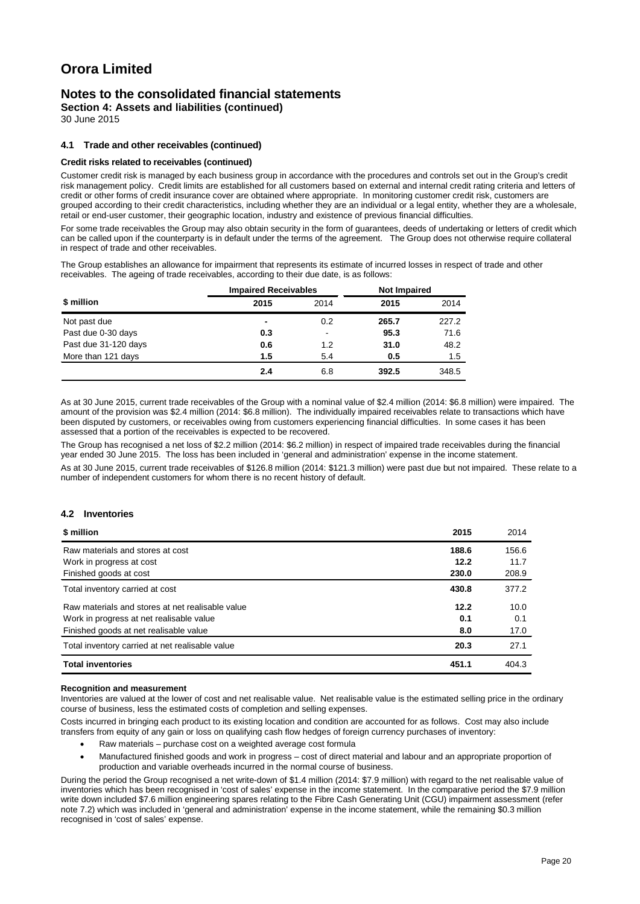### **Notes to the consolidated financial statements**

**Section 4: Assets and liabilities (continued)**

30 June 2015

#### **4.1 Trade and other receivables (continued)**

#### **Credit risks related to receivables (continued)**

Customer credit risk is managed by each business group in accordance with the procedures and controls set out in the Group's credit risk management policy. Credit limits are established for all customers based on external and internal credit rating criteria and letters of credit or other forms of credit insurance cover are obtained where appropriate. In monitoring customer credit risk, customers are grouped according to their credit characteristics, including whether they are an individual or a legal entity, whether they are a wholesale, retail or end-user customer, their geographic location, industry and existence of previous financial difficulties.

For some trade receivables the Group may also obtain security in the form of guarantees, deeds of undertaking or letters of credit which can be called upon if the counterparty is in default under the terms of the agreement. The Group does not otherwise require collateral in respect of trade and other receivables.

The Group establishes an allowance for impairment that represents its estimate of incurred losses in respect of trade and other receivables. The ageing of trade receivables, according to their due date, is as follows:

| \$ million           |      | <b>Impaired Receivables</b> |       | <b>Not Impaired</b> |  |
|----------------------|------|-----------------------------|-------|---------------------|--|
|                      | 2015 | 2014                        | 2015  | 2014                |  |
| Not past due         | ۰    | 0.2                         | 265.7 | 227.2               |  |
| Past due 0-30 days   | 0.3  | $\blacksquare$              | 95.3  | 71.6                |  |
| Past due 31-120 days | 0.6  | 1.2                         | 31.0  | 48.2                |  |
| More than 121 days   | 1.5  | 5.4                         | 0.5   | 1.5                 |  |
|                      | 2.4  | 6.8                         | 392.5 | 348.5               |  |

As at 30 June 2015, current trade receivables of the Group with a nominal value of \$2.4 million (2014: \$6.8 million) were impaired. The amount of the provision was \$2.4 million (2014: \$6.8 million). The individually impaired receivables relate to transactions which have been disputed by customers, or receivables owing from customers experiencing financial difficulties. In some cases it has been assessed that a portion of the receivables is expected to be recovered.

The Group has recognised a net loss of \$2.2 million (2014: \$6.2 million) in respect of impaired trade receivables during the financial year ended 30 June 2015. The loss has been included in 'general and administration' expense in the income statement.

As at 30 June 2015, current trade receivables of \$126.8 million (2014: \$121.3 million) were past due but not impaired. These relate to a number of independent customers for whom there is no recent history of default.

#### **4.2 Inventories**

| \$ million                                       | 2015  | 2014  |
|--------------------------------------------------|-------|-------|
| Raw materials and stores at cost                 | 188.6 | 156.6 |
| Work in progress at cost                         | 12.2  | 11.7  |
| Finished goods at cost                           | 230.0 | 208.9 |
| Total inventory carried at cost                  | 430.8 | 377.2 |
| Raw materials and stores at net realisable value | 12.2  | 10.0  |
| Work in progress at net realisable value         | 0.1   | 0.1   |
| Finished goods at net realisable value           | 8.0   | 17.0  |
| Total inventory carried at net realisable value  | 20.3  | 27.1  |
| <b>Total inventories</b>                         | 451.1 | 404.3 |

#### **Recognition and measurement**

Inventories are valued at the lower of cost and net realisable value. Net realisable value is the estimated selling price in the ordinary course of business, less the estimated costs of completion and selling expenses.

Costs incurred in bringing each product to its existing location and condition are accounted for as follows. Cost may also include transfers from equity of any gain or loss on qualifying cash flow hedges of foreign currency purchases of inventory:

- Raw materials purchase cost on a weighted average cost formula
- Manufactured finished goods and work in progress cost of direct material and labour and an appropriate proportion of production and variable overheads incurred in the normal course of business.

During the period the Group recognised a net write-down of \$1.4 million (2014: \$7.9 million) with regard to the net realisable value of inventories which has been recognised in 'cost of sales' expense in the income statement. In the comparative period the \$7.9 million write down included \$7.6 million engineering spares relating to the Fibre Cash Generating Unit (CGU) impairment assessment (refer note 7.2) which was included in 'general and administration' expense in the income statement, while the remaining \$0.3 million recognised in 'cost of sales' expense.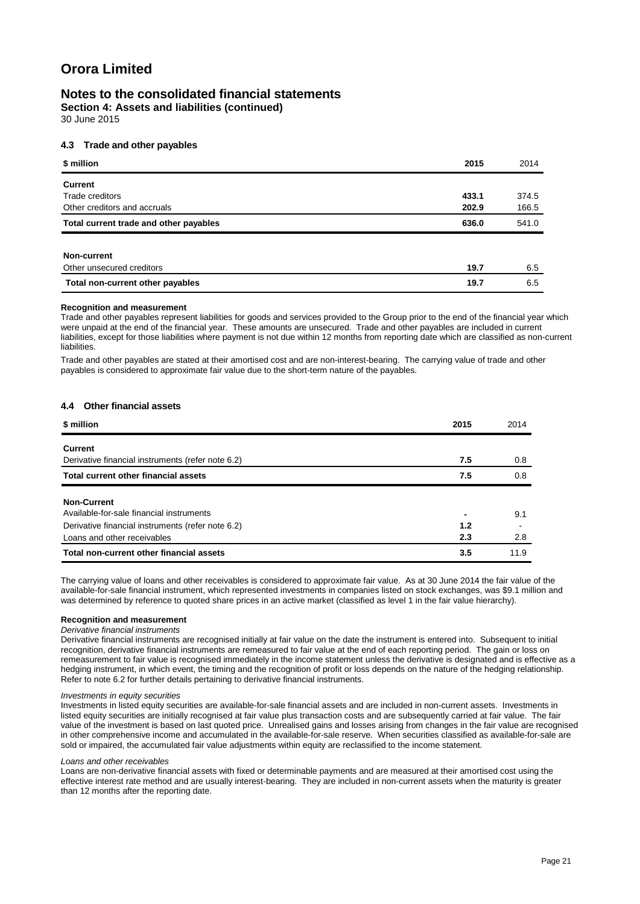### **Notes to the consolidated financial statements**

**Section 4: Assets and liabilities (continued)** 30 June 2015

#### **4.3 Trade and other payables**

| \$ million                             | 2015  | 2014  |
|----------------------------------------|-------|-------|
| <b>Current</b>                         |       |       |
| Trade creditors                        | 433.1 | 374.5 |
| Other creditors and accruals           | 202.9 | 166.5 |
| Total current trade and other payables | 636.0 | 541.0 |
|                                        |       |       |
| Non-current                            |       |       |
| Other unsecured creditors              | 19.7  | 6.5   |
| Total non-current other payables       | 19.7  | 6.5   |

#### **Recognition and measurement**

Trade and other payables represent liabilities for goods and services provided to the Group prior to the end of the financial year which were unpaid at the end of the financial year. These amounts are unsecured. Trade and other payables are included in current liabilities, except for those liabilities where payment is not due within 12 months from reporting date which are classified as non-current liabilities.

Trade and other payables are stated at their amortised cost and are non-interest-bearing. The carrying value of trade and other payables is considered to approximate fair value due to the short-term nature of the payables.

#### **4.4 Other financial assets**

| \$ million                                        | 2015 | 2014 |
|---------------------------------------------------|------|------|
| <b>Current</b>                                    |      |      |
| Derivative financial instruments (refer note 6.2) | 7.5  | 0.8  |
| Total current other financial assets              | 7.5  | 0.8  |
| <b>Non-Current</b>                                |      |      |
| Available-for-sale financial instruments          |      | 9.1  |
| Derivative financial instruments (refer note 6.2) | 1.2  |      |
| Loans and other receivables                       | 2.3  | 2.8  |
| Total non-current other financial assets          | 3.5  | 11.9 |

The carrying value of loans and other receivables is considered to approximate fair value. As at 30 June 2014 the fair value of the available-for-sale financial instrument, which represented investments in companies listed on stock exchanges, was \$9.1 million and was determined by reference to quoted share prices in an active market (classified as level 1 in the fair value hierarchy).

#### **Recognition and measurement**

*Derivative financial instruments* Derivative financial instruments are recognised initially at fair value on the date the instrument is entered into. Subsequent to initial recognition, derivative financial instruments are remeasured to fair value at the end of each reporting period. The gain or loss on remeasurement to fair value is recognised immediately in the income statement unless the derivative is designated and is effective as a hedging instrument, in which event, the timing and the recognition of profit or loss depends on the nature of the hedging relationship.

Refer to note 6.2 for further details pertaining to derivative financial instruments.

#### *Investments in equity securities*

Investments in listed equity securities are available-for-sale financial assets and are included in non-current assets. Investments in listed equity securities are initially recognised at fair value plus transaction costs and are subsequently carried at fair value. The fair value of the investment is based on last quoted price. Unrealised gains and losses arising from changes in the fair value are recognised in other comprehensive income and accumulated in the available-for-sale reserve. When securities classified as available-for-sale are sold or impaired, the accumulated fair value adjustments within equity are reclassified to the income statement.

#### *Loans and other receivables*

Loans are non-derivative financial assets with fixed or determinable payments and are measured at their amortised cost using the effective interest rate method and are usually interest-bearing. They are included in non-current assets when the maturity is greater than 12 months after the reporting date.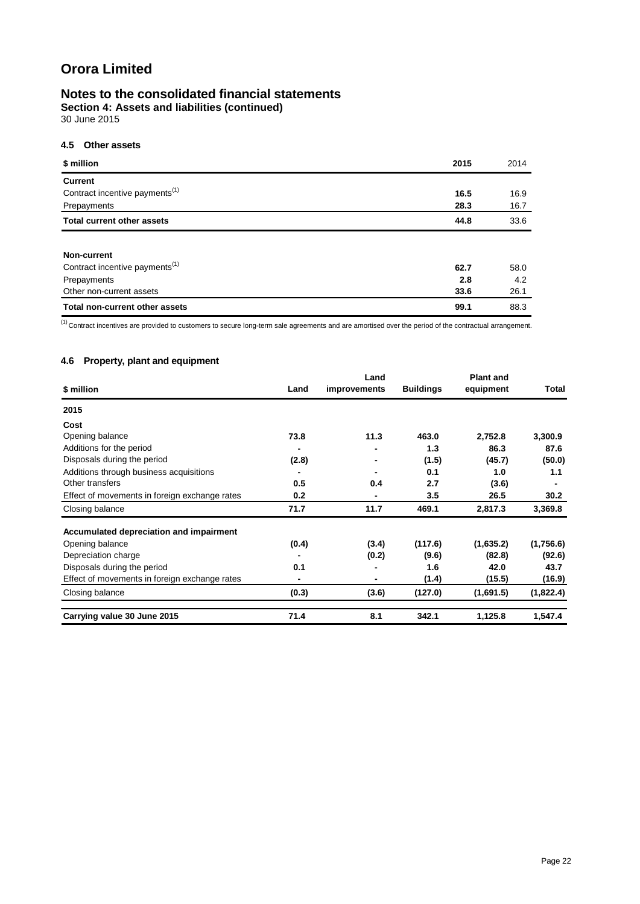### **Notes to the consolidated financial statements**

**Section 4: Assets and liabilities (continued)** 30 June 2015

### **4.5 Other assets**

| \$ million                                 | 2015 | 2014 |
|--------------------------------------------|------|------|
| <b>Current</b>                             |      |      |
| Contract incentive payments <sup>(1)</sup> | 16.5 | 16.9 |
| Prepayments                                | 28.3 | 16.7 |
| <b>Total current other assets</b>          | 44.8 | 33.6 |
|                                            |      |      |
| Non-current                                |      |      |
| Contract incentive payments <sup>(1)</sup> | 62.7 | 58.0 |
| Prepayments                                | 2.8  | 4.2  |
| Other non-current assets                   | 33.6 | 26.1 |
| <b>Total non-current other assets</b>      | 99.1 | 88.3 |

(1) Contract incentives are provided to customers to secure long-term sale agreements and are amortised over the period of the contractual arrangement.

### **4.6 Property, plant and equipment**

| \$ million                                    | Land  | Land<br>improvements | <b>Buildings</b> | <b>Plant and</b><br>equipment | Total     |
|-----------------------------------------------|-------|----------------------|------------------|-------------------------------|-----------|
| 2015                                          |       |                      |                  |                               |           |
| Cost                                          |       |                      |                  |                               |           |
| Opening balance                               | 73.8  | 11.3                 | 463.0            | 2,752.8                       | 3,300.9   |
| Additions for the period                      |       |                      | 1.3              | 86.3                          | 87.6      |
| Disposals during the period                   | (2.8) | ٠                    | (1.5)            | (45.7)                        | (50.0)    |
| Additions through business acquisitions       |       |                      | 0.1              | 1.0                           | 1.1       |
| Other transfers                               | 0.5   | 0.4                  | 2.7              | (3.6)                         |           |
| Effect of movements in foreign exchange rates | 0.2   | $\blacksquare$       | 3.5              | 26.5                          | 30.2      |
| Closing balance                               | 71.7  | 11.7                 | 469.1            | 2,817.3                       | 3,369.8   |
| Accumulated depreciation and impairment       |       |                      |                  |                               |           |
| Opening balance                               | (0.4) | (3.4)                | (117.6)          | (1,635.2)                     | (1,756.6) |
| Depreciation charge                           |       | (0.2)                | (9.6)            | (82.8)                        | (92.6)    |
| Disposals during the period                   | 0.1   |                      | 1.6              | 42.0                          | 43.7      |
| Effect of movements in foreign exchange rates |       | $\blacksquare$       | (1.4)            | (15.5)                        | (16.9)    |
| Closing balance                               | (0.3) | (3.6)                | (127.0)          | (1,691.5)                     | (1,822.4) |
| Carrying value 30 June 2015                   | 71.4  | 8.1                  | 342.1            | 1,125.8                       | 1,547.4   |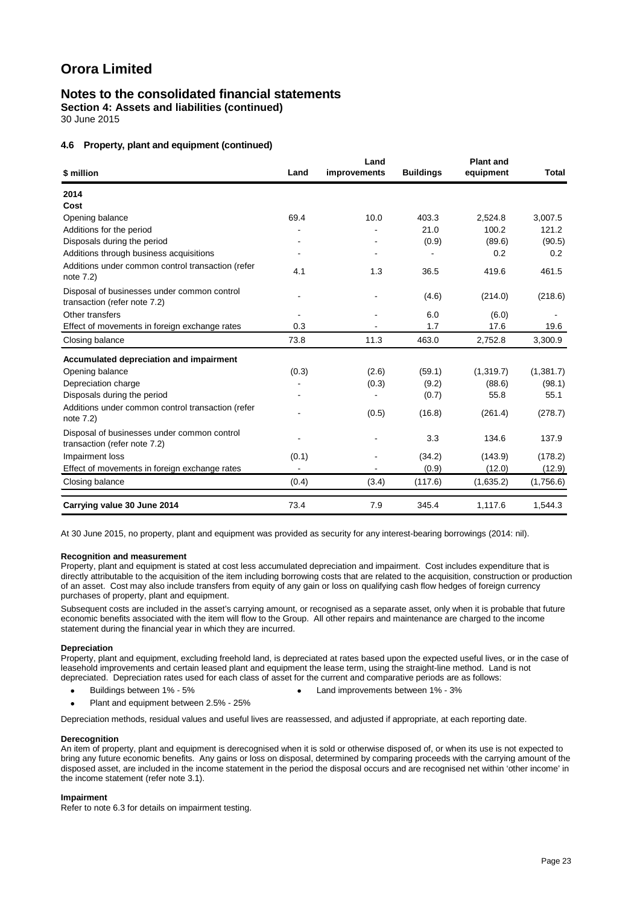### **Notes to the consolidated financial statements**

**Section 4: Assets and liabilities (continued)**

30 June 2015

#### **4.6 Property, plant and equipment (continued)**

| \$ million                                                                  | Land  | Land<br>improvements | <b>Buildings</b> | <b>Plant and</b><br>equipment | Total     |
|-----------------------------------------------------------------------------|-------|----------------------|------------------|-------------------------------|-----------|
| 2014                                                                        |       |                      |                  |                               |           |
| Cost                                                                        |       |                      |                  |                               |           |
| Opening balance                                                             | 69.4  | 10.0                 | 403.3            | 2,524.8                       | 3,007.5   |
| Additions for the period                                                    |       |                      | 21.0             | 100.2                         | 121.2     |
| Disposals during the period                                                 |       |                      | (0.9)            | (89.6)                        | (90.5)    |
| Additions through business acquisitions                                     |       |                      |                  | 0.2                           | 0.2       |
| Additions under common control transaction (refer<br>note 7.2)              | 4.1   | 1.3                  | 36.5             | 419.6                         | 461.5     |
| Disposal of businesses under common control<br>transaction (refer note 7.2) |       |                      | (4.6)            | (214.0)                       | (218.6)   |
| Other transfers                                                             |       |                      | 6.0              | (6.0)                         |           |
| Effect of movements in foreign exchange rates                               | 0.3   |                      | 1.7              | 17.6                          | 19.6      |
| Closing balance                                                             | 73.8  | 11.3                 | 463.0            | 2,752.8                       | 3,300.9   |
| Accumulated depreciation and impairment                                     |       |                      |                  |                               |           |
| Opening balance                                                             | (0.3) | (2.6)                | (59.1)           | (1,319.7)                     | (1,381.7) |
| Depreciation charge                                                         |       | (0.3)                | (9.2)            | (88.6)                        | (98.1)    |
| Disposals during the period                                                 |       |                      | (0.7)            | 55.8                          | 55.1      |
| Additions under common control transaction (refer<br>note 7.2)              |       | (0.5)                | (16.8)           | (261.4)                       | (278.7)   |
| Disposal of businesses under common control<br>transaction (refer note 7.2) |       |                      | 3.3              | 134.6                         | 137.9     |
| Impairment loss                                                             | (0.1) |                      | (34.2)           | (143.9)                       | (178.2)   |
| Effect of movements in foreign exchange rates                               |       | $\blacksquare$       | (0.9)            | (12.0)                        | (12.9)    |
| Closing balance                                                             | (0.4) | (3.4)                | (117.6)          | (1,635.2)                     | (1,756.6) |
| Carrying value 30 June 2014                                                 | 73.4  | 7.9                  | 345.4            | 1,117.6                       | 1,544.3   |

At 30 June 2015, no property, plant and equipment was provided as security for any interest-bearing borrowings (2014: nil).

#### **Recognition and measurement**

Property, plant and equipment is stated at cost less accumulated depreciation and impairment. Cost includes expenditure that is directly attributable to the acquisition of the item including borrowing costs that are related to the acquisition, construction or production of an asset. Cost may also include transfers from equity of any gain or loss on qualifying cash flow hedges of foreign currency purchases of property, plant and equipment.

Subsequent costs are included in the asset's carrying amount, or recognised as a separate asset, only when it is probable that future economic benefits associated with the item will flow to the Group. All other repairs and maintenance are charged to the income statement during the financial year in which they are incurred.

#### **Depreciation**

Property, plant and equipment, excluding freehold land, is depreciated at rates based upon the expected useful lives, or in the case of leasehold improvements and certain leased plant and equipment the lease term, using the straight-line method. Land is not depreciated. Depreciation rates used for each class of asset for the current and comparative periods are as follows:

- Buildings between 1% 5% Land improvements between 1% 3%
- Plant and equipment between 2.5% 25%

Depreciation methods, residual values and useful lives are reassessed, and adjusted if appropriate, at each reporting date.

#### **Derecognition**

An item of property, plant and equipment is derecognised when it is sold or otherwise disposed of, or when its use is not expected to bring any future economic benefits. Any gains or loss on disposal, determined by comparing proceeds with the carrying amount of the disposed asset, are included in the income statement in the period the disposal occurs and are recognised net within 'other income' in the income statement (refer note 3.1).

#### **Impairment**

Refer to note 6.3 for details on impairment testing.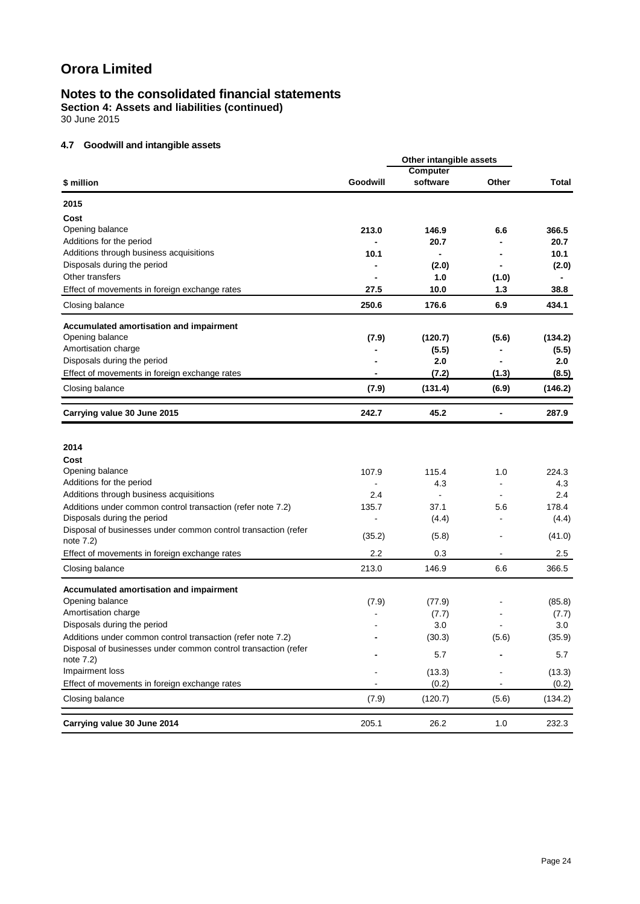# **Notes to the consolidated financial statements**

**Section 4: Assets and liabilities (continued)**

30 June 2015

### **4.7 Goodwill and intangible assets**

| <b>Computer</b><br>Goodwill<br>software<br>Other<br>Total<br>\$ million<br>2015<br>Cost<br>Opening balance<br>213.0<br>6.6<br>366.5<br>146.9<br>Additions for the period<br>20.7<br>20.7<br>Additions through business acquisitions<br>10.1<br>10.1<br>$\blacksquare$<br>Disposals during the period<br>(2.0)<br>(2.0)<br>Other transfers<br>1.0<br>(1.0)<br>27.5<br>10.0<br>38.8<br>Effect of movements in foreign exchange rates<br>1.3<br>250.6<br>6.9<br>434.1<br>Closing balance<br>176.6<br>Accumulated amortisation and impairment<br>Opening balance<br>(7.9)<br>(120.7)<br>(5.6)<br>(134.2)<br>Amortisation charge<br>(5.5)<br>(5.5)<br>Disposals during the period<br>2.0<br>2.0<br>Effect of movements in foreign exchange rates<br>(7.2)<br>(1.3)<br>(8.5)<br>$\blacksquare$<br>(7.9)<br>(131.4)<br>(6.9)<br>(146.2)<br>Closing balance<br>242.7<br>287.9<br>Carrying value 30 June 2015<br>45.2<br>$\blacksquare$<br>2014<br>Cost<br>Opening balance<br>107.9<br>115.4<br>1.0<br>224.3<br>Additions for the period<br>4.3<br>4.3<br>Additions through business acquisitions<br>2.4<br>2.4<br>$\overline{\phantom{a}}$<br>$\blacksquare$<br>Additions under common control transaction (refer note 7.2)<br>135.7<br>37.1<br>5.6<br>178.4<br>Disposals during the period<br>(4.4)<br>(4.4)<br>Disposal of businesses under common control transaction (refer<br>(35.2)<br>(41.0)<br>(5.8)<br>note $7.2$ )<br>2.2<br>Effect of movements in foreign exchange rates<br>0.3<br>2.5<br>213.0<br>146.9<br>6.6<br>Closing balance<br>366.5<br>Accumulated amortisation and impairment<br>Opening balance<br>(7.9)<br>(77.9)<br>(85.8)<br>Amortisation charge<br>(7.7)<br>(7.7)<br>Disposals during the period<br>3.0<br>3.0<br>(35.9)<br>(30.3)<br>(5.6)<br>Additions under common control transaction (refer note 7.2)<br>Disposal of businesses under common control transaction (refer<br>5.7<br>5.7<br>note 7.2)<br>Impairment loss<br>(13.3)<br>(13.3)<br>Effect of movements in foreign exchange rates<br>(0.2)<br>(0.2)<br>Closing balance<br>(7.9)<br>(120.7)<br>(5.6)<br>(134.2) |                             |       | Other intangible assets |     |       |
|------------------------------------------------------------------------------------------------------------------------------------------------------------------------------------------------------------------------------------------------------------------------------------------------------------------------------------------------------------------------------------------------------------------------------------------------------------------------------------------------------------------------------------------------------------------------------------------------------------------------------------------------------------------------------------------------------------------------------------------------------------------------------------------------------------------------------------------------------------------------------------------------------------------------------------------------------------------------------------------------------------------------------------------------------------------------------------------------------------------------------------------------------------------------------------------------------------------------------------------------------------------------------------------------------------------------------------------------------------------------------------------------------------------------------------------------------------------------------------------------------------------------------------------------------------------------------------------------------------------------------------------------------------------------------------------------------------------------------------------------------------------------------------------------------------------------------------------------------------------------------------------------------------------------------------------------------------------------------------------------------------------------------------------------------------------------------------------------|-----------------------------|-------|-------------------------|-----|-------|
|                                                                                                                                                                                                                                                                                                                                                                                                                                                                                                                                                                                                                                                                                                                                                                                                                                                                                                                                                                                                                                                                                                                                                                                                                                                                                                                                                                                                                                                                                                                                                                                                                                                                                                                                                                                                                                                                                                                                                                                                                                                                                                |                             |       |                         |     |       |
|                                                                                                                                                                                                                                                                                                                                                                                                                                                                                                                                                                                                                                                                                                                                                                                                                                                                                                                                                                                                                                                                                                                                                                                                                                                                                                                                                                                                                                                                                                                                                                                                                                                                                                                                                                                                                                                                                                                                                                                                                                                                                                |                             |       |                         |     |       |
|                                                                                                                                                                                                                                                                                                                                                                                                                                                                                                                                                                                                                                                                                                                                                                                                                                                                                                                                                                                                                                                                                                                                                                                                                                                                                                                                                                                                                                                                                                                                                                                                                                                                                                                                                                                                                                                                                                                                                                                                                                                                                                |                             |       |                         |     |       |
|                                                                                                                                                                                                                                                                                                                                                                                                                                                                                                                                                                                                                                                                                                                                                                                                                                                                                                                                                                                                                                                                                                                                                                                                                                                                                                                                                                                                                                                                                                                                                                                                                                                                                                                                                                                                                                                                                                                                                                                                                                                                                                |                             |       |                         |     |       |
|                                                                                                                                                                                                                                                                                                                                                                                                                                                                                                                                                                                                                                                                                                                                                                                                                                                                                                                                                                                                                                                                                                                                                                                                                                                                                                                                                                                                                                                                                                                                                                                                                                                                                                                                                                                                                                                                                                                                                                                                                                                                                                |                             |       |                         |     |       |
|                                                                                                                                                                                                                                                                                                                                                                                                                                                                                                                                                                                                                                                                                                                                                                                                                                                                                                                                                                                                                                                                                                                                                                                                                                                                                                                                                                                                                                                                                                                                                                                                                                                                                                                                                                                                                                                                                                                                                                                                                                                                                                |                             |       |                         |     |       |
|                                                                                                                                                                                                                                                                                                                                                                                                                                                                                                                                                                                                                                                                                                                                                                                                                                                                                                                                                                                                                                                                                                                                                                                                                                                                                                                                                                                                                                                                                                                                                                                                                                                                                                                                                                                                                                                                                                                                                                                                                                                                                                |                             |       |                         |     |       |
|                                                                                                                                                                                                                                                                                                                                                                                                                                                                                                                                                                                                                                                                                                                                                                                                                                                                                                                                                                                                                                                                                                                                                                                                                                                                                                                                                                                                                                                                                                                                                                                                                                                                                                                                                                                                                                                                                                                                                                                                                                                                                                |                             |       |                         |     |       |
|                                                                                                                                                                                                                                                                                                                                                                                                                                                                                                                                                                                                                                                                                                                                                                                                                                                                                                                                                                                                                                                                                                                                                                                                                                                                                                                                                                                                                                                                                                                                                                                                                                                                                                                                                                                                                                                                                                                                                                                                                                                                                                |                             |       |                         |     |       |
|                                                                                                                                                                                                                                                                                                                                                                                                                                                                                                                                                                                                                                                                                                                                                                                                                                                                                                                                                                                                                                                                                                                                                                                                                                                                                                                                                                                                                                                                                                                                                                                                                                                                                                                                                                                                                                                                                                                                                                                                                                                                                                |                             |       |                         |     |       |
|                                                                                                                                                                                                                                                                                                                                                                                                                                                                                                                                                                                                                                                                                                                                                                                                                                                                                                                                                                                                                                                                                                                                                                                                                                                                                                                                                                                                                                                                                                                                                                                                                                                                                                                                                                                                                                                                                                                                                                                                                                                                                                |                             |       |                         |     |       |
|                                                                                                                                                                                                                                                                                                                                                                                                                                                                                                                                                                                                                                                                                                                                                                                                                                                                                                                                                                                                                                                                                                                                                                                                                                                                                                                                                                                                                                                                                                                                                                                                                                                                                                                                                                                                                                                                                                                                                                                                                                                                                                |                             |       |                         |     |       |
|                                                                                                                                                                                                                                                                                                                                                                                                                                                                                                                                                                                                                                                                                                                                                                                                                                                                                                                                                                                                                                                                                                                                                                                                                                                                                                                                                                                                                                                                                                                                                                                                                                                                                                                                                                                                                                                                                                                                                                                                                                                                                                |                             |       |                         |     |       |
|                                                                                                                                                                                                                                                                                                                                                                                                                                                                                                                                                                                                                                                                                                                                                                                                                                                                                                                                                                                                                                                                                                                                                                                                                                                                                                                                                                                                                                                                                                                                                                                                                                                                                                                                                                                                                                                                                                                                                                                                                                                                                                |                             |       |                         |     |       |
|                                                                                                                                                                                                                                                                                                                                                                                                                                                                                                                                                                                                                                                                                                                                                                                                                                                                                                                                                                                                                                                                                                                                                                                                                                                                                                                                                                                                                                                                                                                                                                                                                                                                                                                                                                                                                                                                                                                                                                                                                                                                                                |                             |       |                         |     |       |
|                                                                                                                                                                                                                                                                                                                                                                                                                                                                                                                                                                                                                                                                                                                                                                                                                                                                                                                                                                                                                                                                                                                                                                                                                                                                                                                                                                                                                                                                                                                                                                                                                                                                                                                                                                                                                                                                                                                                                                                                                                                                                                |                             |       |                         |     |       |
|                                                                                                                                                                                                                                                                                                                                                                                                                                                                                                                                                                                                                                                                                                                                                                                                                                                                                                                                                                                                                                                                                                                                                                                                                                                                                                                                                                                                                                                                                                                                                                                                                                                                                                                                                                                                                                                                                                                                                                                                                                                                                                |                             |       |                         |     |       |
|                                                                                                                                                                                                                                                                                                                                                                                                                                                                                                                                                                                                                                                                                                                                                                                                                                                                                                                                                                                                                                                                                                                                                                                                                                                                                                                                                                                                                                                                                                                                                                                                                                                                                                                                                                                                                                                                                                                                                                                                                                                                                                |                             |       |                         |     |       |
|                                                                                                                                                                                                                                                                                                                                                                                                                                                                                                                                                                                                                                                                                                                                                                                                                                                                                                                                                                                                                                                                                                                                                                                                                                                                                                                                                                                                                                                                                                                                                                                                                                                                                                                                                                                                                                                                                                                                                                                                                                                                                                |                             |       |                         |     |       |
|                                                                                                                                                                                                                                                                                                                                                                                                                                                                                                                                                                                                                                                                                                                                                                                                                                                                                                                                                                                                                                                                                                                                                                                                                                                                                                                                                                                                                                                                                                                                                                                                                                                                                                                                                                                                                                                                                                                                                                                                                                                                                                |                             |       |                         |     |       |
|                                                                                                                                                                                                                                                                                                                                                                                                                                                                                                                                                                                                                                                                                                                                                                                                                                                                                                                                                                                                                                                                                                                                                                                                                                                                                                                                                                                                                                                                                                                                                                                                                                                                                                                                                                                                                                                                                                                                                                                                                                                                                                |                             |       |                         |     |       |
|                                                                                                                                                                                                                                                                                                                                                                                                                                                                                                                                                                                                                                                                                                                                                                                                                                                                                                                                                                                                                                                                                                                                                                                                                                                                                                                                                                                                                                                                                                                                                                                                                                                                                                                                                                                                                                                                                                                                                                                                                                                                                                |                             |       |                         |     |       |
|                                                                                                                                                                                                                                                                                                                                                                                                                                                                                                                                                                                                                                                                                                                                                                                                                                                                                                                                                                                                                                                                                                                                                                                                                                                                                                                                                                                                                                                                                                                                                                                                                                                                                                                                                                                                                                                                                                                                                                                                                                                                                                |                             |       |                         |     |       |
|                                                                                                                                                                                                                                                                                                                                                                                                                                                                                                                                                                                                                                                                                                                                                                                                                                                                                                                                                                                                                                                                                                                                                                                                                                                                                                                                                                                                                                                                                                                                                                                                                                                                                                                                                                                                                                                                                                                                                                                                                                                                                                |                             |       |                         |     |       |
|                                                                                                                                                                                                                                                                                                                                                                                                                                                                                                                                                                                                                                                                                                                                                                                                                                                                                                                                                                                                                                                                                                                                                                                                                                                                                                                                                                                                                                                                                                                                                                                                                                                                                                                                                                                                                                                                                                                                                                                                                                                                                                |                             |       |                         |     |       |
|                                                                                                                                                                                                                                                                                                                                                                                                                                                                                                                                                                                                                                                                                                                                                                                                                                                                                                                                                                                                                                                                                                                                                                                                                                                                                                                                                                                                                                                                                                                                                                                                                                                                                                                                                                                                                                                                                                                                                                                                                                                                                                |                             |       |                         |     |       |
|                                                                                                                                                                                                                                                                                                                                                                                                                                                                                                                                                                                                                                                                                                                                                                                                                                                                                                                                                                                                                                                                                                                                                                                                                                                                                                                                                                                                                                                                                                                                                                                                                                                                                                                                                                                                                                                                                                                                                                                                                                                                                                |                             |       |                         |     |       |
|                                                                                                                                                                                                                                                                                                                                                                                                                                                                                                                                                                                                                                                                                                                                                                                                                                                                                                                                                                                                                                                                                                                                                                                                                                                                                                                                                                                                                                                                                                                                                                                                                                                                                                                                                                                                                                                                                                                                                                                                                                                                                                |                             |       |                         |     |       |
|                                                                                                                                                                                                                                                                                                                                                                                                                                                                                                                                                                                                                                                                                                                                                                                                                                                                                                                                                                                                                                                                                                                                                                                                                                                                                                                                                                                                                                                                                                                                                                                                                                                                                                                                                                                                                                                                                                                                                                                                                                                                                                |                             |       |                         |     |       |
|                                                                                                                                                                                                                                                                                                                                                                                                                                                                                                                                                                                                                                                                                                                                                                                                                                                                                                                                                                                                                                                                                                                                                                                                                                                                                                                                                                                                                                                                                                                                                                                                                                                                                                                                                                                                                                                                                                                                                                                                                                                                                                |                             |       |                         |     |       |
|                                                                                                                                                                                                                                                                                                                                                                                                                                                                                                                                                                                                                                                                                                                                                                                                                                                                                                                                                                                                                                                                                                                                                                                                                                                                                                                                                                                                                                                                                                                                                                                                                                                                                                                                                                                                                                                                                                                                                                                                                                                                                                |                             |       |                         |     |       |
|                                                                                                                                                                                                                                                                                                                                                                                                                                                                                                                                                                                                                                                                                                                                                                                                                                                                                                                                                                                                                                                                                                                                                                                                                                                                                                                                                                                                                                                                                                                                                                                                                                                                                                                                                                                                                                                                                                                                                                                                                                                                                                |                             |       |                         |     |       |
|                                                                                                                                                                                                                                                                                                                                                                                                                                                                                                                                                                                                                                                                                                                                                                                                                                                                                                                                                                                                                                                                                                                                                                                                                                                                                                                                                                                                                                                                                                                                                                                                                                                                                                                                                                                                                                                                                                                                                                                                                                                                                                |                             |       |                         |     |       |
|                                                                                                                                                                                                                                                                                                                                                                                                                                                                                                                                                                                                                                                                                                                                                                                                                                                                                                                                                                                                                                                                                                                                                                                                                                                                                                                                                                                                                                                                                                                                                                                                                                                                                                                                                                                                                                                                                                                                                                                                                                                                                                |                             |       |                         |     |       |
|                                                                                                                                                                                                                                                                                                                                                                                                                                                                                                                                                                                                                                                                                                                                                                                                                                                                                                                                                                                                                                                                                                                                                                                                                                                                                                                                                                                                                                                                                                                                                                                                                                                                                                                                                                                                                                                                                                                                                                                                                                                                                                |                             |       |                         |     |       |
|                                                                                                                                                                                                                                                                                                                                                                                                                                                                                                                                                                                                                                                                                                                                                                                                                                                                                                                                                                                                                                                                                                                                                                                                                                                                                                                                                                                                                                                                                                                                                                                                                                                                                                                                                                                                                                                                                                                                                                                                                                                                                                |                             |       |                         |     |       |
|                                                                                                                                                                                                                                                                                                                                                                                                                                                                                                                                                                                                                                                                                                                                                                                                                                                                                                                                                                                                                                                                                                                                                                                                                                                                                                                                                                                                                                                                                                                                                                                                                                                                                                                                                                                                                                                                                                                                                                                                                                                                                                |                             |       |                         |     |       |
|                                                                                                                                                                                                                                                                                                                                                                                                                                                                                                                                                                                                                                                                                                                                                                                                                                                                                                                                                                                                                                                                                                                                                                                                                                                                                                                                                                                                                                                                                                                                                                                                                                                                                                                                                                                                                                                                                                                                                                                                                                                                                                |                             |       |                         |     |       |
|                                                                                                                                                                                                                                                                                                                                                                                                                                                                                                                                                                                                                                                                                                                                                                                                                                                                                                                                                                                                                                                                                                                                                                                                                                                                                                                                                                                                                                                                                                                                                                                                                                                                                                                                                                                                                                                                                                                                                                                                                                                                                                | Carrying value 30 June 2014 | 205.1 | 26.2                    | 1.0 | 232.3 |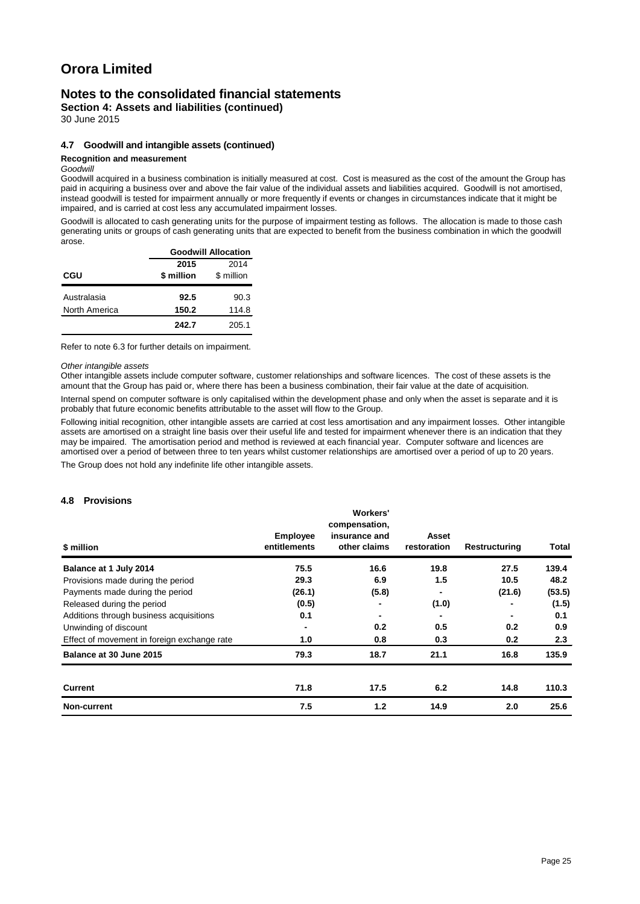### **Notes to the consolidated financial statements**

**Section 4: Assets and liabilities (continued)**

30 June 2015

#### **4.7 Goodwill and intangible assets (continued)**

#### **Recognition and measurement**

#### *Goodwill*

Goodwill acquired in a business combination is initially measured at cost. Cost is measured as the cost of the amount the Group has paid in acquiring a business over and above the fair value of the individual assets and liabilities acquired. Goodwill is not amortised, instead goodwill is tested for impairment annually or more frequently if events or changes in circumstances indicate that it might be impaired, and is carried at cost less any accumulated impairment losses.

Goodwill is allocated to cash generating units for the purpose of impairment testing as follows. The allocation is made to those cash generating units or groups of cash generating units that are expected to benefit from the business combination in which the goodwill arose.

|               | <b>Goodwill Allocation</b> |            |  |  |
|---------------|----------------------------|------------|--|--|
|               | 2015                       | 2014       |  |  |
| CGU           | \$ million                 | \$ million |  |  |
| Australasia   | 92.5                       | 90.3       |  |  |
| North America | 150.2                      | 114.8      |  |  |
|               | 242.7                      | 205.1      |  |  |

Refer to note 6.3 for further details on impairment.

#### *Other intangible assets*

Other intangible assets include computer software, customer relationships and software licences. The cost of these assets is the amount that the Group has paid or, where there has been a business combination, their fair value at the date of acquisition. Internal spend on computer software is only capitalised within the development phase and only when the asset is separate and it is

probably that future economic benefits attributable to the asset will flow to the Group. Following initial recognition, other intangible assets are carried at cost less amortisation and any impairment losses. Other intangible

assets are amortised on a straight line basis over their useful life and tested for impairment whenever there is an indication that they may be impaired. The amortisation period and method is reviewed at each financial year. Computer software and licences are amortised over a period of between three to ten years whilst customer relationships are amortised over a period of up to 20 years. The Group does not hold any indefinite life other intangible assets.

#### **4.8 Provisions**

| \$ million                                  | <b>Employee</b><br>entitlements | Workers'<br>compensation,<br>insurance and<br>other claims | Asset<br>restoration | Restructuring | Total  |
|---------------------------------------------|---------------------------------|------------------------------------------------------------|----------------------|---------------|--------|
| Balance at 1 July 2014                      | 75.5                            | 16.6                                                       | 19.8                 | 27.5          | 139.4  |
| Provisions made during the period           | 29.3                            | 6.9                                                        | 1.5                  | 10.5          | 48.2   |
| Payments made during the period             | (26.1)                          | (5.8)                                                      |                      | (21.6)        | (53.5) |
| Released during the period                  | (0.5)                           | $\overline{\phantom{0}}$                                   | (1.0)                |               | (1.5)  |
| Additions through business acquisitions     | 0.1                             | ۰                                                          |                      |               | 0.1    |
| Unwinding of discount                       |                                 | 0.2                                                        | 0.5                  | 0.2           | 0.9    |
| Effect of movement in foreign exchange rate | 1.0                             | 0.8                                                        | 0.3                  | 0.2           | 2.3    |
| Balance at 30 June 2015                     | 79.3                            | 18.7                                                       | 21.1                 | 16.8          | 135.9  |
| <b>Current</b>                              | 71.8                            | 17.5                                                       | 6.2                  | 14.8          | 110.3  |
| Non-current                                 | 7.5                             | 1.2                                                        | 14.9                 | 2.0           | 25.6   |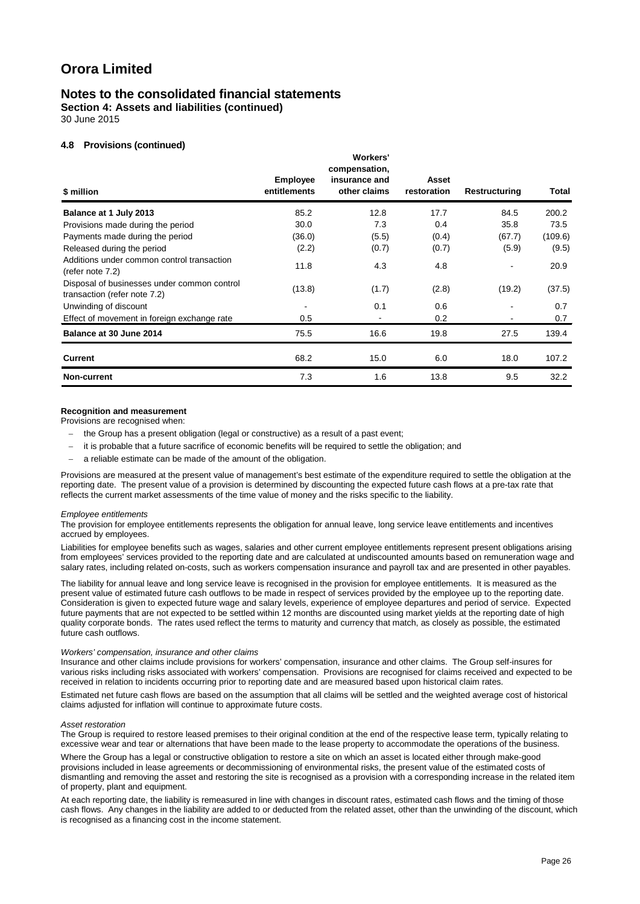### **Notes to the consolidated financial statements**

**Section 4: Assets and liabilities (continued)**

30 June 2015

#### **4.8 Provisions (continued)**

| \$ million                                                                  | <b>Employee</b><br>entitlements | Workers'<br>compensation,<br>insurance and<br>other claims | Asset<br>restoration | Restructuring | Total   |
|-----------------------------------------------------------------------------|---------------------------------|------------------------------------------------------------|----------------------|---------------|---------|
| Balance at 1 July 2013                                                      | 85.2                            | 12.8                                                       | 17.7                 | 84.5          | 200.2   |
| Provisions made during the period                                           | 30.0                            | 7.3                                                        | 0.4                  | 35.8          | 73.5    |
| Payments made during the period                                             | (36.0)                          | (5.5)                                                      | (0.4)                | (67.7)        | (109.6) |
| Released during the period                                                  | (2.2)                           | (0.7)                                                      | (0.7)                | (5.9)         | (9.5)   |
| Additions under common control transaction<br>(refer note 7.2)              | 11.8                            | 4.3                                                        | 4.8                  |               | 20.9    |
| Disposal of businesses under common control<br>transaction (refer note 7.2) | (13.8)                          | (1.7)                                                      | (2.8)                | (19.2)        | (37.5)  |
| Unwinding of discount                                                       |                                 | 0.1                                                        | 0.6                  |               | 0.7     |
| Effect of movement in foreign exchange rate                                 | 0.5                             |                                                            | 0.2                  |               | 0.7     |
| Balance at 30 June 2014                                                     | 75.5                            | 16.6                                                       | 19.8                 | 27.5          | 139.4   |
| Current                                                                     | 68.2                            | 15.0                                                       | 6.0                  | 18.0          | 107.2   |
| Non-current                                                                 | 7.3                             | 1.6                                                        | 13.8                 | 9.5           | 32.2    |

#### **Recognition and measurement**

Provisions are recognised when:

- the Group has a present obligation (legal or constructive) as a result of a past event;
- − it is probable that a future sacrifice of economic benefits will be required to settle the obligation; and
- a reliable estimate can be made of the amount of the obligation.

Provisions are measured at the present value of management's best estimate of the expenditure required to settle the obligation at the reporting date. The present value of a provision is determined by discounting the expected future cash flows at a pre-tax rate that reflects the current market assessments of the time value of money and the risks specific to the liability.

#### *Employee entitlements*

The provision for employee entitlements represents the obligation for annual leave, long service leave entitlements and incentives accrued by employees.

Liabilities for employee benefits such as wages, salaries and other current employee entitlements represent present obligations arising from employees' services provided to the reporting date and are calculated at undiscounted amounts based on remuneration wage and salary rates, including related on-costs, such as workers compensation insurance and payroll tax and are presented in other payables.

The liability for annual leave and long service leave is recognised in the provision for employee entitlements. It is measured as the present value of estimated future cash outflows to be made in respect of services provided by the employee up to the reporting date. Consideration is given to expected future wage and salary levels, experience of employee departures and period of service. Expected future payments that are not expected to be settled within 12 months are discounted using market yields at the reporting date of high quality corporate bonds. The rates used reflect the terms to maturity and currency that match, as closely as possible, the estimated future cash outflows.

#### *Workers' compensation, insurance and other claims*

Insurance and other claims include provisions for workers' compensation, insurance and other claims. The Group self-insures for various risks including risks associated with workers' compensation. Provisions are recognised for claims received and expected to be received in relation to incidents occurring prior to reporting date and are measured based upon historical claim rates.

Estimated net future cash flows are based on the assumption that all claims will be settled and the weighted average cost of historical claims adjusted for inflation will continue to approximate future costs.

#### *Asset restoration*

The Group is required to restore leased premises to their original condition at the end of the respective lease term, typically relating to excessive wear and tear or alternations that have been made to the lease property to accommodate the operations of the business.

Where the Group has a legal or constructive obligation to restore a site on which an asset is located either through make-good provisions included in lease agreements or decommissioning of environmental risks, the present value of the estimated costs of dismantling and removing the asset and restoring the site is recognised as a provision with a corresponding increase in the related item of property, plant and equipment.

At each reporting date, the liability is remeasured in line with changes in discount rates, estimated cash flows and the timing of those cash flows. Any changes in the liability are added to or deducted from the related asset, other than the unwinding of the discount, which is recognised as a financing cost in the income statement.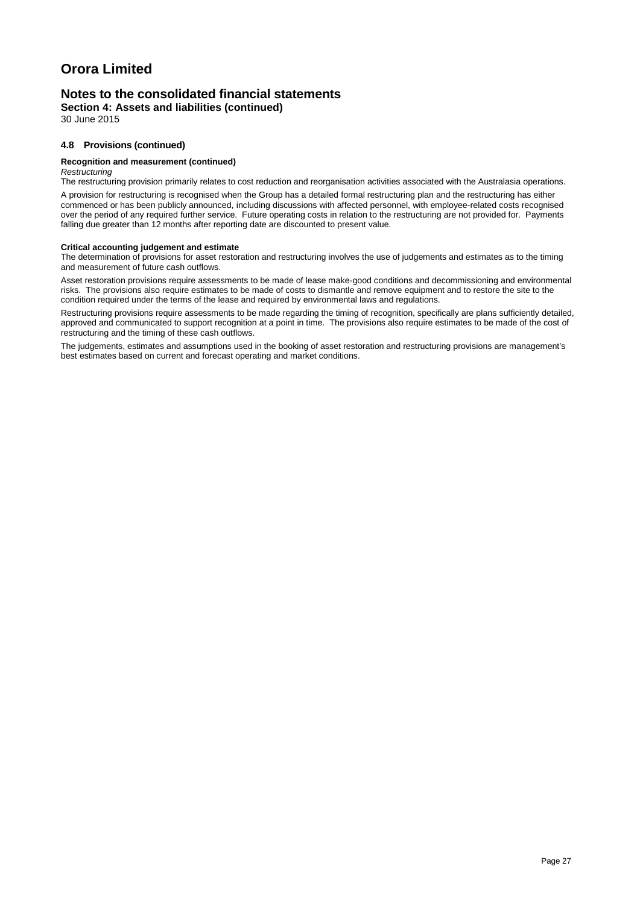### **Notes to the consolidated financial statements**

**Section 4: Assets and liabilities (continued)**

30 June 2015

#### **4.8 Provisions (continued)**

#### **Recognition and measurement (continued)**

*Restructuring*

The restructuring provision primarily relates to cost reduction and reorganisation activities associated with the Australasia operations.

A provision for restructuring is recognised when the Group has a detailed formal restructuring plan and the restructuring has either commenced or has been publicly announced, including discussions with affected personnel, with employee-related costs recognised over the period of any required further service. Future operating costs in relation to the restructuring are not provided for. Payments falling due greater than 12 months after reporting date are discounted to present value.

#### **Critical accounting judgement and estimate**

The determination of provisions for asset restoration and restructuring involves the use of judgements and estimates as to the timing and measurement of future cash outflows.

Asset restoration provisions require assessments to be made of lease make-good conditions and decommissioning and environmental risks. The provisions also require estimates to be made of costs to dismantle and remove equipment and to restore the site to the condition required under the terms of the lease and required by environmental laws and regulations.

Restructuring provisions require assessments to be made regarding the timing of recognition, specifically are plans sufficiently detailed, approved and communicated to support recognition at a point in time. The provisions also require estimates to be made of the cost of restructuring and the timing of these cash outflows.

The judgements, estimates and assumptions used in the booking of asset restoration and restructuring provisions are management's best estimates based on current and forecast operating and market conditions.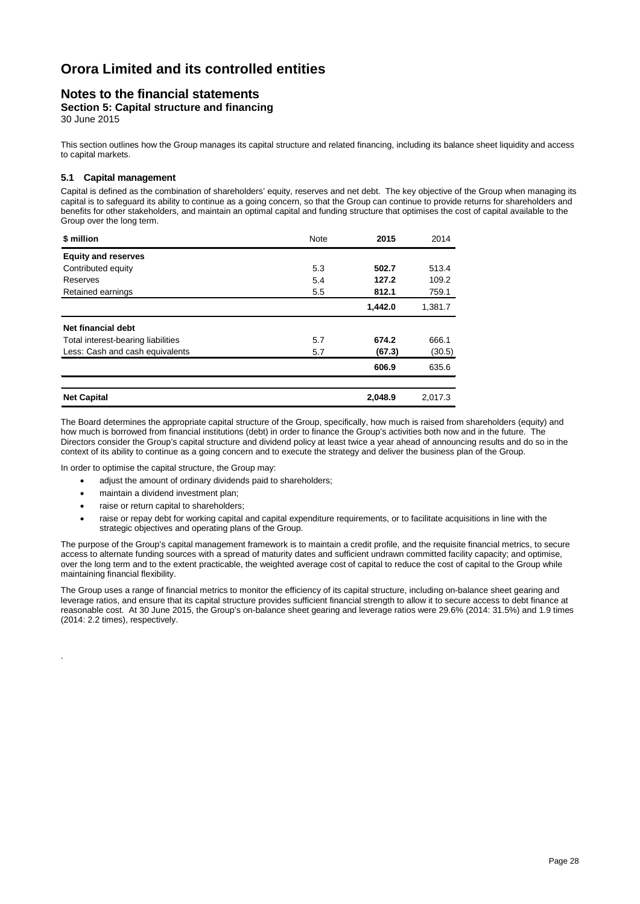### **Notes to the financial statements**

**Section 5: Capital structure and financing**

30 June 2015

This section outlines how the Group manages its capital structure and related financing, including its balance sheet liquidity and access to capital markets.

#### **5.1 Capital management**

Capital is defined as the combination of shareholders' equity, reserves and net debt. The key objective of the Group when managing its capital is to safeguard its ability to continue as a going concern, so that the Group can continue to provide returns for shareholders and benefits for other stakeholders, and maintain an optimal capital and funding structure that optimises the cost of capital available to the Group over the long term.

| \$ million                         | <b>Note</b> | 2015    | 2014    |
|------------------------------------|-------------|---------|---------|
| <b>Equity and reserves</b>         |             |         |         |
| Contributed equity                 | 5.3         | 502.7   | 513.4   |
| Reserves                           | 5.4         | 127.2   | 109.2   |
| Retained earnings                  | 5.5         | 812.1   | 759.1   |
|                                    |             | 1,442.0 | 1,381.7 |
| Net financial debt                 |             |         |         |
| Total interest-bearing liabilities | 5.7         | 674.2   | 666.1   |
| Less: Cash and cash equivalents    | 5.7         | (67.3)  | (30.5)  |
|                                    |             | 606.9   | 635.6   |
|                                    |             |         |         |
| <b>Net Capital</b>                 |             | 2,048.9 | 2,017.3 |

The Board determines the appropriate capital structure of the Group, specifically, how much is raised from shareholders (equity) and how much is borrowed from financial institutions (debt) in order to finance the Group's activities both now and in the future. The Directors consider the Group's capital structure and dividend policy at least twice a year ahead of announcing results and do so in the context of its ability to continue as a going concern and to execute the strategy and deliver the business plan of the Group.

In order to optimise the capital structure, the Group may:

- adjust the amount of ordinary dividends paid to shareholders;
- maintain a dividend investment plan;

.

- raise or return capital to shareholders;
- raise or repay debt for working capital and capital expenditure requirements, or to facilitate acquisitions in line with the strategic objectives and operating plans of the Group.

The purpose of the Group's capital management framework is to maintain a credit profile, and the requisite financial metrics, to secure access to alternate funding sources with a spread of maturity dates and sufficient undrawn committed facility capacity; and optimise, over the long term and to the extent practicable, the weighted average cost of capital to reduce the cost of capital to the Group while maintaining financial flexibility.

The Group uses a range of financial metrics to monitor the efficiency of its capital structure, including on-balance sheet gearing and leverage ratios, and ensure that its capital structure provides sufficient financial strength to allow it to secure access to debt finance at reasonable cost. At 30 June 2015, the Group's on-balance sheet gearing and leverage ratios were 29.6% (2014: 31.5%) and 1.9 times (2014: 2.2 times), respectively.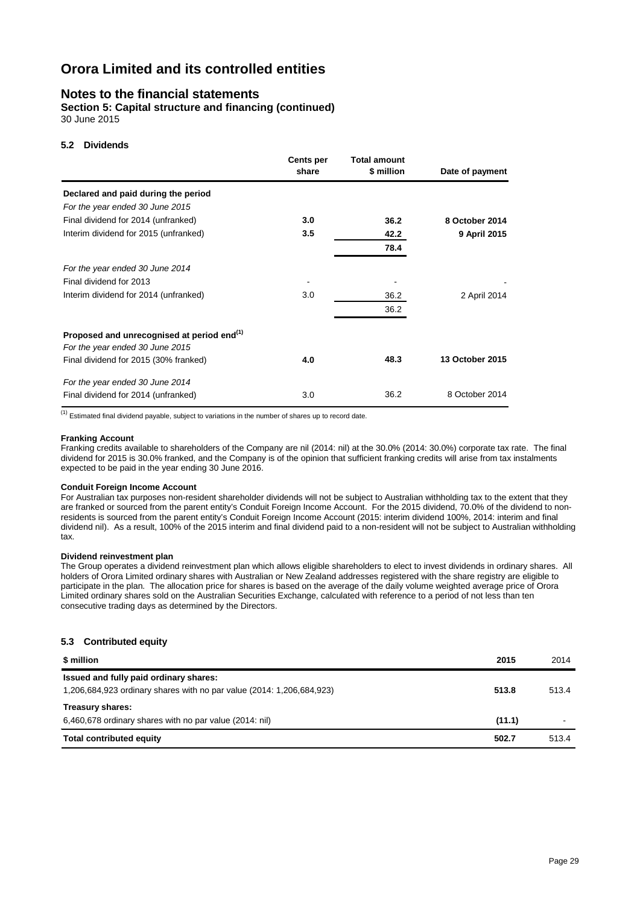### **Notes to the financial statements**

**Section 5: Capital structure and financing (continued)** 30 June 2015

#### **5.2 Dividends**

|                                                                                           | <b>Cents per</b><br>share | <b>Total amount</b><br>\$ million | Date of payment |
|-------------------------------------------------------------------------------------------|---------------------------|-----------------------------------|-----------------|
| Declared and paid during the period                                                       |                           |                                   |                 |
| For the year ended 30 June 2015                                                           |                           |                                   |                 |
| Final dividend for 2014 (unfranked)                                                       | 3.0                       | 36.2                              | 8 October 2014  |
| Interim dividend for 2015 (unfranked)                                                     | 3.5                       | 42.2                              | 9 April 2015    |
|                                                                                           |                           | 78.4                              |                 |
| For the year ended 30 June 2014                                                           |                           |                                   |                 |
| Final dividend for 2013                                                                   |                           |                                   |                 |
| Interim dividend for 2014 (unfranked)                                                     | 3.0                       | 36.2                              | 2 April 2014    |
|                                                                                           |                           | 36.2                              |                 |
| Proposed and unrecognised at period end <sup>(1)</sup><br>For the year ended 30 June 2015 |                           |                                   |                 |
| Final dividend for 2015 (30% franked)                                                     | 4.0                       | 48.3                              | 13 October 2015 |
| For the year ended 30 June 2014                                                           |                           |                                   |                 |
| Final dividend for 2014 (unfranked)                                                       | 3.0                       | 36.2                              | 8 October 2014  |

 $(1)$  Estimated final dividend payable, subject to variations in the number of shares up to record date.

#### **Franking Account**

Franking credits available to shareholders of the Company are nil (2014: nil) at the 30.0% (2014: 30.0%) corporate tax rate. The final dividend for 2015 is 30.0% franked, and the Company is of the opinion that sufficient franking credits will arise from tax instalments expected to be paid in the year ending 30 June 2016.

#### **Conduit Foreign Income Account**

For Australian tax purposes non-resident shareholder dividends will not be subject to Australian withholding tax to the extent that they are franked or sourced from the parent entity's Conduit Foreign Income Account. For the 2015 dividend, 70.0% of the dividend to nonresidents is sourced from the parent entity's Conduit Foreign Income Account (2015: interim dividend 100%, 2014: interim and final dividend nil). As a result, 100% of the 2015 interim and final dividend paid to a non-resident will not be subject to Australian withholding tax.

#### **Dividend reinvestment plan**

The Group operates a dividend reinvestment plan which allows eligible shareholders to elect to invest dividends in ordinary shares. All holders of Orora Limited ordinary shares with Australian or New Zealand addresses registered with the share registry are eligible to participate in the plan. The allocation price for shares is based on the average of the daily volume weighted average price of Orora Limited ordinary shares sold on the Australian Securities Exchange, calculated with reference to a period of not less than ten consecutive trading days as determined by the Directors.

#### **5.3 Contributed equity**

| \$ million                                                            | 2015   | 2014  |
|-----------------------------------------------------------------------|--------|-------|
| Issued and fully paid ordinary shares:                                |        |       |
| 1,206,684,923 ordinary shares with no par value (2014: 1,206,684,923) | 513.8  | 513.4 |
| Treasury shares:                                                      |        |       |
| 6,460,678 ordinary shares with no par value (2014: nil)               | (11.1) |       |
| <b>Total contributed equity</b>                                       | 502.7  | 513.4 |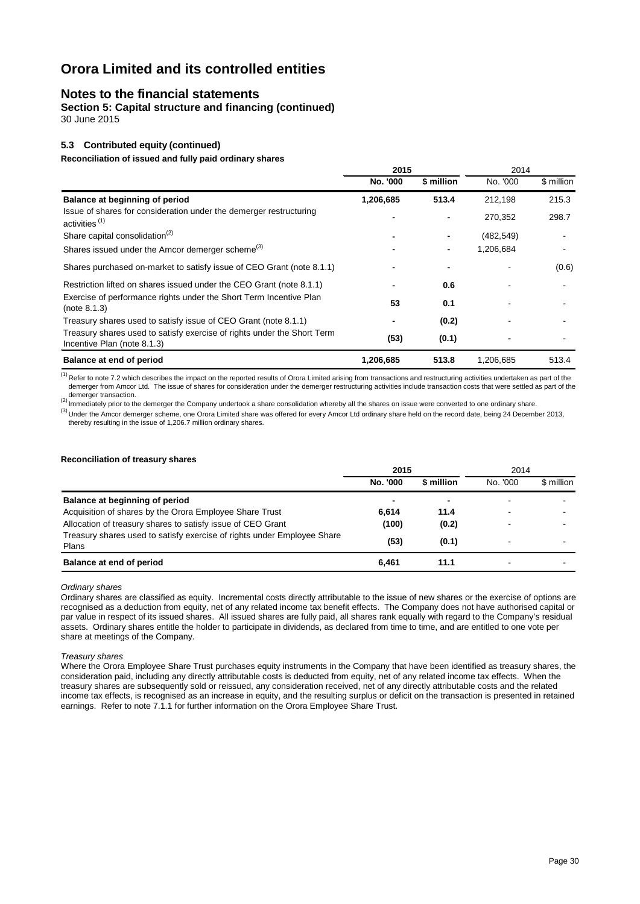### **Notes to the financial statements**

**Section 5: Capital structure and financing (continued)** 30 June 2015

#### **5.3 Contributed equity (continued)**

**Reconciliation of issued and fully paid ordinary shares**

|                                                                                                        | 2015      |            | 2014       |            |  |
|--------------------------------------------------------------------------------------------------------|-----------|------------|------------|------------|--|
|                                                                                                        | No. '000  | \$ million | No. '000   | \$ million |  |
| Balance at beginning of period                                                                         | 1,206,685 | 513.4      | 212,198    | 215.3      |  |
| Issue of shares for consideration under the demerger restructuring<br>activities <sup>(1)</sup>        |           |            | 270,352    | 298.7      |  |
| Share capital consolidation <sup>(2)</sup>                                                             |           | ٠          | (482, 549) |            |  |
| Shares issued under the Amcor demerger scheme <sup>(3)</sup>                                           |           | -          | 1,206,684  |            |  |
| Shares purchased on-market to satisfy issue of CEO Grant (note 8.1.1)                                  |           |            |            | (0.6)      |  |
| Restriction lifted on shares issued under the CEO Grant (note 8.1.1)                                   |           | 0.6        |            |            |  |
| Exercise of performance rights under the Short Term Incentive Plan<br>(note 8.1.3)                     | 53        | 0.1        |            |            |  |
| Treasury shares used to satisfy issue of CEO Grant (note 8.1.1)                                        |           | (0.2)      |            |            |  |
| Treasury shares used to satisfy exercise of rights under the Short Term<br>Incentive Plan (note 8.1.3) | (53)      | (0.1)      |            |            |  |
| Balance at end of period                                                                               | 1,206,685 | 513.8      | 1,206,685  | 513.4      |  |

 $<sup>(1)</sup>$  Refer to note 7.2 which describes the impact on the reported results of Orora Limited arising from transactions and restructuring activities undertaken as part of the</sup> demerger from Amcor Ltd. The issue of shares for consideration under the demerger restructuring activities include transaction costs that were settled as part of the demerger transaction.

(2) Immediately prior to the demerger the Company undertook a share consolidation whereby all the shares on issue were converted to one ordinary share. (3) Under the Amcor demerger scheme, one Orora Limited share was offered for every Amcor Ltd ordinary share held on the record date, being 24 December 2013, thereby resulting in the issue of 1,206.7 million ordinary shares.

#### **Reconciliation of treasury shares**

|                                                                                  | 2015     |            | 2014     |            |
|----------------------------------------------------------------------------------|----------|------------|----------|------------|
|                                                                                  | No. '000 | \$ million | No. '000 | \$ million |
| Balance at beginning of period                                                   | -        |            |          |            |
| Acquisition of shares by the Orora Employee Share Trust                          | 6.614    | 11.4       |          |            |
| Allocation of treasury shares to satisfy issue of CEO Grant                      | (100)    | (0.2)      |          |            |
| Treasury shares used to satisfy exercise of rights under Employee Share<br>Plans | (53)     | (0.1)      |          |            |
| Balance at end of period                                                         | 6.461    | 11.1       |          |            |

*Ordinary shares*

Ordinary shares are classified as equity. Incremental costs directly attributable to the issue of new shares or the exercise of options are recognised as a deduction from equity, net of any related income tax benefit effects. The Company does not have authorised capital or par value in respect of its issued shares. All issued shares are fully paid, all shares rank equally with regard to the Company's residual assets. Ordinary shares entitle the holder to participate in dividends, as declared from time to time, and are entitled to one vote per share at meetings of the Company.

#### *Treasury shares*

Where the Orora Employee Share Trust purchases equity instruments in the Company that have been identified as treasury shares, the consideration paid, including any directly attributable costs is deducted from equity, net of any related income tax effects. When the treasury shares are subsequently sold or reissued, any consideration received, net of any directly attributable costs and the related income tax effects, is recognised as an increase in equity, and the resulting surplus or deficit on the transaction is presented in retained earnings. Refer to note 7.1.1 for further information on the Orora Employee Share Trust.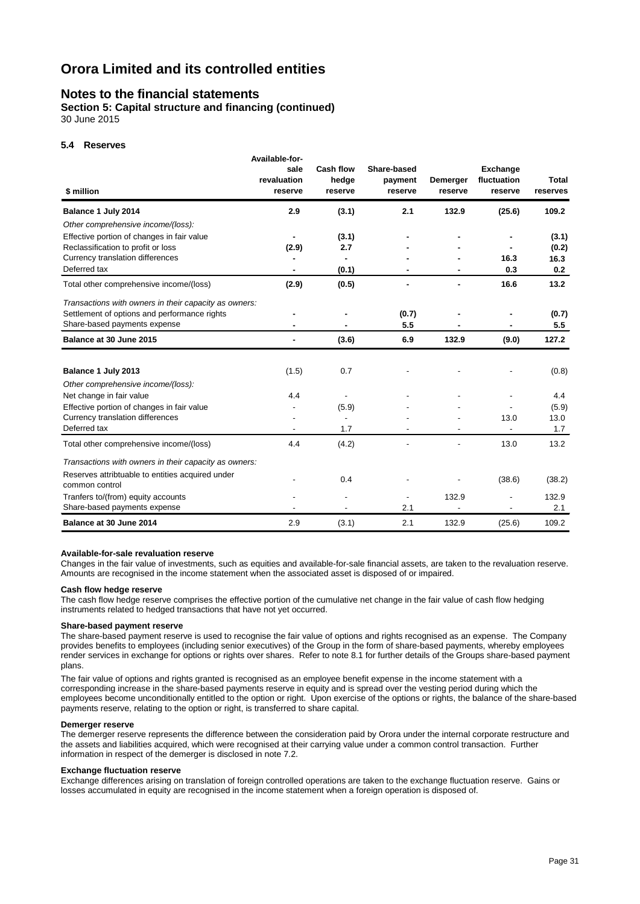### **Notes to the financial statements**

**Section 5: Capital structure and financing (continued)** 30 June 2015

#### **5.4 Reserves**

| \$ million                                                         | Available-for-<br>sale<br>revaluation<br>reserve | Cash flow<br>hedge<br>reserve | Share-based<br>payment<br>reserve | Demerger<br>reserve | <b>Exchange</b><br>fluctuation<br>reserve | <b>Total</b><br>reserves |
|--------------------------------------------------------------------|--------------------------------------------------|-------------------------------|-----------------------------------|---------------------|-------------------------------------------|--------------------------|
| Balance 1 July 2014                                                | 2.9                                              | (3.1)                         | 2.1                               | 132.9               | (25.6)                                    | 109.2                    |
| Other comprehensive income/(loss):                                 |                                                  |                               |                                   |                     |                                           |                          |
| Effective portion of changes in fair value                         |                                                  | (3.1)                         |                                   |                     |                                           | (3.1)                    |
| Reclassification to profit or loss                                 | (2.9)                                            | 2.7                           |                                   |                     |                                           | (0.2)                    |
| Currency translation differences                                   |                                                  |                               |                                   |                     | 16.3                                      | 16.3                     |
| Deferred tax                                                       |                                                  | (0.1)                         |                                   |                     | 0.3                                       | 0.2                      |
| Total other comprehensive income/(loss)                            | (2.9)                                            | (0.5)                         |                                   |                     | 16.6                                      | 13.2                     |
| Transactions with owners in their capacity as owners:              |                                                  |                               |                                   |                     |                                           |                          |
| Settlement of options and performance rights                       |                                                  |                               | (0.7)                             |                     |                                           | (0.7)                    |
| Share-based payments expense                                       |                                                  |                               | 5.5                               |                     |                                           | 5.5                      |
| Balance at 30 June 2015                                            | $\blacksquare$                                   | (3.6)                         | 6.9                               | 132.9               | (9.0)                                     | 127.2                    |
| Balance 1 July 2013                                                | (1.5)                                            | 0.7                           |                                   |                     |                                           | (0.8)                    |
| Other comprehensive income/(loss):                                 |                                                  |                               |                                   |                     |                                           |                          |
| Net change in fair value                                           | 4.4                                              |                               |                                   |                     |                                           | 4.4                      |
| Effective portion of changes in fair value                         |                                                  | (5.9)                         |                                   |                     |                                           | (5.9)                    |
| Currency translation differences                                   |                                                  |                               |                                   |                     | 13.0                                      | 13.0                     |
| Deferred tax                                                       |                                                  | 1.7                           |                                   |                     |                                           | 1.7                      |
| Total other comprehensive income/(loss)                            | 4.4                                              | (4.2)                         |                                   |                     | 13.0                                      | 13.2                     |
| Transactions with owners in their capacity as owners:              |                                                  |                               |                                   |                     |                                           |                          |
| Reserves attribtuable to entities acquired under<br>common control |                                                  | 0.4                           |                                   |                     | (38.6)                                    | (38.2)                   |
| Tranfers to/(from) equity accounts                                 |                                                  | $\blacksquare$                |                                   | 132.9               |                                           | 132.9                    |
| Share-based payments expense                                       |                                                  |                               | 2.1                               |                     |                                           | 2.1                      |
| Balance at 30 June 2014                                            | 2.9                                              | (3.1)                         | 2.1                               | 132.9               | (25.6)                                    | 109.2                    |

#### **Available-for-sale revaluation reserve**

Changes in the fair value of investments, such as equities and available-for-sale financial assets, are taken to the revaluation reserve. Amounts are recognised in the income statement when the associated asset is disposed of or impaired.

#### **Cash flow hedge reserve**

The cash flow hedge reserve comprises the effective portion of the cumulative net change in the fair value of cash flow hedging instruments related to hedged transactions that have not yet occurred.

#### **Share-based payment reserve**

The share-based payment reserve is used to recognise the fair value of options and rights recognised as an expense. The Company provides benefits to employees (including senior executives) of the Group in the form of share-based payments, whereby employees render services in exchange for options or rights over shares. Refer to note 8.1 for further details of the Groups share-based payment plans.

The fair value of options and rights granted is recognised as an employee benefit expense in the income statement with a corresponding increase in the share-based payments reserve in equity and is spread over the vesting period during which the employees become unconditionally entitled to the option or right. Upon exercise of the options or rights, the balance of the share-based payments reserve, relating to the option or right, is transferred to share capital.

#### **Demerger reserve**

The demerger reserve represents the difference between the consideration paid by Orora under the internal corporate restructure and the assets and liabilities acquired, which were recognised at their carrying value under a common control transaction. Further information in respect of the demerger is disclosed in note 7.2.

#### **Exchange fluctuation reserve**

Exchange differences arising on translation of foreign controlled operations are taken to the exchange fluctuation reserve. Gains or losses accumulated in equity are recognised in the income statement when a foreign operation is disposed of.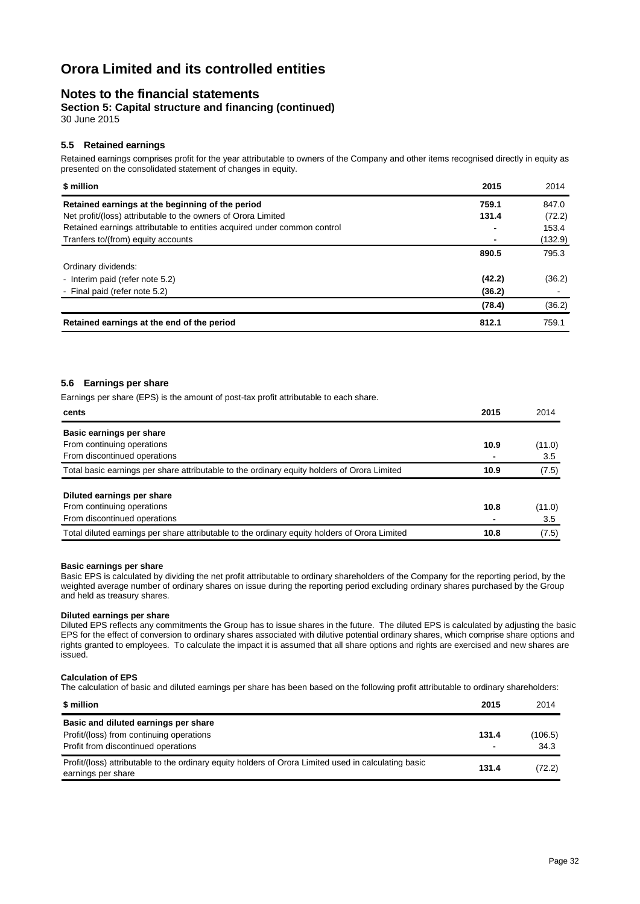### **Notes to the financial statements**

**Section 5: Capital structure and financing (continued)** 30 June 2015

### **5.5 Retained earnings**

Retained earnings comprises profit for the year attributable to owners of the Company and other items recognised directly in equity as presented on the consolidated statement of changes in equity.

| \$ million                                                               | 2015   | 2014    |
|--------------------------------------------------------------------------|--------|---------|
| Retained earnings at the beginning of the period                         | 759.1  | 847.0   |
| Net profit/(loss) attributable to the owners of Orora Limited            | 131.4  | (72.2)  |
| Retained earnings attributable to entities acquired under common control |        | 153.4   |
| Tranfers to/(from) equity accounts                                       |        | (132.9) |
|                                                                          | 890.5  | 795.3   |
| Ordinary dividends:                                                      |        |         |
| - Interim paid (refer note 5.2)                                          | (42.2) | (36.2)  |
| - Final paid (refer note 5.2)                                            | (36.2) |         |
|                                                                          | (78.4) | (36.2)  |
| Retained earnings at the end of the period                               | 812.1  | 759.1   |

#### **5.6 Earnings per share**

Earnings per share (EPS) is the amount of post-tax profit attributable to each share.

| cents                                                                                         | 2015 | 2014   |
|-----------------------------------------------------------------------------------------------|------|--------|
| Basic earnings per share                                                                      |      |        |
| From continuing operations                                                                    | 10.9 | (11.0) |
| From discontinued operations                                                                  |      | 3.5    |
| Total basic earnings per share attributable to the ordinary equity holders of Orora Limited   | 10.9 | (7.5)  |
| Diluted earnings per share                                                                    |      |        |
| From continuing operations                                                                    | 10.8 | (11.0) |
| From discontinued operations                                                                  |      | 3.5    |
| Total diluted earnings per share attributable to the ordinary equity holders of Orora Limited | 10.8 | (7.5)  |

#### **Basic earnings per share**

Basic EPS is calculated by dividing the net profit attributable to ordinary shareholders of the Company for the reporting period, by the weighted average number of ordinary shares on issue during the reporting period excluding ordinary shares purchased by the Group and held as treasury shares.

#### **Diluted earnings per share**

Diluted EPS reflects any commitments the Group has to issue shares in the future. The diluted EPS is calculated by adjusting the basic EPS for the effect of conversion to ordinary shares associated with dilutive potential ordinary shares, which comprise share options and rights granted to employees. To calculate the impact it is assumed that all share options and rights are exercised and new shares are issued.

#### **Calculation of EPS**

The calculation of basic and diluted earnings per share has been based on the following profit attributable to ordinary shareholders:

| \$ million                                                                                                                                                        | 2015                              | 2014           |
|-------------------------------------------------------------------------------------------------------------------------------------------------------------------|-----------------------------------|----------------|
| Basic and diluted earnings per share<br>Profit/(loss) from continuing operations                                                                                  | 131.4                             | (106.5)        |
| Profit from discontinued operations<br>Profit/(loss) attributable to the ordinary equity holders of Orora Limited used in calculating basic<br>earnings per share | $\overline{\phantom{0}}$<br>131.4 | 34.3<br>(72.2) |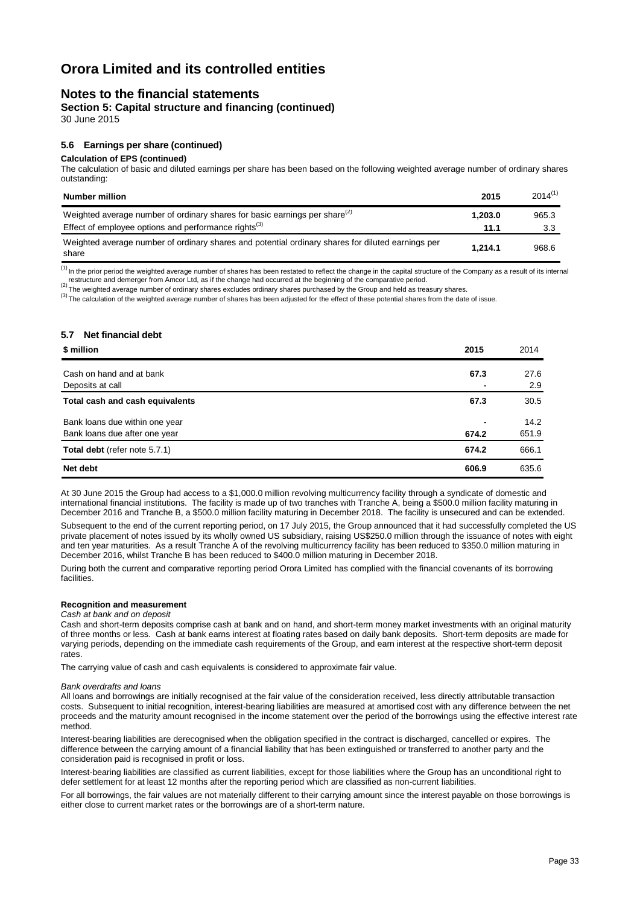### **Notes to the financial statements**

**Section 5: Capital structure and financing (continued)** 30 June 2015

### **5.6 Earnings per share (continued)**

#### **Calculation of EPS (continued)**

The calculation of basic and diluted earnings per share has been based on the following weighted average number of ordinary shares outstanding:

| <b>Number million</b>                                                                                      | 2015    | $2014^{(1)}$ |
|------------------------------------------------------------------------------------------------------------|---------|--------------|
| Weighted average number of ordinary shares for basic earnings per share <sup>(2)</sup>                     | 1.203.0 | 965.3        |
| Effect of employee options and performance rights $^{(3)}$                                                 | 11.1    | 3.3          |
| Weighted average number of ordinary shares and potential ordinary shares for diluted earnings per<br>share | 1.214.1 | 968.6        |

 $<sup>(1)</sup>$  In the prior period the weighted average number of shares has been restated to reflect the change in the capital structure of the Company as a result of its internal</sup>

restructure and demerger from Amcor Ltd, as if the change had occurred at the beginning of the comparative period.<br><sup>(2)</sup> The weighted average number of ordinary shares excludes ordinary shares purchased by the Group and h

<sup>(3)</sup> The calculation of the weighted average number of shares has been adjusted for the effect of these potential shares from the date of issue.

#### **5.7 Net financial debt**

| \$ million                                          | 2015           | 2014        |
|-----------------------------------------------------|----------------|-------------|
| Cash on hand and at bank                            | 67.3           | 27.6        |
| Deposits at call<br>Total cash and cash equivalents | 67.3           | 2.9<br>30.5 |
| Bank loans due within one year                      | $\blacksquare$ | 14.2        |
| Bank loans due after one year                       | 674.2          | 651.9       |
| Total debt (refer note 5.7.1)                       | 674.2          | 666.1       |
| Net debt                                            | 606.9          | 635.6       |

At 30 June 2015 the Group had access to a \$1,000.0 million revolving multicurrency facility through a syndicate of domestic and international financial institutions. The facility is made up of two tranches with Tranche A, being a \$500.0 million facility maturing in December 2016 and Tranche B, a \$500.0 million facility maturing in December 2018. The facility is unsecured and can be extended.

Subsequent to the end of the current reporting period, on 17 July 2015, the Group announced that it had successfully completed the US private placement of notes issued by its wholly owned US subsidiary, raising US\$250.0 million through the issuance of notes with eight and ten year maturities. As a result Tranche A of the revolving multicurrency facility has been reduced to \$350.0 million maturing in December 2016, whilst Tranche B has been reduced to \$400.0 million maturing in December 2018.

During both the current and comparative reporting period Orora Limited has complied with the financial covenants of its borrowing facilities.

#### **Recognition and measurement**

### *Cash at bank and on deposit*

Cash and short-term deposits comprise cash at bank and on hand, and short-term money market investments with an original maturity of three months or less. Cash at bank earns interest at floating rates based on daily bank deposits. Short-term deposits are made for varying periods, depending on the immediate cash requirements of the Group, and earn interest at the respective short-term deposit rates.

The carrying value of cash and cash equivalents is considered to approximate fair value.

#### *Bank overdrafts and loans*

All loans and borrowings are initially recognised at the fair value of the consideration received, less directly attributable transaction costs. Subsequent to initial recognition, interest-bearing liabilities are measured at amortised cost with any difference between the net proceeds and the maturity amount recognised in the income statement over the period of the borrowings using the effective interest rate method.

Interest-bearing liabilities are derecognised when the obligation specified in the contract is discharged, cancelled or expires. The difference between the carrying amount of a financial liability that has been extinguished or transferred to another party and the consideration paid is recognised in profit or loss.

Interest-bearing liabilities are classified as current liabilities, except for those liabilities where the Group has an unconditional right to defer settlement for at least 12 months after the reporting period which are classified as non-current liabilities.

For all borrowings, the fair values are not materially different to their carrying amount since the interest payable on those borrowings is either close to current market rates or the borrowings are of a short-term nature.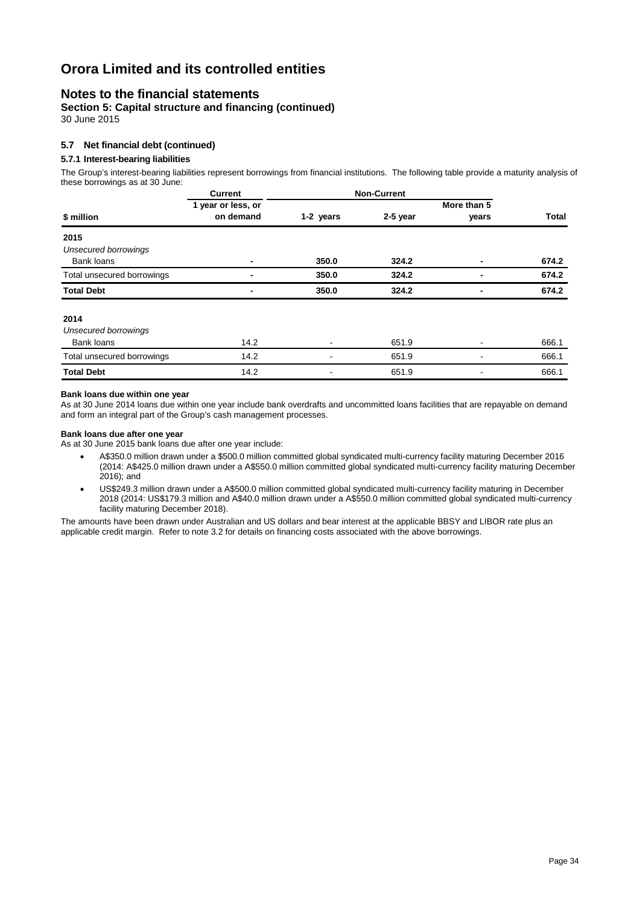### **Notes to the financial statements**

**Section 5: Capital structure and financing (continued)** 30 June 2015

#### **5.7 Net financial debt (continued)**

#### **5.7.1 Interest-bearing liabilities**

The Group's interest-bearing liabilities represent borrowings from financial institutions. The following table provide a maturity analysis of these borrowings as at 30 June:

|                             | <b>Current</b>     | <b>Non-Current</b> |          |             |              |
|-----------------------------|--------------------|--------------------|----------|-------------|--------------|
| \$ million                  | 1 year or less, or |                    |          | More than 5 |              |
|                             | on demand          | 1-2 years          | 2-5 year | years       | <b>Total</b> |
| 2015                        |                    |                    |          |             |              |
| <b>Unsecured borrowings</b> |                    |                    |          |             |              |
| Bank loans                  |                    | 350.0              | 324.2    |             | 674.2        |
| Total unsecured borrowings  |                    | 350.0              | 324.2    |             | 674.2        |
| <b>Total Debt</b>           |                    | 350.0              | 324.2    | -           | 674.2        |
| 2014                        |                    |                    |          |             |              |
| <b>Unsecured borrowings</b> |                    |                    |          |             |              |
| Bank loans                  | 14.2               |                    | 651.9    |             | 666.1        |
| Total unsecured borrowings  | 14.2               |                    | 651.9    |             | 666.1        |
| <b>Total Debt</b>           | 14.2               |                    | 651.9    |             | 666.1        |

#### **Bank loans due within one year**

As at 30 June 2014 loans due within one year include bank overdrafts and uncommitted loans facilities that are repayable on demand and form an integral part of the Group's cash management processes.

#### **Bank loans due after one year**

As at 30 June 2015 bank loans due after one year include:

- A\$350.0 million drawn under a \$500.0 million committed global syndicated multi-currency facility maturing December 2016 (2014: A\$425.0 million drawn under a A\$550.0 million committed global syndicated multi-currency facility maturing December 2016); and
- US\$249.3 million drawn under a A\$500.0 million committed global syndicated multi-currency facility maturing in December 2018 (2014: US\$179.3 million and A\$40.0 million drawn under a A\$550.0 million committed global syndicated multi-currency facility maturing December 2018).

The amounts have been drawn under Australian and US dollars and bear interest at the applicable BBSY and LIBOR rate plus an applicable credit margin. Refer to note 3.2 for details on financing costs associated with the above borrowings.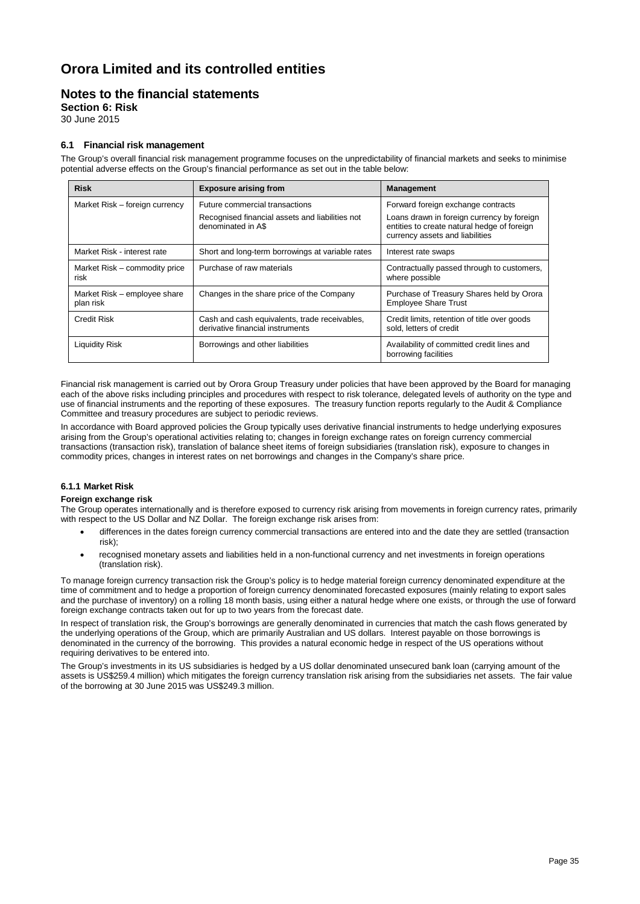### **Notes to the financial statements**

**Section 6: Risk**

30 June 2015

#### **6.1 Financial risk management**

The Group's overall financial risk management programme focuses on the unpredictability of financial markets and seeks to minimise potential adverse effects on the Group's financial performance as set out in the table below:

| <b>Risk</b>                               | <b>Exposure arising from</b>                                                      | <b>Management</b>                                                                                                            |
|-------------------------------------------|-----------------------------------------------------------------------------------|------------------------------------------------------------------------------------------------------------------------------|
| Market Risk - foreign currency            | Future commercial transactions                                                    | Forward foreign exchange contracts                                                                                           |
|                                           | Recognised financial assets and liabilities not<br>denominated in A\$             | Loans drawn in foreign currency by foreign<br>entities to create natural hedge of foreign<br>currency assets and liabilities |
| Market Risk - interest rate               | Short and long-term borrowings at variable rates                                  | Interest rate swaps                                                                                                          |
| Market Risk - commodity price<br>risk     | Purchase of raw materials                                                         | Contractually passed through to customers,<br>where possible                                                                 |
| Market Risk – employee share<br>plan risk | Changes in the share price of the Company                                         | Purchase of Treasury Shares held by Orora<br><b>Employee Share Trust</b>                                                     |
| <b>Credit Risk</b>                        | Cash and cash equivalents, trade receivables,<br>derivative financial instruments | Credit limits, retention of title over goods<br>sold. letters of credit                                                      |
| Liquidity Risk                            | Borrowings and other liabilities                                                  | Availability of committed credit lines and<br>borrowing facilities                                                           |

Financial risk management is carried out by Orora Group Treasury under policies that have been approved by the Board for managing each of the above risks including principles and procedures with respect to risk tolerance, delegated levels of authority on the type and use of financial instruments and the reporting of these exposures. The treasury function reports regularly to the Audit & Compliance Committee and treasury procedures are subject to periodic reviews.

In accordance with Board approved policies the Group typically uses derivative financial instruments to hedge underlying exposures arising from the Group's operational activities relating to; changes in foreign exchange rates on foreign currency commercial transactions (transaction risk), translation of balance sheet items of foreign subsidiaries (translation risk), exposure to changes in commodity prices, changes in interest rates on net borrowings and changes in the Company's share price.

#### **6.1.1 Market Risk**

#### **Foreign exchange risk**

The Group operates internationally and is therefore exposed to currency risk arising from movements in foreign currency rates, primarily with respect to the US Dollar and NZ Dollar. The foreign exchange risk arises from:

- differences in the dates foreign currency commercial transactions are entered into and the date they are settled (transaction risk);
- recognised monetary assets and liabilities held in a non-functional currency and net investments in foreign operations (translation risk).

To manage foreign currency transaction risk the Group's policy is to hedge material foreign currency denominated expenditure at the time of commitment and to hedge a proportion of foreign currency denominated forecasted exposures (mainly relating to export sales and the purchase of inventory) on a rolling 18 month basis, using either a natural hedge where one exists, or through the use of forward foreign exchange contracts taken out for up to two years from the forecast date.

In respect of translation risk, the Group's borrowings are generally denominated in currencies that match the cash flows generated by the underlying operations of the Group, which are primarily Australian and US dollars. Interest payable on those borrowings is denominated in the currency of the borrowing. This provides a natural economic hedge in respect of the US operations without requiring derivatives to be entered into.

The Group's investments in its US subsidiaries is hedged by a US dollar denominated unsecured bank loan (carrying amount of the assets is US\$259.4 million) which mitigates the foreign currency translation risk arising from the subsidiaries net assets. The fair value of the borrowing at 30 June 2015 was US\$249.3 million.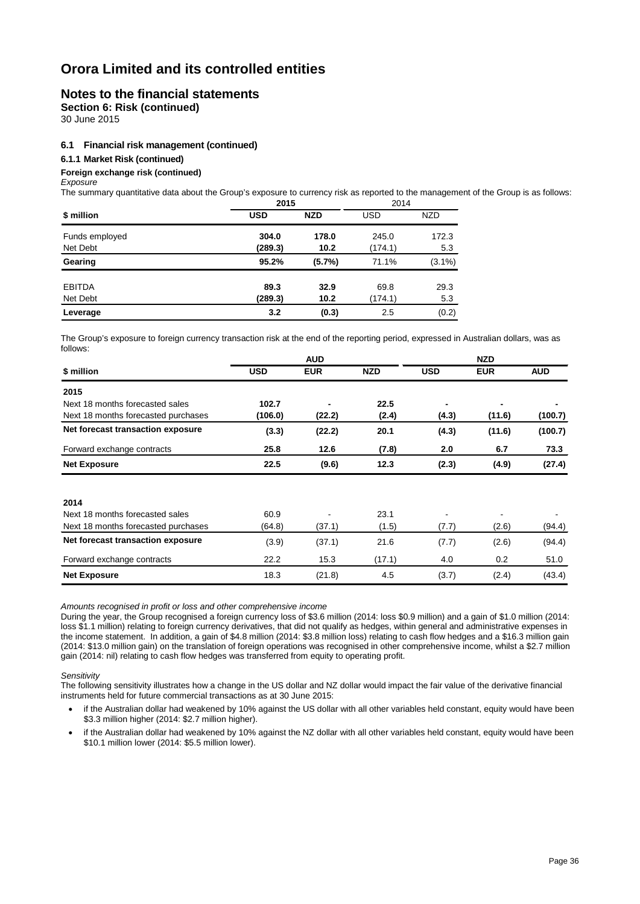### **Notes to the financial statements**

**Section 6: Risk (continued)**

30 June 2015

#### **6.1 Financial risk management (continued)**

#### **6.1.1 Market Risk (continued)**

#### **Foreign exchange risk (continued)**

*Exposure*

The summary quantitative data about the Group's exposure to currency risk as reported to the management of the Group is as follows:

|                | 2015       | 2014       |         |            |
|----------------|------------|------------|---------|------------|
| \$ million     | <b>USD</b> | <b>NZD</b> | USD     | <b>NZD</b> |
| Funds employed | 304.0      | 178.0      | 245.0   | 172.3      |
| Net Debt       | (289.3)    | 10.2       | (174.1) | 5.3        |
| Gearing        | 95.2%      | (5.7%)     | 71.1%   | $(3.1\%)$  |
| <b>EBITDA</b>  | 89.3       | 32.9       | 69.8    | 29.3       |
| Net Debt       | (289.3)    | 10.2       | (174.1) | 5.3        |
| Leverage       | 3.2        | (0.3)      | 2.5     | (0.2)      |

The Group's exposure to foreign currency transaction risk at the end of the reporting period, expressed in Australian dollars, was as follows:

|                                     | <b>AUD</b> |                |            | <b>NZD</b>     |            |            |
|-------------------------------------|------------|----------------|------------|----------------|------------|------------|
| \$ million                          | USD        | <b>EUR</b>     | <b>NZD</b> | <b>USD</b>     | <b>EUR</b> | <b>AUD</b> |
| 2015                                |            |                |            |                |            |            |
| Next 18 months forecasted sales     | 102.7      | $\blacksquare$ | 22.5       | ٠              |            |            |
| Next 18 months forecasted purchases | (106.0)    | (22.2)         | (2.4)      | (4.3)          | (11.6)     | (100.7)    |
| Net forecast transaction exposure   | (3.3)      | (22.2)         | 20.1       | (4.3)          | (11.6)     | (100.7)    |
| Forward exchange contracts          | 25.8       | 12.6           | (7.8)      | 2.0            | 6.7        | 73.3       |
| <b>Net Exposure</b>                 | 22.5       | (9.6)          | 12.3       | (2.3)          | (4.9)      | (27.4)     |
|                                     |            |                |            |                |            |            |
| 2014                                |            |                |            |                |            |            |
| Next 18 months forecasted sales     | 60.9       | $\blacksquare$ | 23.1       | $\blacksquare$ |            |            |
| Next 18 months forecasted purchases | (64.8)     | (37.1)         | (1.5)      | (7.7)          | (2.6)      | (94.4)     |
| Net forecast transaction exposure   | (3.9)      | (37.1)         | 21.6       | (7.7)          | (2.6)      | (94.4)     |
| Forward exchange contracts          | 22.2       | 15.3           | (17.1)     | 4.0            | 0.2        | 51.0       |
| <b>Net Exposure</b>                 | 18.3       | (21.8)         | 4.5        | (3.7)          | (2.4)      | (43.4)     |

*Amounts recognised in profit or loss and other comprehensive income*

During the year, the Group recognised a foreign currency loss of \$3.6 million (2014: loss \$0.9 million) and a gain of \$1.0 million (2014: loss \$1.1 million) relating to foreign currency derivatives, that did not qualify as hedges, within general and administrative expenses in the income statement. In addition, a gain of \$4.8 million (2014: \$3.8 million loss) relating to cash flow hedges and a \$16.3 million gain (2014: \$13.0 million gain) on the translation of foreign operations was recognised in other comprehensive income, whilst a \$2.7 million gain (2014: nil) relating to cash flow hedges was transferred from equity to operating profit.

*Sensitivity*

The following sensitivity illustrates how a change in the US dollar and NZ dollar would impact the fair value of the derivative financial instruments held for future commercial transactions as at 30 June 2015:

- if the Australian dollar had weakened by 10% against the US dollar with all other variables held constant, equity would have been \$3.3 million higher (2014: \$2.7 million higher).
- if the Australian dollar had weakened by 10% against the NZ dollar with all other variables held constant, equity would have been \$10.1 million lower (2014: \$5.5 million lower).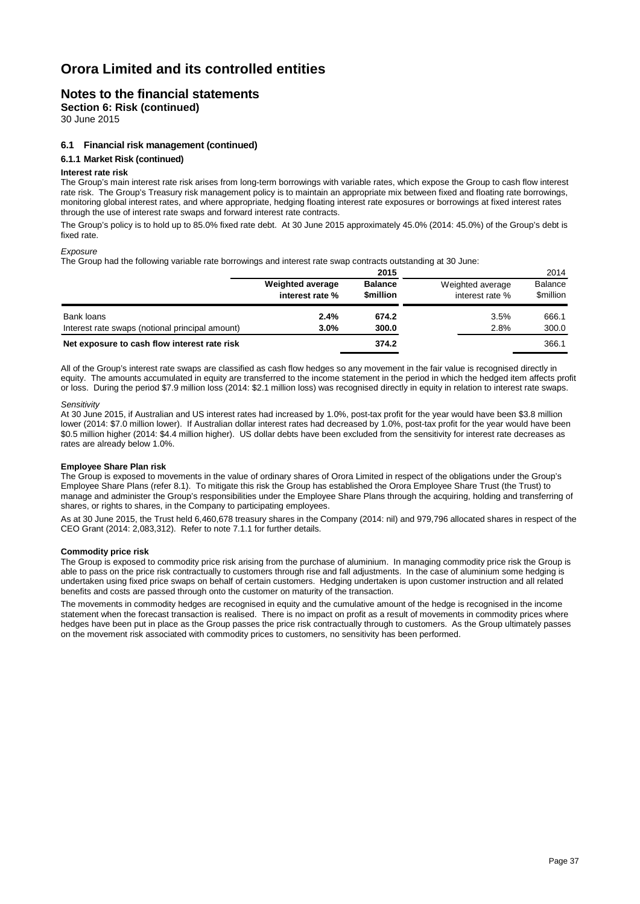### **Notes to the financial statements**

**Section 6: Risk (continued)**

30 June 2015

#### **6.1 Financial risk management (continued)**

#### **6.1.1 Market Risk (continued)**

#### **Interest rate risk**

The Group's main interest rate risk arises from long-term borrowings with variable rates, which expose the Group to cash flow interest rate risk. The Group's Treasury risk management policy is to maintain an appropriate mix between fixed and floating rate borrowings, monitoring global interest rates, and where appropriate, hedging floating interest rate exposures or borrowings at fixed interest rates through the use of interest rate swaps and forward interest rate contracts.

The Group's policy is to hold up to 85.0% fixed rate debt. At 30 June 2015 approximately 45.0% (2014: 45.0%) of the Group's debt is fixed rate.

#### *Exposure*

The Group had the following variable rate borrowings and interest rate swap contracts outstanding at 30 June:

|                                                 |                                            | 2015                              |                                     | 2014                               |
|-------------------------------------------------|--------------------------------------------|-----------------------------------|-------------------------------------|------------------------------------|
|                                                 | <b>Weighted average</b><br>interest rate % | <b>Balance</b><br><b>Smillion</b> | Weighted average<br>interest rate % | <b>Balance</b><br><b>\$million</b> |
| Bank loans                                      | 2.4%                                       | 674.2                             | 3.5%                                | 666.1                              |
| Interest rate swaps (notional principal amount) | 3.0%                                       | 300.0                             | 2.8%                                | 300.0                              |
| Net exposure to cash flow interest rate risk    |                                            | 374.2                             |                                     | 366.1                              |

All of the Group's interest rate swaps are classified as cash flow hedges so any movement in the fair value is recognised directly in equity. The amounts accumulated in equity are transferred to the income statement in the period in which the hedged item affects profit or loss. During the period \$7.9 million loss (2014: \$2.1 million loss) was recognised directly in equity in relation to interest rate swaps.

#### *Sensitivity*

At 30 June 2015, if Australian and US interest rates had increased by 1.0%, post-tax profit for the year would have been \$3.8 million lower (2014: \$7.0 million lower). If Australian dollar interest rates had decreased by 1.0%, post-tax profit for the year would have been \$0.5 million higher (2014: \$4.4 million higher). US dollar debts have been excluded from the sensitivity for interest rate decreases as rates are already below 1.0%.

#### **Employee Share Plan risk**

The Group is exposed to movements in the value of ordinary shares of Orora Limited in respect of the obligations under the Group's Employee Share Plans (refer 8.1). To mitigate this risk the Group has established the Orora Employee Share Trust (the Trust) to manage and administer the Group's responsibilities under the Employee Share Plans through the acquiring, holding and transferring of shares, or rights to shares, in the Company to participating employees.

As at 30 June 2015, the Trust held 6,460,678 treasury shares in the Company (2014: nil) and 979,796 allocated shares in respect of the CEO Grant (2014: 2,083,312). Refer to note 7.1.1 for further details.

#### **Commodity price risk**

The Group is exposed to commodity price risk arising from the purchase of aluminium. In managing commodity price risk the Group is able to pass on the price risk contractually to customers through rise and fall adjustments. In the case of aluminium some hedging is undertaken using fixed price swaps on behalf of certain customers. Hedging undertaken is upon customer instruction and all related benefits and costs are passed through onto the customer on maturity of the transaction.

The movements in commodity hedges are recognised in equity and the cumulative amount of the hedge is recognised in the income statement when the forecast transaction is realised. There is no impact on profit as a result of movements in commodity prices where hedges have been put in place as the Group passes the price risk contractually through to customers. As the Group ultimately passes on the movement risk associated with commodity prices to customers, no sensitivity has been performed.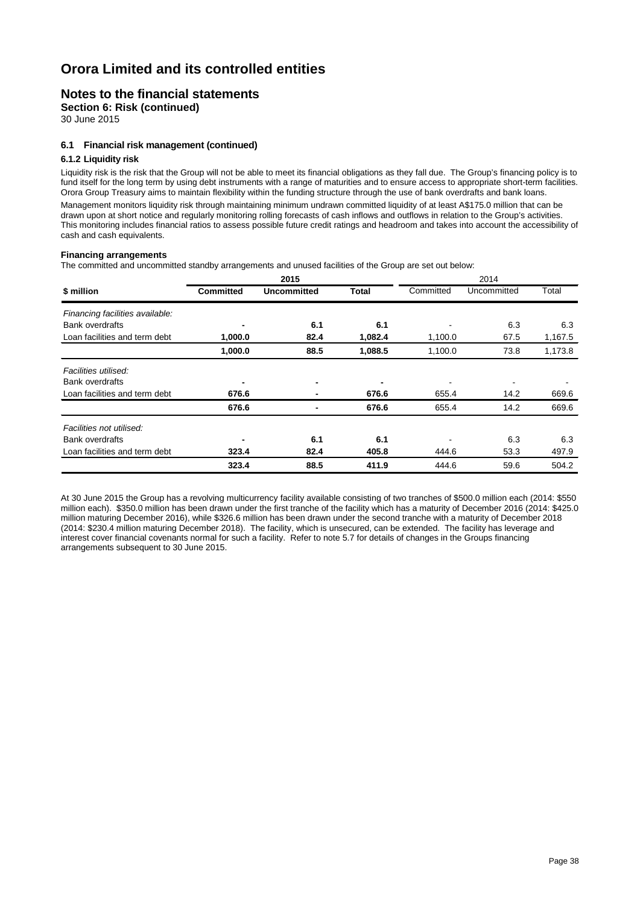### **Notes to the financial statements**

**Section 6: Risk (continued)**

30 June 2015

#### **6.1 Financial risk management (continued)**

#### **6.1.2 Liquidity risk**

Liquidity risk is the risk that the Group will not be able to meet its financial obligations as they fall due. The Group's financing policy is to fund itself for the long term by using debt instruments with a range of maturities and to ensure access to appropriate short-term facilities. Orora Group Treasury aims to maintain flexibility within the funding structure through the use of bank overdrafts and bank loans.

Management monitors liquidity risk through maintaining minimum undrawn committed liquidity of at least A\$175.0 million that can be drawn upon at short notice and regularly monitoring rolling forecasts of cash inflows and outflows in relation to the Group's activities. This monitoring includes financial ratios to assess possible future credit ratings and headroom and takes into account the accessibility of cash and cash equivalents.

#### **Financing arrangements**

The committed and uncommitted standby arrangements and unused facilities of the Group are set out below:

|                                 | 2015             |                    |              | 2014      |             |         |  |
|---------------------------------|------------------|--------------------|--------------|-----------|-------------|---------|--|
| \$ million                      | <b>Committed</b> | <b>Uncommitted</b> | <b>Total</b> | Committed | Uncommitted | Total   |  |
| Financing facilities available: |                  |                    |              |           |             |         |  |
| <b>Bank overdrafts</b>          | $\blacksquare$   | 6.1                | 6.1          |           | 6.3         | 6.3     |  |
| Loan facilities and term debt   | 1,000.0          | 82.4               | 1,082.4      | 1,100.0   | 67.5        | 1,167.5 |  |
|                                 | 1,000.0          | 88.5               | 1,088.5      | 1,100.0   | 73.8        | 1,173.8 |  |
| Facilities utilised:            |                  |                    |              |           |             |         |  |
| <b>Bank overdrafts</b>          | $\blacksquare$   | -                  | ٠            |           |             |         |  |
| Loan facilities and term debt   | 676.6            |                    | 676.6        | 655.4     | 14.2        | 669.6   |  |
|                                 | 676.6            |                    | 676.6        | 655.4     | 14.2        | 669.6   |  |
| Facilities not utilised:        |                  |                    |              |           |             |         |  |
| <b>Bank overdrafts</b>          | $\blacksquare$   | 6.1                | 6.1          |           | 6.3         | 6.3     |  |
| Loan facilities and term debt   | 323.4            | 82.4               | 405.8        | 444.6     | 53.3        | 497.9   |  |
|                                 | 323.4            | 88.5               | 411.9        | 444.6     | 59.6        | 504.2   |  |

At 30 June 2015 the Group has a revolving multicurrency facility available consisting of two tranches of \$500.0 million each (2014: \$550 million each). \$350.0 million has been drawn under the first tranche of the facility which has a maturity of December 2016 (2014: \$425.0 million maturing December 2016), while \$326.6 million has been drawn under the second tranche with a maturity of December 2018 (2014: \$230.4 million maturing December 2018). The facility, which is unsecured, can be extended. The facility has leverage and interest cover financial covenants normal for such a facility. Refer to note 5.7 for details of changes in the Groups financing arrangements subsequent to 30 June 2015.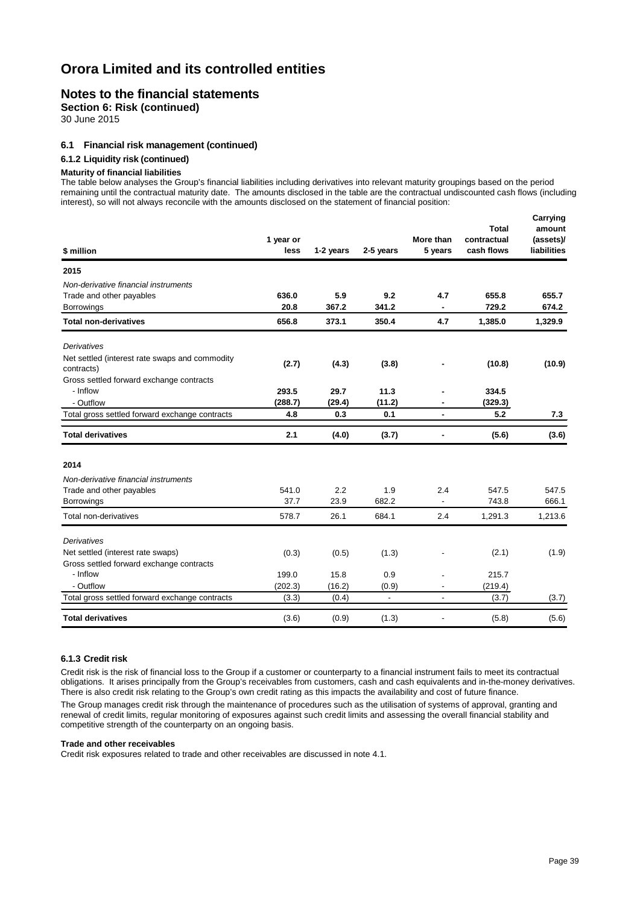### **Notes to the financial statements**

**Section 6: Risk (continued)**

30 June 2015

#### **6.1 Financial risk management (continued)**

#### **6.1.2 Liquidity risk (continued)**

#### **Maturity of financial liabilities**

The table below analyses the Group's financial liabilities including derivatives into relevant maturity groupings based on the period remaining until the contractual maturity date. The amounts disclosed in the table are the contractual undiscounted cash flows (including interest), so will not always reconcile with the amounts disclosed on the statement of financial position:

|           |                                                     |                                                 |                                                | <b>Total</b> | Carrying<br>amount                                    |
|-----------|-----------------------------------------------------|-------------------------------------------------|------------------------------------------------|--------------|-------------------------------------------------------|
| 1 year or |                                                     |                                                 | More than                                      | contractual  | (assets)/                                             |
| less      | 1-2 years                                           | 2-5 years                                       | 5 years                                        | cash flows   | liabilities                                           |
|           |                                                     |                                                 |                                                |              |                                                       |
|           |                                                     |                                                 |                                                |              |                                                       |
| 636.0     | 5.9                                                 | 9.2                                             | 4.7                                            | 655.8        | 655.7                                                 |
| 20.8      | 367.2                                               | 341.2                                           | ٠                                              | 729.2        | 674.2                                                 |
| 656.8     | 373.1                                               | 350.4                                           | 4.7                                            | 1,385.0      | 1,329.9                                               |
|           |                                                     |                                                 |                                                |              |                                                       |
|           |                                                     |                                                 |                                                |              |                                                       |
|           |                                                     |                                                 |                                                |              | (10.9)                                                |
|           |                                                     |                                                 |                                                |              |                                                       |
| 293.5     | 29.7                                                | 11.3                                            |                                                | 334.5        |                                                       |
| (288.7)   | (29.4)                                              | (11.2)                                          |                                                | (329.3)      |                                                       |
| 4.8       | 0.3                                                 | 0.1                                             | $\blacksquare$                                 | 5.2          | 7.3                                                   |
| 2.1       | (4.0)                                               | (3.7)                                           | $\blacksquare$                                 | (5.6)        | (3.6)                                                 |
|           |                                                     |                                                 |                                                |              |                                                       |
|           |                                                     |                                                 |                                                |              |                                                       |
|           |                                                     |                                                 |                                                |              | 547.5                                                 |
|           |                                                     |                                                 |                                                |              | 666.1                                                 |
| 578.7     | 26.1                                                | 684.1                                           | 2.4                                            | 1,291.3      | 1,213.6                                               |
|           |                                                     |                                                 |                                                |              |                                                       |
|           |                                                     |                                                 |                                                |              | (1.9)                                                 |
|           |                                                     |                                                 |                                                |              |                                                       |
|           |                                                     |                                                 |                                                |              |                                                       |
|           |                                                     |                                                 |                                                |              |                                                       |
| (3.3)     | (0.4)                                               | $\mathbf{r}$                                    | ÷.                                             | (3.7)        | (3.7)                                                 |
| (3.6)     | (0.9)                                               | (1.3)                                           | $\overline{\phantom{a}}$                       | (5.8)        | (5.6)                                                 |
|           | (2.7)<br>541.0<br>37.7<br>(0.3)<br>199.0<br>(202.3) | (4.3)<br>2.2<br>23.9<br>(0.5)<br>15.8<br>(16.2) | (3.8)<br>1.9<br>682.2<br>(1.3)<br>0.9<br>(0.9) | 2.4          | (10.8)<br>547.5<br>743.8<br>(2.1)<br>215.7<br>(219.4) |

#### **6.1.3 Credit risk**

Credit risk is the risk of financial loss to the Group if a customer or counterparty to a financial instrument fails to meet its contractual obligations. It arises principally from the Group's receivables from customers, cash and cash equivalents and in-the-money derivatives. There is also credit risk relating to the Group's own credit rating as this impacts the availability and cost of future finance.

The Group manages credit risk through the maintenance of procedures such as the utilisation of systems of approval, granting and renewal of credit limits, regular monitoring of exposures against such credit limits and assessing the overall financial stability and competitive strength of the counterparty on an ongoing basis.

#### **Trade and other receivables**

Credit risk exposures related to trade and other receivables are discussed in note 4.1.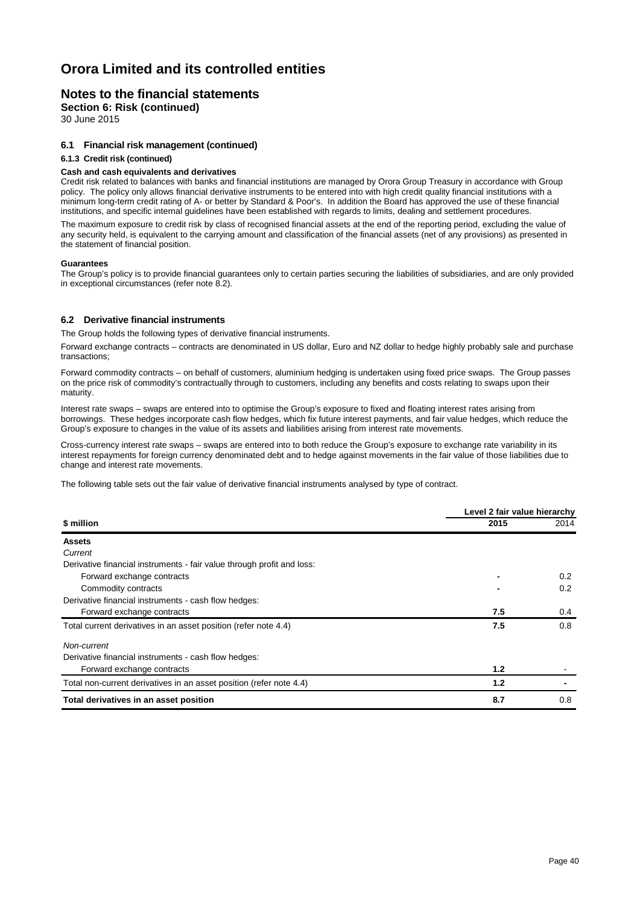### **Notes to the financial statements**

**Section 6: Risk (continued)**

30 June 2015

#### **6.1 Financial risk management (continued)**

#### **6.1.3 Credit risk (continued)**

#### **Cash and cash equivalents and derivatives**

Credit risk related to balances with banks and financial institutions are managed by Orora Group Treasury in accordance with Group policy. The policy only allows financial derivative instruments to be entered into with high credit quality financial institutions with a minimum long-term credit rating of A- or better by Standard & Poor's. In addition the Board has approved the use of these financial institutions, and specific internal guidelines have been established with regards to limits, dealing and settlement procedures.

The maximum exposure to credit risk by class of recognised financial assets at the end of the reporting period, excluding the value of any security held, is equivalent to the carrying amount and classification of the financial assets (net of any provisions) as presented in the statement of financial position.

#### **Guarantees**

The Group's policy is to provide financial guarantees only to certain parties securing the liabilities of subsidiaries, and are only provided in exceptional circumstances (refer note 8.2).

#### **6.2 Derivative financial instruments**

The Group holds the following types of derivative financial instruments.

Forward exchange contracts – contracts are denominated in US dollar, Euro and NZ dollar to hedge highly probably sale and purchase transactions;

Forward commodity contracts – on behalf of customers, aluminium hedging is undertaken using fixed price swaps. The Group passes on the price risk of commodity's contractually through to customers, including any benefits and costs relating to swaps upon their maturity.

Interest rate swaps – swaps are entered into to optimise the Group's exposure to fixed and floating interest rates arising from borrowings. These hedges incorporate cash flow hedges, which fix future interest payments, and fair value hedges, which reduce the Group's exposure to changes in the value of its assets and liabilities arising from interest rate movements.

Cross-currency interest rate swaps – swaps are entered into to both reduce the Group's exposure to exchange rate variability in its interest repayments for foreign currency denominated debt and to hedge against movements in the fair value of those liabilities due to change and interest rate movements.

The following table sets out the fair value of derivative financial instruments analysed by type of contract.

|                                                                        | Level 2 fair value hierarchy |               |  |  |
|------------------------------------------------------------------------|------------------------------|---------------|--|--|
| \$ million                                                             | 2015                         | 2014          |  |  |
| <b>Assets</b>                                                          |                              |               |  |  |
| Current                                                                |                              |               |  |  |
| Derivative financial instruments - fair value through profit and loss: |                              |               |  |  |
| Forward exchange contracts                                             |                              | $0.2^{\circ}$ |  |  |
| Commodity contracts                                                    |                              | 0.2           |  |  |
| Derivative financial instruments - cash flow hedges:                   |                              |               |  |  |
| Forward exchange contracts                                             | 7.5                          | 0.4           |  |  |
| Total current derivatives in an asset position (refer note 4.4)        | 7.5                          | 0.8           |  |  |
| Non-current                                                            |                              |               |  |  |
| Derivative financial instruments - cash flow hedges:                   |                              |               |  |  |
| Forward exchange contracts                                             | 1.2                          |               |  |  |
| Total non-current derivatives in an asset position (refer note 4.4)    | 1.2                          |               |  |  |
| Total derivatives in an asset position                                 | 8.7                          | 0.8           |  |  |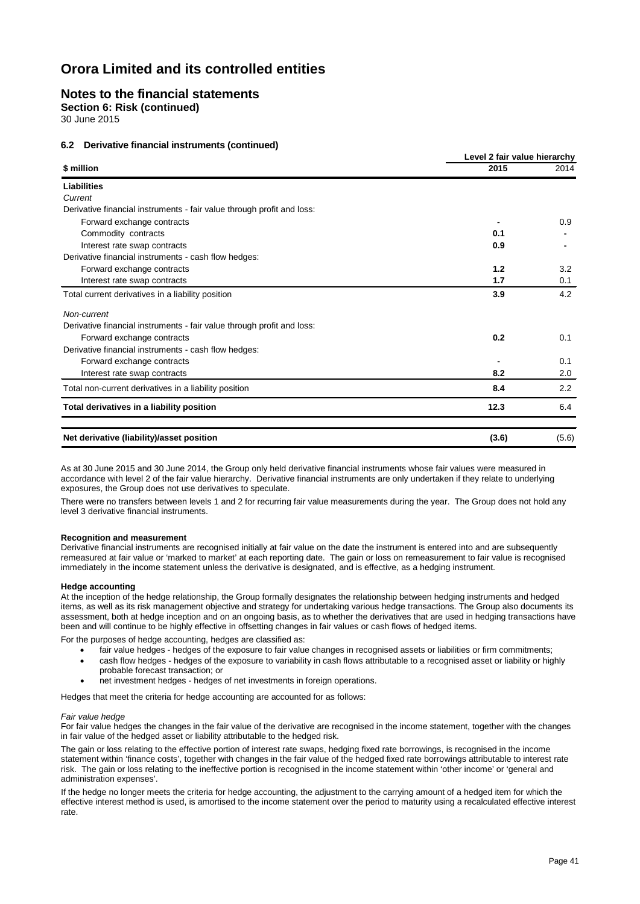### **Notes to the financial statements**

**Section 6: Risk (continued)**

30 June 2015

#### **6.2 Derivative financial instruments (continued)**

|                                                                        | Level 2 fair value hierarchy |       |  |
|------------------------------------------------------------------------|------------------------------|-------|--|
| \$ million                                                             | 2015                         | 2014  |  |
| <b>Liabilities</b>                                                     |                              |       |  |
| Current                                                                |                              |       |  |
| Derivative financial instruments - fair value through profit and loss: |                              |       |  |
| Forward exchange contracts                                             |                              | 0.9   |  |
| Commodity contracts                                                    | 0.1                          |       |  |
| Interest rate swap contracts                                           | 0.9                          |       |  |
| Derivative financial instruments - cash flow hedges:                   |                              |       |  |
| Forward exchange contracts                                             | 1.2                          | 3.2   |  |
| Interest rate swap contracts                                           | 1.7                          | 0.1   |  |
| Total current derivatives in a liability position                      | 3.9                          | 4.2   |  |
| Non-current                                                            |                              |       |  |
| Derivative financial instruments - fair value through profit and loss: |                              |       |  |
| Forward exchange contracts                                             | 0.2                          | 0.1   |  |
| Derivative financial instruments - cash flow hedges:                   |                              |       |  |
| Forward exchange contracts                                             |                              | 0.1   |  |
| Interest rate swap contracts                                           | 8.2                          | 2.0   |  |
| Total non-current derivatives in a liability position                  | 8.4                          | 2.2   |  |
| Total derivatives in a liability position                              | 12.3                         | 6.4   |  |
| Net derivative (liability)/asset position                              | (3.6)                        | (5.6) |  |

As at 30 June 2015 and 30 June 2014, the Group only held derivative financial instruments whose fair values were measured in accordance with level 2 of the fair value hierarchy. Derivative financial instruments are only undertaken if they relate to underlying exposures, the Group does not use derivatives to speculate.

There were no transfers between levels 1 and 2 for recurring fair value measurements during the year. The Group does not hold any level 3 derivative financial instruments.

#### **Recognition and measurement**

Derivative financial instruments are recognised initially at fair value on the date the instrument is entered into and are subsequently remeasured at fair value or 'marked to market' at each reporting date. The gain or loss on remeasurement to fair value is recognised immediately in the income statement unless the derivative is designated, and is effective, as a hedging instrument.

#### **Hedge accounting**

At the inception of the hedge relationship, the Group formally designates the relationship between hedging instruments and hedged items, as well as its risk management objective and strategy for undertaking various hedge transactions. The Group also documents its assessment, both at hedge inception and on an ongoing basis, as to whether the derivatives that are used in hedging transactions have been and will continue to be highly effective in offsetting changes in fair values or cash flows of hedged items.

For the purposes of hedge accounting, hedges are classified as:

- fair value hedges hedges of the exposure to fair value changes in recognised assets or liabilities or firm commitments;
- cash flow hedges hedges of the exposure to variability in cash flows attributable to a recognised asset or liability or highly probable forecast transaction; or
- net investment hedges hedges of net investments in foreign operations.

Hedges that meet the criteria for hedge accounting are accounted for as follows:

#### *Fair value hedge*

For fair value hedges the changes in the fair value of the derivative are recognised in the income statement, together with the changes in fair value of the hedged asset or liability attributable to the hedged risk.

The gain or loss relating to the effective portion of interest rate swaps, hedging fixed rate borrowings, is recognised in the income statement within 'finance costs', together with changes in the fair value of the hedged fixed rate borrowings attributable to interest rate risk. The gain or loss relating to the ineffective portion is recognised in the income statement within 'other income' or 'general and administration expenses'.

If the hedge no longer meets the criteria for hedge accounting, the adjustment to the carrying amount of a hedged item for which the effective interest method is used, is amortised to the income statement over the period to maturity using a recalculated effective interest rate.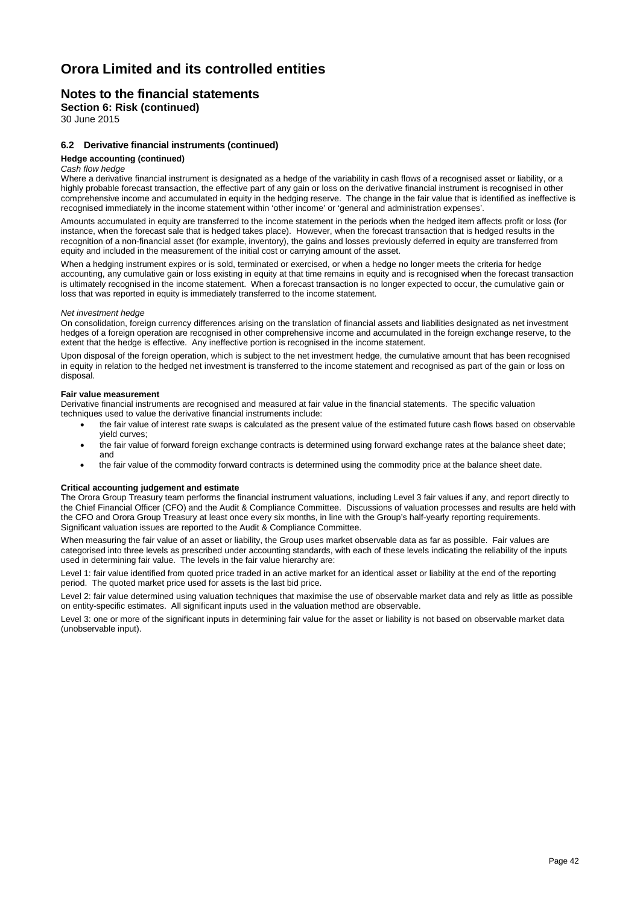### **Notes to the financial statements**

**Section 6: Risk (continued)**

30 June 2015

#### **6.2 Derivative financial instruments (continued)**

#### **Hedge accounting (continued)**

#### *Cash flow hedge*

Where a derivative financial instrument is designated as a hedge of the variability in cash flows of a recognised asset or liability, or a highly probable forecast transaction, the effective part of any gain or loss on the derivative financial instrument is recognised in other comprehensive income and accumulated in equity in the hedging reserve. The change in the fair value that is identified as ineffective is recognised immediately in the income statement within 'other income' or 'general and administration expenses'.

Amounts accumulated in equity are transferred to the income statement in the periods when the hedged item affects profit or loss (for instance, when the forecast sale that is hedged takes place). However, when the forecast transaction that is hedged results in the recognition of a non-financial asset (for example, inventory), the gains and losses previously deferred in equity are transferred from equity and included in the measurement of the initial cost or carrying amount of the asset.

When a hedging instrument expires or is sold, terminated or exercised, or when a hedge no longer meets the criteria for hedge accounting, any cumulative gain or loss existing in equity at that time remains in equity and is recognised when the forecast transaction is ultimately recognised in the income statement. When a forecast transaction is no longer expected to occur, the cumulative gain or loss that was reported in equity is immediately transferred to the income statement.

#### *Net investment hedge*

On consolidation, foreign currency differences arising on the translation of financial assets and liabilities designated as net investment hedges of a foreign operation are recognised in other comprehensive income and accumulated in the foreign exchange reserve, to the extent that the hedge is effective. Any ineffective portion is recognised in the income statement.

Upon disposal of the foreign operation, which is subject to the net investment hedge, the cumulative amount that has been recognised in equity in relation to the hedged net investment is transferred to the income statement and recognised as part of the gain or loss on disposal.

#### **Fair value measurement**

Derivative financial instruments are recognised and measured at fair value in the financial statements. The specific valuation techniques used to value the derivative financial instruments include:

- the fair value of interest rate swaps is calculated as the present value of the estimated future cash flows based on observable yield curves;
- the fair value of forward foreign exchange contracts is determined using forward exchange rates at the balance sheet date; and
- the fair value of the commodity forward contracts is determined using the commodity price at the balance sheet date.

#### **Critical accounting judgement and estimate**

The Orora Group Treasury team performs the financial instrument valuations, including Level 3 fair values if any, and report directly to the Chief Financial Officer (CFO) and the Audit & Compliance Committee. Discussions of valuation processes and results are held with the CFO and Orora Group Treasury at least once every six months, in line with the Group's half-yearly reporting requirements. Significant valuation issues are reported to the Audit & Compliance Committee.

When measuring the fair value of an asset or liability, the Group uses market observable data as far as possible. Fair values are categorised into three levels as prescribed under accounting standards, with each of these levels indicating the reliability of the inputs used in determining fair value. The levels in the fair value hierarchy are:

Level 1: fair value identified from quoted price traded in an active market for an identical asset or liability at the end of the reporting period. The quoted market price used for assets is the last bid price.

Level 2: fair value determined using valuation techniques that maximise the use of observable market data and rely as little as possible on entity-specific estimates. All significant inputs used in the valuation method are observable.

Level 3: one or more of the significant inputs in determining fair value for the asset or liability is not based on observable market data (unobservable input).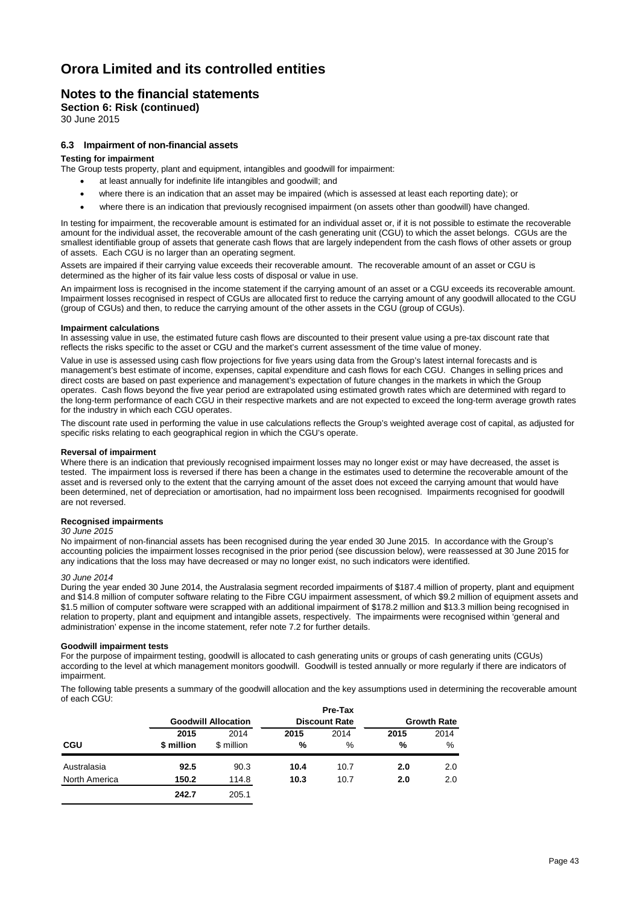### **Notes to the financial statements**

**Section 6: Risk (continued)**

30 June 2015

#### **6.3 Impairment of non-financial assets**

#### **Testing for impairment**

The Group tests property, plant and equipment, intangibles and goodwill for impairment:

- at least annually for indefinite life intangibles and goodwill; and
- where there is an indication that an asset may be impaired (which is assessed at least each reporting date); or
- where there is an indication that previously recognised impairment (on assets other than goodwill) have changed.

In testing for impairment, the recoverable amount is estimated for an individual asset or, if it is not possible to estimate the recoverable amount for the individual asset, the recoverable amount of the cash generating unit (CGU) to which the asset belongs. CGUs are the smallest identifiable group of assets that generate cash flows that are largely independent from the cash flows of other assets or group of assets. Each CGU is no larger than an operating segment.

Assets are impaired if their carrying value exceeds their recoverable amount. The recoverable amount of an asset or CGU is determined as the higher of its fair value less costs of disposal or value in use.

An impairment loss is recognised in the income statement if the carrying amount of an asset or a CGU exceeds its recoverable amount. Impairment losses recognised in respect of CGUs are allocated first to reduce the carrying amount of any goodwill allocated to the CGU (group of CGUs) and then, to reduce the carrying amount of the other assets in the CGU (group of CGUs).

#### **Impairment calculations**

In assessing value in use, the estimated future cash flows are discounted to their present value using a pre-tax discount rate that reflects the risks specific to the asset or CGU and the market's current assessment of the time value of money.

Value in use is assessed using cash flow projections for five years using data from the Group's latest internal forecasts and is management's best estimate of income, expenses, capital expenditure and cash flows for each CGU. Changes in selling prices and direct costs are based on past experience and management's expectation of future changes in the markets in which the Group operates. Cash flows beyond the five year period are extrapolated using estimated growth rates which are determined with regard to the long-term performance of each CGU in their respective markets and are not expected to exceed the long-term average growth rates for the industry in which each CGU operates.

The discount rate used in performing the value in use calculations reflects the Group's weighted average cost of capital, as adjusted for specific risks relating to each geographical region in which the CGU's operate.

#### **Reversal of impairment**

Where there is an indication that previously recognised impairment losses may no longer exist or may have decreased, the asset is tested. The impairment loss is reversed if there has been a change in the estimates used to determine the recoverable amount of the asset and is reversed only to the extent that the carrying amount of the asset does not exceed the carrying amount that would have been determined, net of depreciation or amortisation, had no impairment loss been recognised. Impairments recognised for goodwill are not reversed.

#### **Recognised impairments**

#### *30 June 2015*

No impairment of non-financial assets has been recognised during the year ended 30 June 2015. In accordance with the Group's accounting policies the impairment losses recognised in the prior period (see discussion below), were reassessed at 30 June 2015 for any indications that the loss may have decreased or may no longer exist, no such indicators were identified.

#### *30 June 2014*

During the year ended 30 June 2014, the Australasia segment recorded impairments of \$187.4 million of property, plant and equipment and \$14.8 million of computer software relating to the Fibre CGU impairment assessment, of which \$9.2 million of equipment assets and \$1.5 million of computer software were scrapped with an additional impairment of \$178.2 million and \$13.3 million being recognised in relation to property, plant and equipment and intangible assets, respectively. The impairments were recognised within 'general and administration' expense in the income statement, refer note 7.2 for further details.

#### **Goodwill impairment tests**

For the purpose of impairment testing, goodwill is allocated to cash generating units or groups of cash generating units (CGUs) according to the level at which management monitors goodwill. Goodwill is tested annually or more regularly if there are indicators of impairment.

The following table presents a summary of the goodwill allocation and the key assumptions used in determining the recoverable amount of each CGU:

|               |            |                            |      | Pre-Tax              |      |                    |  |
|---------------|------------|----------------------------|------|----------------------|------|--------------------|--|
|               |            | <b>Goodwill Allocation</b> |      | <b>Discount Rate</b> |      | <b>Growth Rate</b> |  |
|               | 2015       | 2014                       | 2015 | 2014                 | 2015 | 2014               |  |
| <b>CGU</b>    | \$ million | \$ million                 | %    | %                    | %    | %                  |  |
| Australasia   | 92.5       | 90.3                       | 10.4 | 10.7                 | 2.0  | 2.0                |  |
| North America | 150.2      | 114.8                      | 10.3 | 10.7                 | 2.0  | 2.0                |  |
|               | 242.7      | 205.1                      |      |                      |      |                    |  |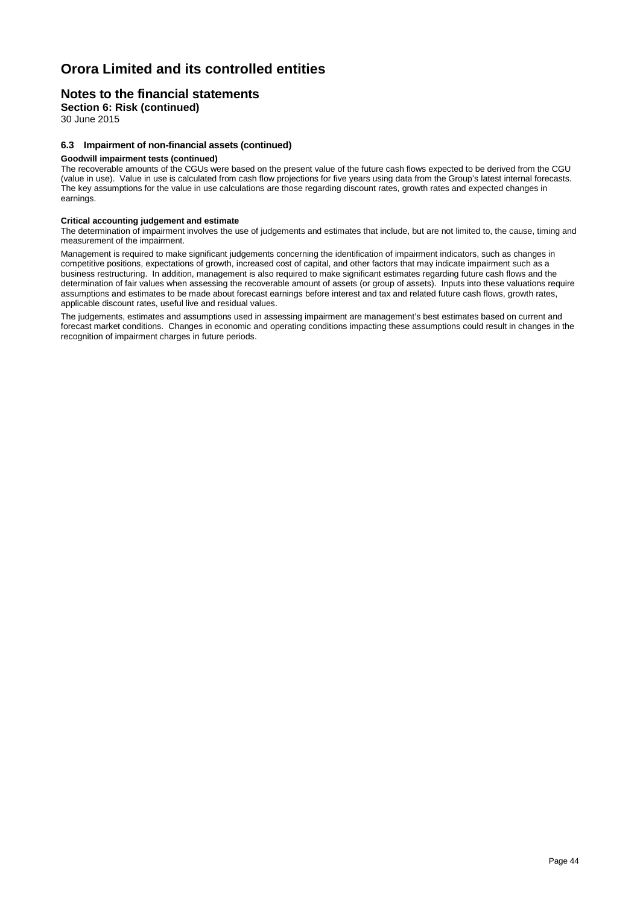### **Notes to the financial statements**

**Section 6: Risk (continued)**

30 June 2015

#### **6.3 Impairment of non-financial assets (continued)**

#### **Goodwill impairment tests (continued)**

The recoverable amounts of the CGUs were based on the present value of the future cash flows expected to be derived from the CGU (value in use). Value in use is calculated from cash flow projections for five years using data from the Group's latest internal forecasts. The key assumptions for the value in use calculations are those regarding discount rates, growth rates and expected changes in earnings.

#### **Critical accounting judgement and estimate**

The determination of impairment involves the use of judgements and estimates that include, but are not limited to, the cause, timing and measurement of the impairment.

Management is required to make significant judgements concerning the identification of impairment indicators, such as changes in competitive positions, expectations of growth, increased cost of capital, and other factors that may indicate impairment such as a business restructuring. In addition, management is also required to make significant estimates regarding future cash flows and the determination of fair values when assessing the recoverable amount of assets (or group of assets). Inputs into these valuations require assumptions and estimates to be made about forecast earnings before interest and tax and related future cash flows, growth rates, applicable discount rates, useful live and residual values.

The judgements, estimates and assumptions used in assessing impairment are management's best estimates based on current and forecast market conditions. Changes in economic and operating conditions impacting these assumptions could result in changes in the recognition of impairment charges in future periods.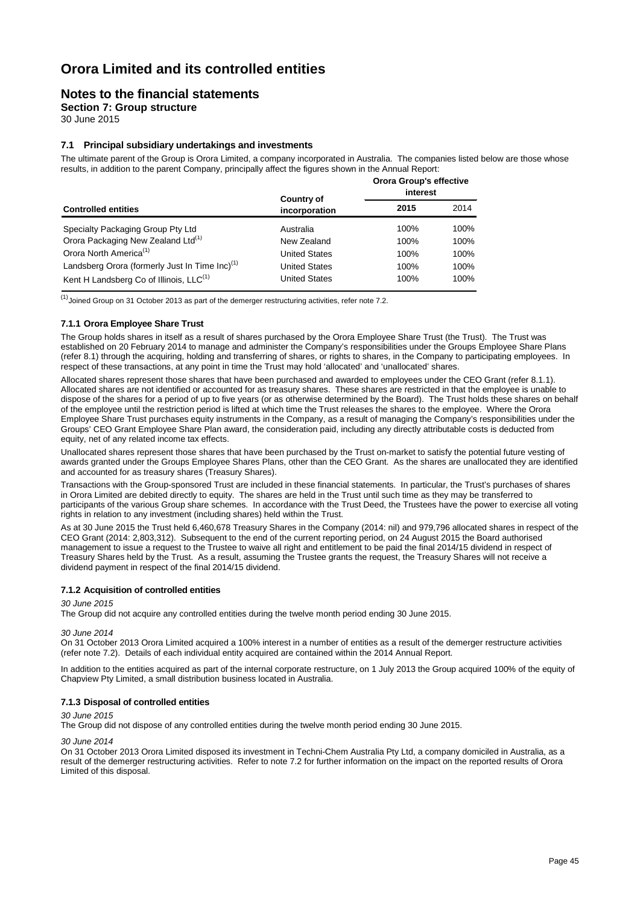### **Notes to the financial statements**

**Section 7: Group structure**

30 June 2015

#### **7.1 Principal subsidiary undertakings and investments**

The ultimate parent of the Group is Orora Limited, a company incorporated in Australia. The companies listed below are those whose results, in addition to the parent Company, principally affect the figures shown in the Annual Report:

|                                                            | <b>Country of</b>    | <b>Orora Group's effective</b><br>interest |      |
|------------------------------------------------------------|----------------------|--------------------------------------------|------|
| <b>Controlled entities</b>                                 | incorporation        | 2015                                       | 2014 |
| Specialty Packaging Group Pty Ltd                          | Australia            | 100%                                       | 100% |
| Orora Packaging New Zealand Ltd <sup>(1)</sup>             | New Zealand          | 100%                                       | 100% |
| Orora North America <sup>(1)</sup>                         | <b>United States</b> | 100%                                       | 100% |
| Landsberg Orora (formerly Just In Time Inc) <sup>(1)</sup> | <b>United States</b> | 100%                                       | 100% |
| Kent H Landsberg Co of Illinois, LLC <sup>(1)</sup>        | <b>United States</b> | 100%                                       | 100% |

 $<sup>(1)</sup>$ Joined Group on 31 October 2013 as part of the demerger restructuring activities, refer note 7.2.</sup>

#### **7.1.1 Orora Employee Share Trust**

The Group holds shares in itself as a result of shares purchased by the Orora Employee Share Trust (the Trust). The Trust was established on 20 February 2014 to manage and administer the Company's responsibilities under the Groups Employee Share Plans (refer 8.1) through the acquiring, holding and transferring of shares, or rights to shares, in the Company to participating employees. In respect of these transactions, at any point in time the Trust may hold 'allocated' and 'unallocated' shares.

Allocated shares represent those shares that have been purchased and awarded to employees under the CEO Grant (refer 8.1.1). Allocated shares are not identified or accounted for as treasury shares. These shares are restricted in that the employee is unable to dispose of the shares for a period of up to five years (or as otherwise determined by the Board). The Trust holds these shares on behalf of the employee until the restriction period is lifted at which time the Trust releases the shares to the employee. Where the Orora Employee Share Trust purchases equity instruments in the Company, as a result of managing the Company's responsibilities under the Groups' CEO Grant Employee Share Plan award, the consideration paid, including any directly attributable costs is deducted from equity, net of any related income tax effects.

Unallocated shares represent those shares that have been purchased by the Trust on-market to satisfy the potential future vesting of awards granted under the Groups Employee Shares Plans, other than the CEO Grant. As the shares are unallocated they are identified and accounted for as treasury shares (Treasury Shares).

Transactions with the Group-sponsored Trust are included in these financial statements. In particular, the Trust's purchases of shares in Orora Limited are debited directly to equity. The shares are held in the Trust until such time as they may be transferred to participants of the various Group share schemes. In accordance with the Trust Deed, the Trustees have the power to exercise all voting rights in relation to any investment (including shares) held within the Trust.

As at 30 June 2015 the Trust held 6,460,678 Treasury Shares in the Company (2014: nil) and 979,796 allocated shares in respect of the CEO Grant (2014: 2,803,312). Subsequent to the end of the current reporting period, on 24 August 2015 the Board authorised management to issue a request to the Trustee to waive all right and entitlement to be paid the final 2014/15 dividend in respect of Treasury Shares held by the Trust. As a result, assuming the Trustee grants the request, the Treasury Shares will not receive a dividend payment in respect of the final 2014/15 dividend.

#### **7.1.2 Acquisition of controlled entities**

*30 June 2015*

The Group did not acquire any controlled entities during the twelve month period ending 30 June 2015.

*30 June 2014*

On 31 October 2013 Orora Limited acquired a 100% interest in a number of entities as a result of the demerger restructure activities (refer note 7.2). Details of each individual entity acquired are contained within the 2014 Annual Report.

In addition to the entities acquired as part of the internal corporate restructure, on 1 July 2013 the Group acquired 100% of the equity of Chapview Pty Limited, a small distribution business located in Australia.

#### **7.1.3 Disposal of controlled entities**

*30 June 2015*

The Group did not dispose of any controlled entities during the twelve month period ending 30 June 2015.

*30 June 2014*

On 31 October 2013 Orora Limited disposed its investment in Techni-Chem Australia Pty Ltd, a company domiciled in Australia, as a result of the demerger restructuring activities. Refer to note 7.2 for further information on the impact on the reported results of Orora Limited of this disposal.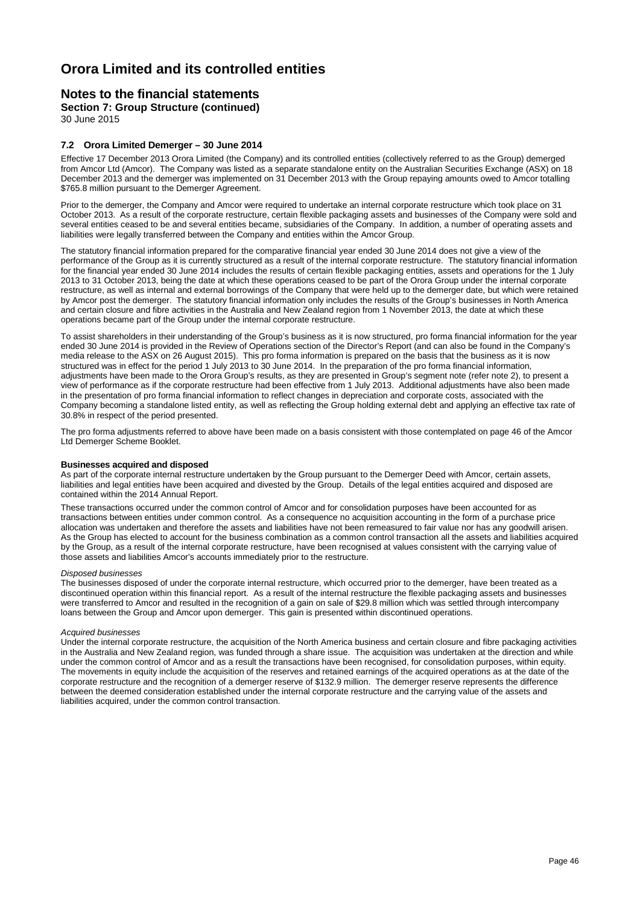### **Notes to the financial statements**

**Section 7: Group Structure (continued)**

30 June 2015

#### **7.2 Orora Limited Demerger – 30 June 2014**

Effective 17 December 2013 Orora Limited (the Company) and its controlled entities (collectively referred to as the Group) demerged from Amcor Ltd (Amcor). The Company was listed as a separate standalone entity on the Australian Securities Exchange (ASX) on 18 December 2013 and the demerger was implemented on 31 December 2013 with the Group repaying amounts owed to Amcor totalling \$765.8 million pursuant to the Demerger Agreement.

Prior to the demerger, the Company and Amcor were required to undertake an internal corporate restructure which took place on 31 October 2013. As a result of the corporate restructure, certain flexible packaging assets and businesses of the Company were sold and several entities ceased to be and several entities became, subsidiaries of the Company. In addition, a number of operating assets and liabilities were legally transferred between the Company and entities within the Amcor Group.

The statutory financial information prepared for the comparative financial year ended 30 June 2014 does not give a view of the performance of the Group as it is currently structured as a result of the internal corporate restructure. The statutory financial information for the financial year ended 30 June 2014 includes the results of certain flexible packaging entities, assets and operations for the 1 July 2013 to 31 October 2013, being the date at which these operations ceased to be part of the Orora Group under the internal corporate restructure, as well as internal and external borrowings of the Company that were held up to the demerger date, but which were retained by Amcor post the demerger. The statutory financial information only includes the results of the Group's businesses in North America and certain closure and fibre activities in the Australia and New Zealand region from 1 November 2013, the date at which these operations became part of the Group under the internal corporate restructure.

To assist shareholders in their understanding of the Group's business as it is now structured, pro forma financial information for the year ended 30 June 2014 is provided in the Review of Operations section of the Director's Report (and can also be found in the Company's media release to the ASX on 26 August 2015). This pro forma information is prepared on the basis that the business as it is now structured was in effect for the period 1 July 2013 to 30 June 2014. In the preparation of the pro forma financial information, adjustments have been made to the Orora Group's results, as they are presented in Group's segment note (refer note 2), to present a view of performance as if the corporate restructure had been effective from 1 July 2013. Additional adjustments have also been made in the presentation of pro forma financial information to reflect changes in depreciation and corporate costs, associated with the Company becoming a standalone listed entity, as well as reflecting the Group holding external debt and applying an effective tax rate of 30.8% in respect of the period presented.

The pro forma adjustments referred to above have been made on a basis consistent with those contemplated on page 46 of the Amcor Ltd Demerger Scheme Booklet.

#### **Businesses acquired and disposed**

As part of the corporate internal restructure undertaken by the Group pursuant to the Demerger Deed with Amcor, certain assets, liabilities and legal entities have been acquired and divested by the Group. Details of the legal entities acquired and disposed are contained within the 2014 Annual Report.

These transactions occurred under the common control of Amcor and for consolidation purposes have been accounted for as transactions between entities under common control. As a consequence no acquisition accounting in the form of a purchase price allocation was undertaken and therefore the assets and liabilities have not been remeasured to fair value nor has any goodwill arisen. As the Group has elected to account for the business combination as a common control transaction all the assets and liabilities acquired by the Group, as a result of the internal corporate restructure, have been recognised at values consistent with the carrying value of those assets and liabilities Amcor's accounts immediately prior to the restructure.

#### *Disposed businesses*

The businesses disposed of under the corporate internal restructure, which occurred prior to the demerger, have been treated as a discontinued operation within this financial report. As a result of the internal restructure the flexible packaging assets and businesses were transferred to Amcor and resulted in the recognition of a gain on sale of \$29.8 million which was settled through intercompany loans between the Group and Amcor upon demerger. This gain is presented within discontinued operations.

#### *Acquired businesses*

Under the internal corporate restructure, the acquisition of the North America business and certain closure and fibre packaging activities in the Australia and New Zealand region, was funded through a share issue. The acquisition was undertaken at the direction and while under the common control of Amcor and as a result the transactions have been recognised, for consolidation purposes, within equity. The movements in equity include the acquisition of the reserves and retained earnings of the acquired operations as at the date of the corporate restructure and the recognition of a demerger reserve of \$132.9 million. The demerger reserve represents the difference between the deemed consideration established under the internal corporate restructure and the carrying value of the assets and liabilities acquired, under the common control transaction.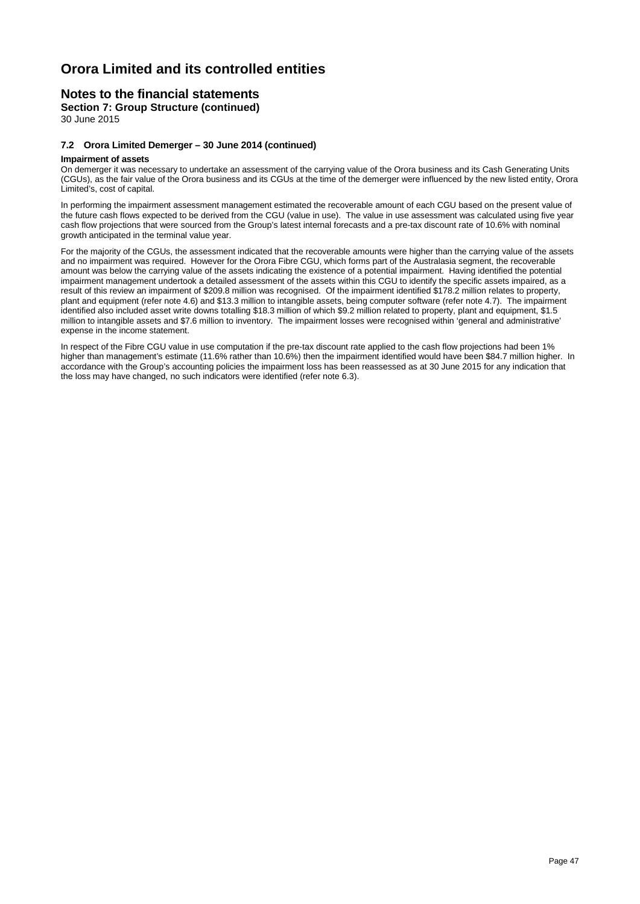### **Notes to the financial statements**

**Section 7: Group Structure (continued)**

30 June 2015

#### **7.2 Orora Limited Demerger – 30 June 2014 (continued)**

#### **Impairment of assets**

On demerger it was necessary to undertake an assessment of the carrying value of the Orora business and its Cash Generating Units (CGUs), as the fair value of the Orora business and its CGUs at the time of the demerger were influenced by the new listed entity, Orora Limited's, cost of capital.

In performing the impairment assessment management estimated the recoverable amount of each CGU based on the present value of the future cash flows expected to be derived from the CGU (value in use). The value in use assessment was calculated using five year cash flow projections that were sourced from the Group's latest internal forecasts and a pre-tax discount rate of 10.6% with nominal growth anticipated in the terminal value year.

For the majority of the CGUs, the assessment indicated that the recoverable amounts were higher than the carrying value of the assets and no impairment was required. However for the Orora Fibre CGU, which forms part of the Australasia segment, the recoverable amount was below the carrying value of the assets indicating the existence of a potential impairment. Having identified the potential impairment management undertook a detailed assessment of the assets within this CGU to identify the specific assets impaired, as a result of this review an impairment of \$209.8 million was recognised. Of the impairment identified \$178.2 million relates to property, plant and equipment (refer note 4.6) and \$13.3 million to intangible assets, being computer software (refer note 4.7). The impairment identified also included asset write downs totalling \$18.3 million of which \$9.2 million related to property, plant and equipment, \$1.5 million to intangible assets and \$7.6 million to inventory. The impairment losses were recognised within 'general and administrative' expense in the income statement.

In respect of the Fibre CGU value in use computation if the pre-tax discount rate applied to the cash flow projections had been 1% higher than management's estimate (11.6% rather than 10.6%) then the impairment identified would have been \$84.7 million higher. In accordance with the Group's accounting policies the impairment loss has been reassessed as at 30 June 2015 for any indication that the loss may have changed, no such indicators were identified (refer note 6.3).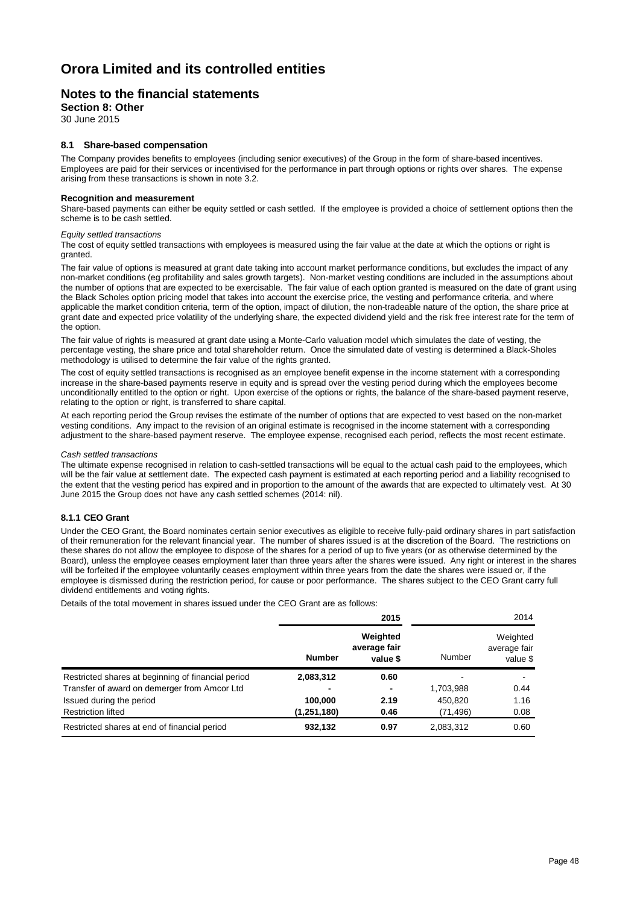### **Notes to the financial statements**

#### **Section 8: Other**

30 June 2015

#### **8.1 Share-based compensation**

The Company provides benefits to employees (including senior executives) of the Group in the form of share-based incentives. Employees are paid for their services or incentivised for the performance in part through options or rights over shares. The expense arising from these transactions is shown in note 3.2.

#### **Recognition and measurement**

Share-based payments can either be equity settled or cash settled. If the employee is provided a choice of settlement options then the scheme is to be cash settled.

#### *Equity settled transactions*

The cost of equity settled transactions with employees is measured using the fair value at the date at which the options or right is granted.

The fair value of options is measured at grant date taking into account market performance conditions, but excludes the impact of any non-market conditions (eg profitability and sales growth targets). Non-market vesting conditions are included in the assumptions about the number of options that are expected to be exercisable. The fair value of each option granted is measured on the date of grant using the Black Scholes option pricing model that takes into account the exercise price, the vesting and performance criteria, and where applicable the market condition criteria, term of the option, impact of dilution, the non-tradeable nature of the option, the share price at grant date and expected price volatility of the underlying share, the expected dividend yield and the risk free interest rate for the term of the option.

The fair value of rights is measured at grant date using a Monte-Carlo valuation model which simulates the date of vesting, the percentage vesting, the share price and total shareholder return. Once the simulated date of vesting is determined a Black-Sholes methodology is utilised to determine the fair value of the rights granted.

The cost of equity settled transactions is recognised as an employee benefit expense in the income statement with a corresponding increase in the share-based payments reserve in equity and is spread over the vesting period during which the employees become unconditionally entitled to the option or right. Upon exercise of the options or rights, the balance of the share-based payment reserve, relating to the option or right, is transferred to share capital.

At each reporting period the Group revises the estimate of the number of options that are expected to vest based on the non-market vesting conditions. Any impact to the revision of an original estimate is recognised in the income statement with a corresponding adjustment to the share-based payment reserve. The employee expense, recognised each period, reflects the most recent estimate.

#### *Cash settled transactions*

The ultimate expense recognised in relation to cash-settled transactions will be equal to the actual cash paid to the employees, which will be the fair value at settlement date. The expected cash payment is estimated at each reporting period and a liability recognised to the extent that the vesting period has expired and in proportion to the amount of the awards that are expected to ultimately vest. At 30 June 2015 the Group does not have any cash settled schemes (2014: nil).

#### **8.1.1 CEO Grant**

Under the CEO Grant, the Board nominates certain senior executives as eligible to receive fully-paid ordinary shares in part satisfaction of their remuneration for the relevant financial year. The number of shares issued is at the discretion of the Board. The restrictions on these shares do not allow the employee to dispose of the shares for a period of up to five years (or as otherwise determined by the Board), unless the employee ceases employment later than three years after the shares were issued. Any right or interest in the shares will be forfeited if the employee voluntarily ceases employment within three years from the date the shares were issued or, if the employee is dismissed during the restriction period, for cause or poor performance. The shares subject to the CEO Grant carry full dividend entitlements and voting rights.

Details of the total movement in shares issued under the CEO Grant are as follows:

|                                                    | 2015          |                                      |           | 2014                                 |
|----------------------------------------------------|---------------|--------------------------------------|-----------|--------------------------------------|
|                                                    | <b>Number</b> | Weighted<br>average fair<br>value \$ | Number    | Weighted<br>average fair<br>value \$ |
| Restricted shares at beginning of financial period | 2,083,312     | 0.60                                 |           |                                      |
| Transfer of award on demerger from Amcor Ltd       |               |                                      | 1,703,988 | 0.44                                 |
| Issued during the period                           | 100.000       | 2.19                                 | 450.820   | 1.16                                 |
| <b>Restriction lifted</b>                          | (1,251,180)   | 0.46                                 | (71, 496) | 0.08                                 |
| Restricted shares at end of financial period       | 932,132       | 0.97                                 | 2,083,312 | 0.60                                 |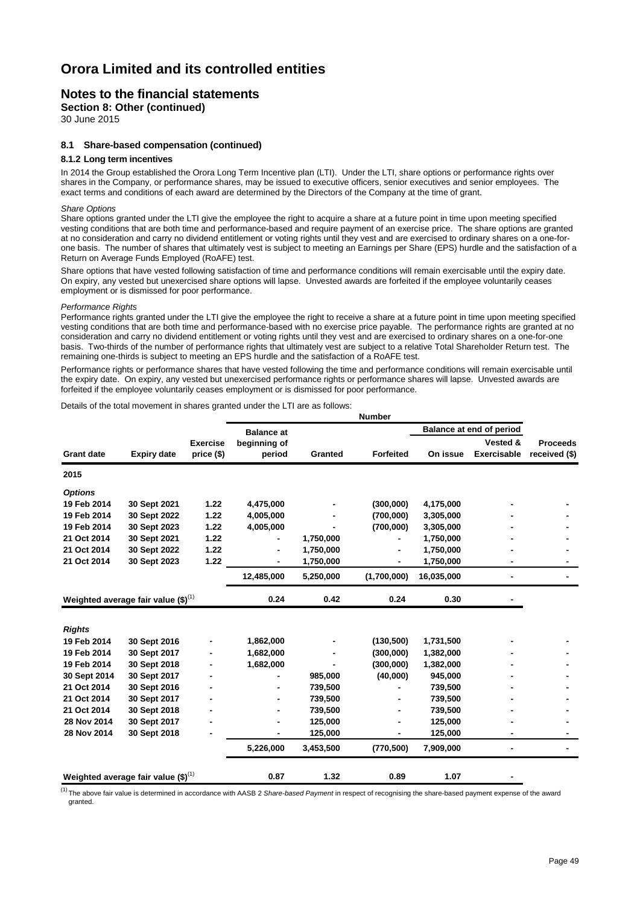### **Notes to the financial statements**

**Section 8: Other (continued)**

30 June 2015

#### **8.1 Share-based compensation (continued)**

#### **8.1.2 Long term incentives**

In 2014 the Group established the Orora Long Term Incentive plan (LTI). Under the LTI, share options or performance rights over shares in the Company, or performance shares, may be issued to executive officers, senior executives and senior employees. The exact terms and conditions of each award are determined by the Directors of the Company at the time of grant.

#### *Share Options*

Share options granted under the LTI give the employee the right to acquire a share at a future point in time upon meeting specified vesting conditions that are both time and performance-based and require payment of an exercise price. The share options are granted at no consideration and carry no dividend entitlement or voting rights until they vest and are exercised to ordinary shares on a one-forone basis. The number of shares that ultimately vest is subject to meeting an Earnings per Share (EPS) hurdle and the satisfaction of a Return on Average Funds Employed (RoAFE) test.

Share options that have vested following satisfaction of time and performance conditions will remain exercisable until the expiry date. On expiry, any vested but unexercised share options will lapse. Unvested awards are forfeited if the employee voluntarily ceases employment or is dismissed for poor performance.

#### *Performance Rights*

Performance rights granted under the LTI give the employee the right to receive a share at a future point in time upon meeting specified vesting conditions that are both time and performance-based with no exercise price payable. The performance rights are granted at no consideration and carry no dividend entitlement or voting rights until they vest and are exercised to ordinary shares on a one-for-one basis. Two-thirds of the number of performance rights that ultimately vest are subject to a relative Total Shareholder Return test. The remaining one-thirds is subject to meeting an EPS hurdle and the satisfaction of a RoAFE test.

Performance rights or performance shares that have vested following the time and performance conditions will remain exercisable until the expiry date. On expiry, any vested but unexercised performance rights or performance shares will lapse. Unvested awards are forfeited if the employee voluntarily ceases employment or is dismissed for poor performance.

Details of the total movement in shares granted under the LTI are as follows:

| <b>Expiry date</b> | <b>Exercise</b> | <b>Balance at</b>                                                                                    |           |                  | Balance at end of period |                          |                 |
|--------------------|-----------------|------------------------------------------------------------------------------------------------------|-----------|------------------|--------------------------|--------------------------|-----------------|
|                    |                 |                                                                                                      |           |                  |                          |                          |                 |
|                    |                 | beginning of                                                                                         |           |                  |                          | Vested &                 | <b>Proceeds</b> |
|                    | price (\$)      | period                                                                                               | Granted   | <b>Forfeited</b> | On issue                 | <b>Exercisable</b>       | received (\$)   |
|                    |                 |                                                                                                      |           |                  |                          |                          |                 |
|                    |                 |                                                                                                      |           |                  |                          |                          |                 |
| 30 Sept 2021       | 1.22            | 4,475,000                                                                                            |           | (300,000)        | 4,175,000                |                          |                 |
| 30 Sept 2022       | 1.22            | 4,005,000                                                                                            |           | (700,000)        | 3,305,000                |                          |                 |
| 30 Sept 2023       | 1.22            | 4,005,000                                                                                            |           | (700,000)        | 3,305,000                |                          |                 |
| 30 Sept 2021       | 1.22            |                                                                                                      | 1,750,000 |                  | 1,750,000                |                          |                 |
| 30 Sept 2022       | 1.22            | $\blacksquare$                                                                                       | 1,750,000 | $\blacksquare$   | 1,750,000                |                          |                 |
| 30 Sept 2023       | 1.22            |                                                                                                      | 1,750,000 |                  | 1,750,000                |                          |                 |
|                    |                 | 12,485,000                                                                                           | 5,250,000 | (1,700,000)      | 16,035,000               | $\overline{\phantom{0}}$ |                 |
|                    |                 | 0.24                                                                                                 | 0.42      | 0.24             | 0.30                     |                          |                 |
|                    |                 |                                                                                                      |           |                  |                          |                          |                 |
|                    |                 |                                                                                                      |           |                  |                          |                          |                 |
| 30 Sept 2016       |                 | 1,862,000                                                                                            |           | (130, 500)       | 1,731,500                |                          |                 |
| 30 Sept 2017       |                 | 1,682,000                                                                                            |           | (300,000)        | 1,382,000                |                          |                 |
| 30 Sept 2018       |                 | 1,682,000                                                                                            |           | (300,000)        | 1,382,000                |                          |                 |
| 30 Sept 2017       |                 |                                                                                                      | 985,000   | (40,000)         | 945,000                  |                          |                 |
| 30 Sept 2016       |                 |                                                                                                      | 739,500   |                  | 739,500                  |                          |                 |
| 30 Sept 2017       |                 |                                                                                                      | 739,500   |                  | 739,500                  |                          |                 |
| 30 Sept 2018       |                 |                                                                                                      | 739,500   |                  | 739,500                  |                          |                 |
| 30 Sept 2017       |                 |                                                                                                      | 125,000   |                  | 125,000                  |                          |                 |
| 30 Sept 2018       |                 |                                                                                                      | 125,000   |                  | 125,000                  |                          |                 |
|                    |                 | 5,226,000                                                                                            | 3,453,500 | (770, 500)       | 7,909,000                | -                        |                 |
|                    |                 |                                                                                                      |           |                  |                          |                          |                 |
|                    |                 | Weighted average fair value $(\text{$\$})^{(1)}$<br>Weighted average fair value $(\text{$\$})^{(1)}$ | 0.87      | 1.32             | 0.89                     | 1.07                     |                 |

(1)The above fair value is determined in accordance with AASB 2 *Share-based Payment* in respect of recognising the share-based payment expense of the award granted.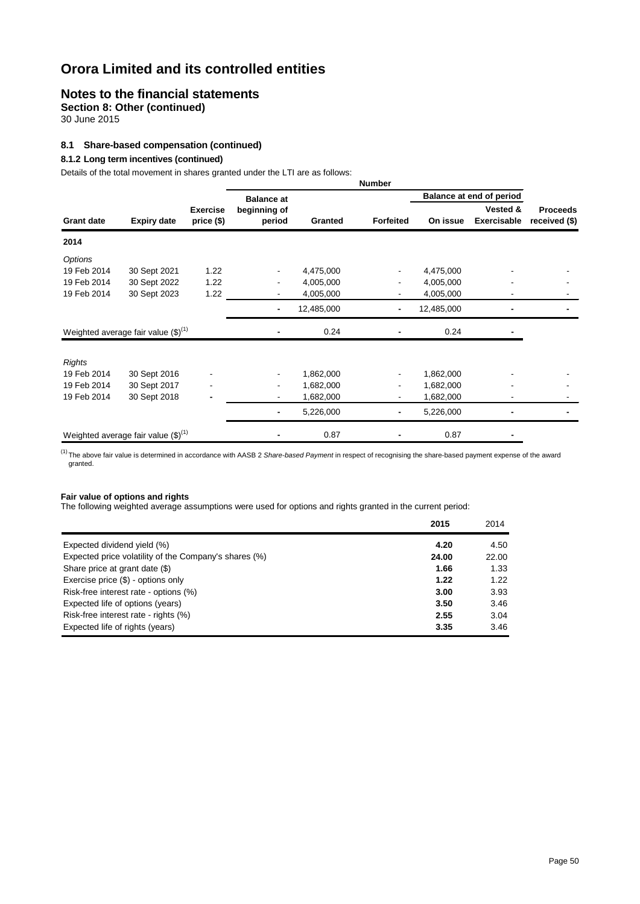### **Notes to the financial statements**

**Section 8: Other (continued)**

30 June 2015

#### **8.1 Share-based compensation (continued)**

#### **8.1.2 Long term incentives (continued)**

Details of the total movement in shares granted under the LTI are as follows:

|                   | 0.000 or the total movement in charge granted ander the ETT are do relieft |                               |                        |            | <b>Number</b>    |            |                                |                                  |
|-------------------|----------------------------------------------------------------------------|-------------------------------|------------------------|------------|------------------|------------|--------------------------------|----------------------------------|
|                   |                                                                            |                               | <b>Balance at</b>      |            |                  |            | Balance at end of period       |                                  |
| <b>Grant date</b> | <b>Expiry date</b>                                                         | <b>Exercise</b><br>price (\$) | beginning of<br>period | Granted    | <b>Forfeited</b> | On issue   | Vested &<br><b>Exercisable</b> | <b>Proceeds</b><br>received (\$) |
| 2014              |                                                                            |                               |                        |            |                  |            |                                |                                  |
| Options           |                                                                            |                               |                        |            |                  |            |                                |                                  |
| 19 Feb 2014       | 30 Sept 2021                                                               | 1.22                          | $\blacksquare$         | 4,475,000  |                  | 4,475,000  |                                |                                  |
| 19 Feb 2014       | 30 Sept 2022                                                               | 1.22                          |                        | 4,005,000  |                  | 4,005,000  |                                |                                  |
| 19 Feb 2014       | 30 Sept 2023                                                               | 1.22                          |                        | 4,005,000  |                  | 4,005,000  |                                |                                  |
|                   |                                                                            |                               | ۰                      | 12,485,000 |                  | 12,485,000 |                                |                                  |
|                   | Weighted average fair value $(\text{$\$})^{(1)}$                           |                               |                        | 0.24       |                  | 0.24       |                                |                                  |
| <b>Rights</b>     |                                                                            |                               |                        |            |                  |            |                                |                                  |
| 19 Feb 2014       | 30 Sept 2016                                                               |                               | $\blacksquare$         | 1,862,000  |                  | 1,862,000  |                                |                                  |
| 19 Feb 2014       | 30 Sept 2017                                                               |                               | $\blacksquare$         | 1,682,000  |                  | 1,682,000  |                                |                                  |
| 19 Feb 2014       | 30 Sept 2018                                                               |                               |                        | 1,682,000  |                  | 1,682,000  |                                |                                  |
|                   |                                                                            |                               |                        | 5,226,000  |                  | 5,226,000  |                                |                                  |
|                   | Weighted average fair value $(\text{$\$})^{(1)}$                           |                               |                        | 0.87       |                  | 0.87       |                                |                                  |

<sup>(1)</sup>The above fair value is determined in accordance with AASB 2 Share-based Payment in respect of recognising the share-based payment expense of the award granted.

#### **Fair value of options and rights**

The following weighted average assumptions were used for options and rights granted in the current period:

|                                                       | 2015  | 2014  |
|-------------------------------------------------------|-------|-------|
| Expected dividend yield (%)                           | 4.20  | 4.50  |
| Expected price volatility of the Company's shares (%) | 24.00 | 22.00 |
| Share price at grant date (\$)                        | 1.66  | 1.33  |
| Exercise price (\$) - options only                    | 1.22  | 1.22  |
| Risk-free interest rate - options (%)                 | 3.00  | 3.93  |
| Expected life of options (years)                      | 3.50  | 3.46  |
| Risk-free interest rate - rights (%)                  | 2.55  | 3.04  |
| Expected life of rights (years)                       | 3.35  | 3.46  |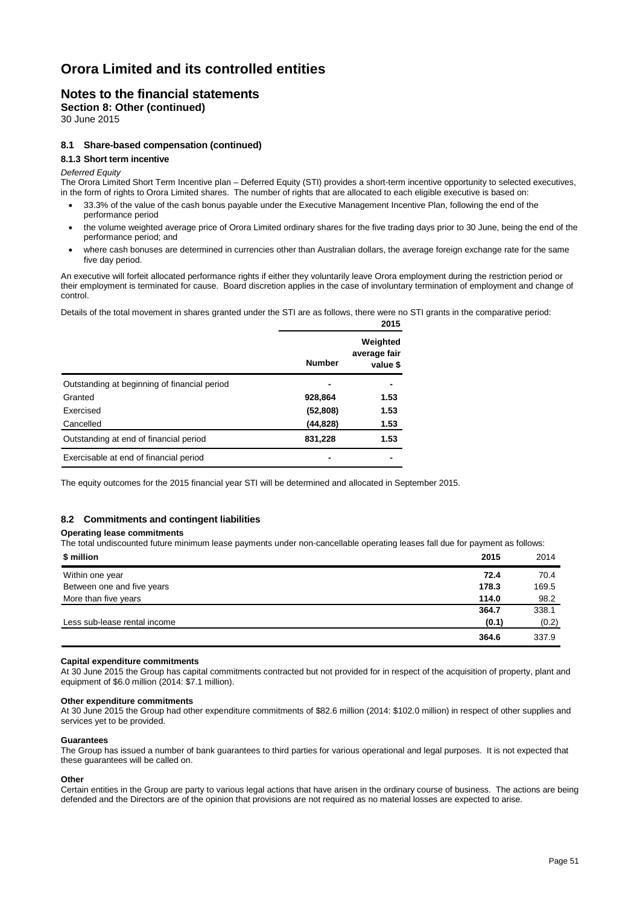### **Notes to the financial statements**

**Section 8: Other (continued)**

30 June 2015

#### **8.1 Share-based compensation (continued)**

#### **8.1.3 Short term incentive**

#### *Deferred Equity*

The Orora Limited Short Term Incentive plan – Deferred Equity (STI) provides a short-term incentive opportunity to selected executives, in the form of rights to Orora Limited shares. The number of rights that are allocated to each eligible executive is based on:

- 33.3% of the value of the cash bonus payable under the Executive Management Incentive Plan, following the end of the performance period
- the volume weighted average price of Orora Limited ordinary shares for the five trading days prior to 30 June, being the end of the performance period; and
- where cash bonuses are determined in currencies other than Australian dollars, the average foreign exchange rate for the same five day period.

An executive will forfeit allocated performance rights if either they voluntarily leave Orora employment during the restriction period or their employment is terminated for cause. Board discretion applies in the case of involuntary termination of employment and change of control.

Details of the total movement in shares granted under the STI are as follows, there were no STI grants in the comparative period:

|                                              |               | 2015                                 |
|----------------------------------------------|---------------|--------------------------------------|
|                                              | <b>Number</b> | Weighted<br>average fair<br>value \$ |
| Outstanding at beginning of financial period |               |                                      |
| Granted                                      | 928,864       | 1.53                                 |
| Exercised                                    | (52, 808)     | 1.53                                 |
| Cancelled                                    | (44, 828)     | 1.53                                 |
| Outstanding at end of financial period       | 831,228       | 1.53                                 |
| Exercisable at end of financial period       |               |                                      |

The equity outcomes for the 2015 financial year STI will be determined and allocated in September 2015.

#### **8.2 Commitments and contingent liabilities**

#### **Operating lease commitments**

The total undiscounted future minimum lease payments under non-cancellable operating leases fall due for payment as follows:

| \$ million                   | 2015  | 2014  |
|------------------------------|-------|-------|
| Within one year              | 72.4  | 70.4  |
| Between one and five years   | 178.3 | 169.5 |
| More than five years         | 114.0 | 98.2  |
|                              | 364.7 | 338.1 |
| Less sub-lease rental income | (0.1) | (0.2) |
|                              | 364.6 | 337.9 |

#### **Capital expenditure commitments**

At 30 June 2015 the Group has capital commitments contracted but not provided for in respect of the acquisition of property, plant and equipment of \$6.0 million (2014: \$7.1 million).

#### **Other expenditure commitments**

At 30 June 2015 the Group had other expenditure commitments of \$82.6 million (2014: \$102.0 million) in respect of other supplies and services yet to be provided.

#### **Guarantees**

The Group has issued a number of bank guarantees to third parties for various operational and legal purposes. It is not expected that these guarantees will be called on.

#### **Other**

Certain entities in the Group are party to various legal actions that have arisen in the ordinary course of business. The actions are being defended and the Directors are of the opinion that provisions are not required as no material losses are expected to arise.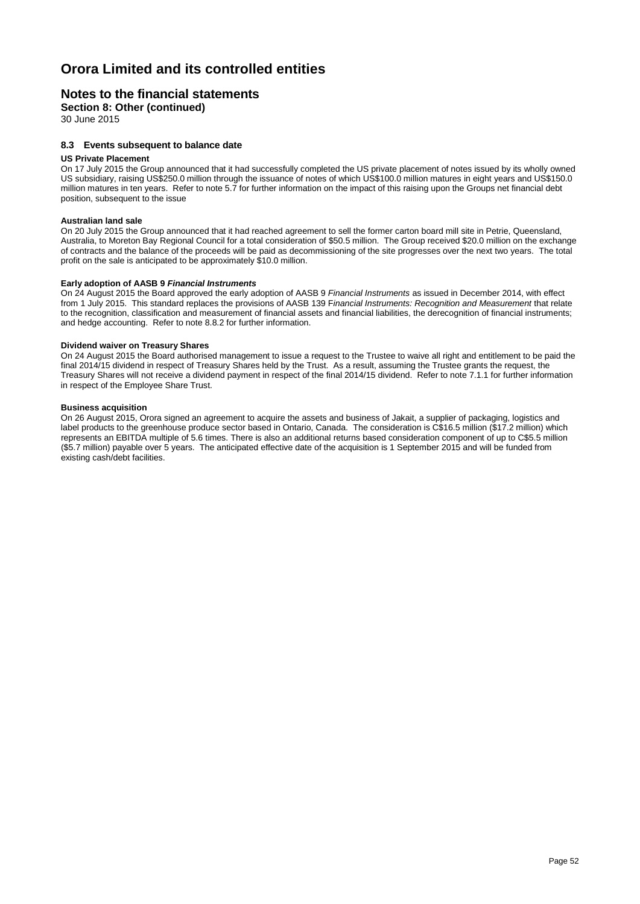### **Notes to the financial statements**

**Section 8: Other (continued)**

30 June 2015

#### **8.3 Events subsequent to balance date**

#### **US Private Placement**

On 17 July 2015 the Group announced that it had successfully completed the US private placement of notes issued by its wholly owned US subsidiary, raising US\$250.0 million through the issuance of notes of which US\$100.0 million matures in eight years and US\$150.0 million matures in ten years. Refer to note 5.7 for further information on the impact of this raising upon the Groups net financial debt position, subsequent to the issue

#### **Australian land sale**

On 20 July 2015 the Group announced that it had reached agreement to sell the former carton board mill site in Petrie, Queensland, Australia, to Moreton Bay Regional Council for a total consideration of \$50.5 million. The Group received \$20.0 million on the exchange of contracts and the balance of the proceeds will be paid as decommissioning of the site progresses over the next two years. The total profit on the sale is anticipated to be approximately \$10.0 million.

#### **Early adoption of AASB 9** *Financial Instruments*

On 24 August 2015 the Board approved the early adoption of AASB 9 *Financial Instruments* as issued in December 2014, with effect from 1 July 2015. This standard replaces the provisions of AASB 139 F*inancial Instruments: Recognition and Measurement* that relate to the recognition, classification and measurement of financial assets and financial liabilities, the derecognition of financial instruments; and hedge accounting. Refer to note 8.8.2 for further information.

#### **Dividend waiver on Treasury Shares**

On 24 August 2015 the Board authorised management to issue a request to the Trustee to waive all right and entitlement to be paid the final 2014/15 dividend in respect of Treasury Shares held by the Trust. As a result, assuming the Trustee grants the request, the Treasury Shares will not receive a dividend payment in respect of the final 2014/15 dividend. Refer to note 7.1.1 for further information in respect of the Employee Share Trust.

#### **Business acquisition**

On 26 August 2015, Orora signed an agreement to acquire the assets and business of Jakait, a supplier of packaging, logistics and label products to the greenhouse produce sector based in Ontario, Canada. The consideration is C\$16.5 million (\$17.2 million) which represents an EBITDA multiple of 5.6 times. There is also an additional returns based consideration component of up to C\$5.5 million (\$5.7 million) payable over 5 years. The anticipated effective date of the acquisition is 1 September 2015 and will be funded from existing cash/debt facilities.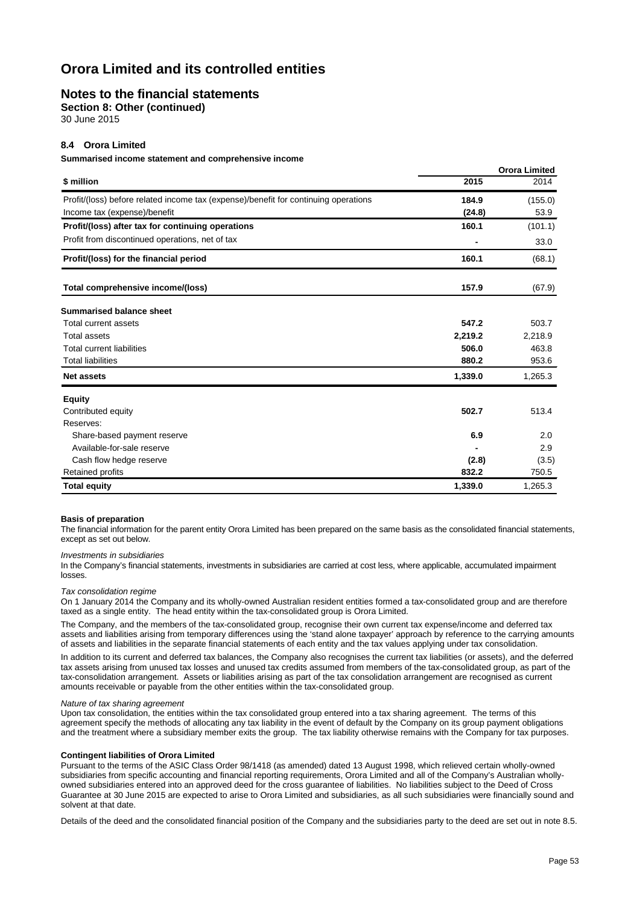### **Notes to the financial statements**

**Section 8: Other (continued)**

30 June 2015

#### **8.4 Orora Limited**

**Summarised income statement and comprehensive income**

|                                                                                     |         | <b>Orora Limited</b> |
|-------------------------------------------------------------------------------------|---------|----------------------|
| \$ million                                                                          | 2015    | 2014                 |
| Profit/(loss) before related income tax (expense)/benefit for continuing operations | 184.9   | (155.0)              |
| Income tax (expense)/benefit                                                        | (24.8)  | 53.9                 |
| Profit/(loss) after tax for continuing operations                                   | 160.1   | (101.1)              |
| Profit from discontinued operations, net of tax                                     |         | 33.0                 |
| Profit/(loss) for the financial period                                              | 160.1   | (68.1)               |
| Total comprehensive income/(loss)                                                   | 157.9   | (67.9)               |
| <b>Summarised balance sheet</b>                                                     |         |                      |
| Total current assets                                                                | 547.2   | 503.7                |
| <b>Total assets</b>                                                                 | 2,219.2 | 2,218.9              |
| <b>Total current liabilities</b>                                                    | 506.0   | 463.8                |
| <b>Total liabilities</b>                                                            | 880.2   | 953.6                |
| <b>Net assets</b>                                                                   | 1,339.0 | 1,265.3              |
| <b>Equity</b>                                                                       |         |                      |
| Contributed equity                                                                  | 502.7   | 513.4                |
| Reserves:                                                                           |         |                      |
| Share-based payment reserve                                                         | 6.9     | 2.0                  |
| Available-for-sale reserve                                                          |         | 2.9                  |
| Cash flow hedge reserve                                                             | (2.8)   | (3.5)                |
| Retained profits                                                                    | 832.2   | 750.5                |
| <b>Total equity</b>                                                                 | 1,339.0 | 1,265.3              |

#### **Basis of preparation**

The financial information for the parent entity Orora Limited has been prepared on the same basis as the consolidated financial statements, except as set out below.

#### *Investments in subsidiaries*

In the Company's financial statements, investments in subsidiaries are carried at cost less, where applicable, accumulated impairment losses.

#### *Tax consolidation regime*

On 1 January 2014 the Company and its wholly-owned Australian resident entities formed a tax-consolidated group and are therefore taxed as a single entity. The head entity within the tax-consolidated group is Orora Limited.

The Company, and the members of the tax-consolidated group, recognise their own current tax expense/income and deferred tax assets and liabilities arising from temporary differences using the 'stand alone taxpayer' approach by reference to the carrying amounts of assets and liabilities in the separate financial statements of each entity and the tax values applying under tax consolidation.

In addition to its current and deferred tax balances, the Company also recognises the current tax liabilities (or assets), and the deferred tax assets arising from unused tax losses and unused tax credits assumed from members of the tax-consolidated group, as part of the tax-consolidation arrangement. Assets or liabilities arising as part of the tax consolidation arrangement are recognised as current amounts receivable or payable from the other entities within the tax-consolidated group.

### *Nature of tax sharing agreement*

Upon tax consolidation, the entities within the tax consolidated group entered into a tax sharing agreement. The terms of this agreement specify the methods of allocating any tax liability in the event of default by the Company on its group payment obligations and the treatment where a subsidiary member exits the group. The tax liability otherwise remains with the Company for tax purposes.

#### **Contingent liabilities of Orora Limited**

Pursuant to the terms of the ASIC Class Order 98/1418 (as amended) dated 13 August 1998, which relieved certain wholly-owned subsidiaries from specific accounting and financial reporting requirements, Orora Limited and all of the Company's Australian whollyowned subsidiaries entered into an approved deed for the cross guarantee of liabilities. No liabilities subject to the Deed of Cross Guarantee at 30 June 2015 are expected to arise to Orora Limited and subsidiaries, as all such subsidiaries were financially sound and solvent at that date.

Details of the deed and the consolidated financial position of the Company and the subsidiaries party to the deed are set out in note 8.5.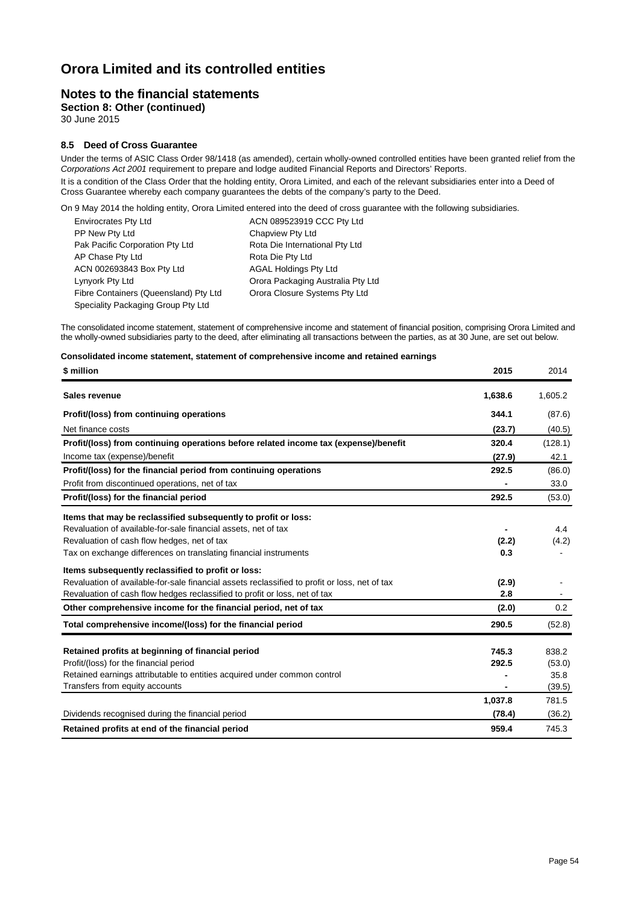### **Notes to the financial statements**

**Section 8: Other (continued)**

30 June 2015

### **8.5 Deed of Cross Guarantee**

Under the terms of ASIC Class Order 98/1418 (as amended), certain wholly-owned controlled entities have been granted relief from the *Corporations Act 2001* requirement to prepare and lodge audited Financial Reports and Directors' Reports.

It is a condition of the Class Order that the holding entity, Orora Limited, and each of the relevant subsidiaries enter into a Deed of Cross Guarantee whereby each company guarantees the debts of the company's party to the Deed.

On 9 May 2014 the holding entity, Orora Limited entered into the deed of cross guarantee with the following subsidiaries.

| <b>Envirocrates Pty Ltd</b>           | ACN 089523919 CCC Pty Ltd         |
|---------------------------------------|-----------------------------------|
| PP New Pty Ltd                        | Chapview Pty Ltd                  |
| Pak Pacific Corporation Pty Ltd       | Rota Die International Pty Ltd    |
| AP Chase Pty Ltd                      | Rota Die Pty Ltd                  |
| ACN 002693843 Box Pty Ltd             | <b>AGAL Holdings Pty Ltd</b>      |
| Lynyork Pty Ltd                       | Orora Packaging Australia Pty Ltd |
| Fibre Containers (Queensland) Pty Ltd | Orora Closure Systems Pty Ltd     |
| Speciality Packaging Group Pty Ltd    |                                   |

The consolidated income statement, statement of comprehensive income and statement of financial position, comprising Orora Limited and the wholly-owned subsidiaries party to the deed, after eliminating all transactions between the parties, as at 30 June, are set out below.

| Consolidated income statement, statement of comprehensive income and retained earnings |  |  |
|----------------------------------------------------------------------------------------|--|--|
|----------------------------------------------------------------------------------------|--|--|

| \$ million                                                                                    | 2015    | 2014    |
|-----------------------------------------------------------------------------------------------|---------|---------|
| Sales revenue                                                                                 | 1,638.6 | 1,605.2 |
| Profit/(loss) from continuing operations                                                      | 344.1   | (87.6)  |
| Net finance costs                                                                             | (23.7)  | (40.5)  |
| Profit/(loss) from continuing operations before related income tax (expense)/benefit          | 320.4   | (128.1) |
| Income tax (expense)/benefit                                                                  | (27.9)  | 42.1    |
| Profit/(loss) for the financial period from continuing operations                             | 292.5   | (86.0)  |
| Profit from discontinued operations, net of tax                                               |         | 33.0    |
| Profit/(loss) for the financial period                                                        | 292.5   | (53.0)  |
| Items that may be reclassified subsequently to profit or loss:                                |         |         |
| Revaluation of available-for-sale financial assets, net of tax                                |         | 4.4     |
| Revaluation of cash flow hedges, net of tax                                                   | (2.2)   | (4.2)   |
| Tax on exchange differences on translating financial instruments                              | 0.3     |         |
| Items subsequently reclassified to profit or loss:                                            |         |         |
| Revaluation of available-for-sale financial assets reclassified to profit or loss, net of tax | (2.9)   |         |
| Revaluation of cash flow hedges reclassified to profit or loss, net of tax                    | 2.8     |         |
| Other comprehensive income for the financial period, net of tax                               | (2.0)   | 0.2     |
| Total comprehensive income/(loss) for the financial period                                    | 290.5   | (52.8)  |
| Retained profits at beginning of financial period                                             | 745.3   | 838.2   |
| Profit/(loss) for the financial period                                                        | 292.5   | (53.0)  |
| Retained earnings attributable to entities acquired under common control                      |         | 35.8    |
| Transfers from equity accounts                                                                |         | (39.5)  |
|                                                                                               | 1,037.8 | 781.5   |
| Dividends recognised during the financial period                                              | (78.4)  | (36.2)  |
| Retained profits at end of the financial period                                               | 959.4   | 745.3   |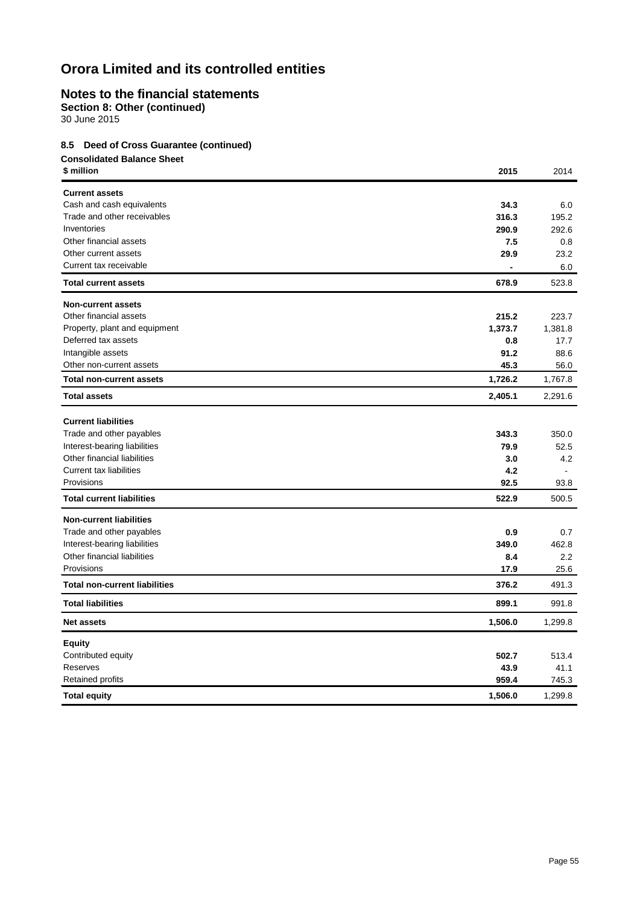## **Notes to the financial statements**

**Section 8: Other (continued)**

30 June 2015

### **8.5 Deed of Cross Guarantee (continued)**

| <b>Consolidated Balance Sheet</b><br>\$ million    | 2015    | 2014    |
|----------------------------------------------------|---------|---------|
|                                                    |         |         |
| <b>Current assets</b><br>Cash and cash equivalents | 34.3    | 6.0     |
| Trade and other receivables                        | 316.3   | 195.2   |
| Inventories                                        | 290.9   | 292.6   |
| Other financial assets                             | 7.5     | 0.8     |
| Other current assets                               | 29.9    | 23.2    |
| Current tax receivable                             |         | 6.0     |
| <b>Total current assets</b>                        | 678.9   | 523.8   |
| <b>Non-current assets</b>                          |         |         |
| Other financial assets                             | 215.2   | 223.7   |
| Property, plant and equipment                      | 1,373.7 | 1,381.8 |
| Deferred tax assets                                | 0.8     | 17.7    |
| Intangible assets                                  | 91.2    | 88.6    |
| Other non-current assets                           | 45.3    | 56.0    |
| <b>Total non-current assets</b>                    | 1,726.2 | 1,767.8 |
| <b>Total assets</b>                                | 2,405.1 | 2,291.6 |
| <b>Current liabilities</b>                         |         |         |
| Trade and other payables                           | 343.3   | 350.0   |
| Interest-bearing liabilities                       | 79.9    | 52.5    |
| Other financial liabilities                        | 3.0     | 4.2     |
| <b>Current tax liabilities</b>                     | 4.2     |         |
| Provisions                                         | 92.5    | 93.8    |
| <b>Total current liabilities</b>                   | 522.9   | 500.5   |
| <b>Non-current liabilities</b>                     |         |         |
| Trade and other payables                           | 0.9     | 0.7     |
| Interest-bearing liabilities                       | 349.0   | 462.8   |
| Other financial liabilities                        | 8.4     | $2.2\,$ |
| Provisions                                         | 17.9    | 25.6    |
| <b>Total non-current liabilities</b>               | 376.2   | 491.3   |
| <b>Total liabilities</b>                           | 899.1   | 991.8   |
| <b>Net assets</b>                                  | 1,506.0 | 1,299.8 |
| <b>Equity</b>                                      |         |         |
| Contributed equity                                 | 502.7   | 513.4   |
| Reserves                                           | 43.9    | 41.1    |
| Retained profits                                   | 959.4   | 745.3   |
| <b>Total equity</b>                                | 1,506.0 | 1,299.8 |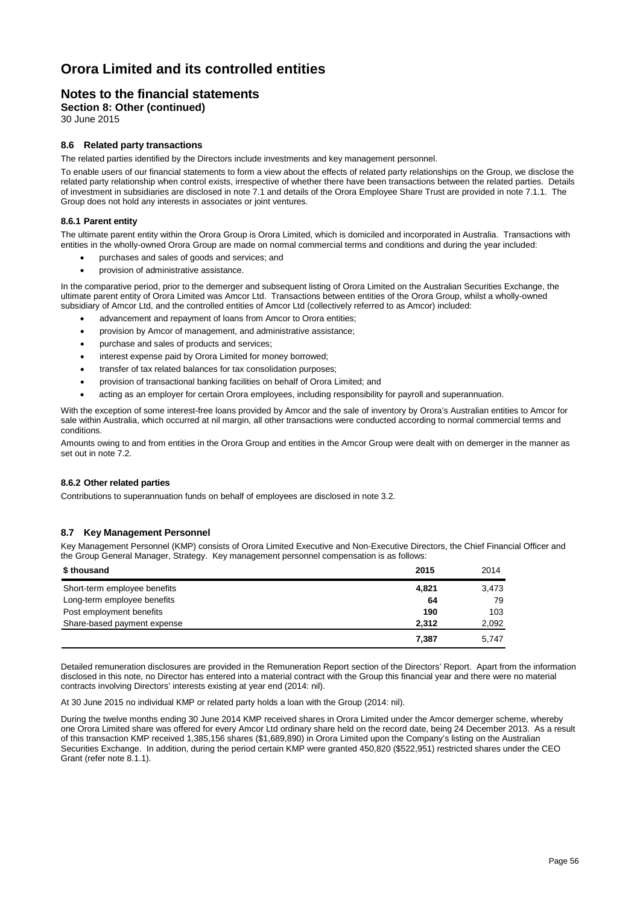### **Notes to the financial statements**

**Section 8: Other (continued)**

30 June 2015

### **8.6 Related party transactions**

The related parties identified by the Directors include investments and key management personnel.

To enable users of our financial statements to form a view about the effects of related party relationships on the Group, we disclose the related party relationship when control exists, irrespective of whether there have been transactions between the related parties. Details of investment in subsidiaries are disclosed in note 7.1 and details of the Orora Employee Share Trust are provided in note 7.1.1. The Group does not hold any interests in associates or joint ventures.

#### **8.6.1 Parent entity**

The ultimate parent entity within the Orora Group is Orora Limited, which is domiciled and incorporated in Australia. Transactions with entities in the wholly-owned Orora Group are made on normal commercial terms and conditions and during the year included:

- purchases and sales of goods and services; and
- provision of administrative assistance.

In the comparative period, prior to the demerger and subsequent listing of Orora Limited on the Australian Securities Exchange, the ultimate parent entity of Orora Limited was Amcor Ltd. Transactions between entities of the Orora Group, whilst a wholly-owned subsidiary of Amcor Ltd, and the controlled entities of Amcor Ltd (collectively referred to as Amcor) included:

- advancement and repayment of loans from Amcor to Orora entities;
- provision by Amcor of management, and administrative assistance;
- purchase and sales of products and services;
- interest expense paid by Orora Limited for money borrowed;
- transfer of tax related balances for tax consolidation purposes;
- provision of transactional banking facilities on behalf of Orora Limited; and
- acting as an employer for certain Orora employees, including responsibility for payroll and superannuation.

With the exception of some interest-free loans provided by Amcor and the sale of inventory by Orora's Australian entities to Amcor for sale within Australia, which occurred at nil margin, all other transactions were conducted according to normal commercial terms and conditions.

Amounts owing to and from entities in the Orora Group and entities in the Amcor Group were dealt with on demerger in the manner as set out in note 7.2.

#### **8.6.2 Other related parties**

Contributions to superannuation funds on behalf of employees are disclosed in note 3.2.

#### **8.7 Key Management Personnel**

Key Management Personnel (KMP) consists of Orora Limited Executive and Non-Executive Directors, the Chief Financial Officer and the Group General Manager, Strategy. Key management personnel compensation is as follows:

| \$ thousand                  | 2015  | 2014  |
|------------------------------|-------|-------|
| Short-term employee benefits | 4.821 | 3.473 |
| Long-term employee benefits  | 64    | 79    |
| Post employment benefits     | 190   | 103   |
| Share-based payment expense  | 2.312 | 2,092 |
|                              | 7.387 | 5.747 |

Detailed remuneration disclosures are provided in the Remuneration Report section of the Directors' Report. Apart from the information disclosed in this note, no Director has entered into a material contract with the Group this financial year and there were no material contracts involving Directors' interests existing at year end (2014: nil).

At 30 June 2015 no individual KMP or related party holds a loan with the Group (2014: nil).

During the twelve months ending 30 June 2014 KMP received shares in Orora Limited under the Amcor demerger scheme, whereby one Orora Limited share was offered for every Amcor Ltd ordinary share held on the record date, being 24 December 2013. As a result of this transaction KMP received 1,385,156 shares (\$1,689,890) in Orora Limited upon the Company's listing on the Australian Securities Exchange. In addition, during the period certain KMP were granted 450,820 (\$522,951) restricted shares under the CEO Grant (refer note 8.1.1).